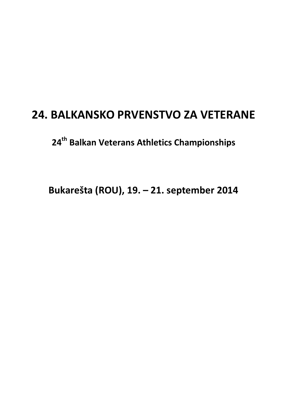# **24. BALKANSKO PRVENSTVO ZA VETERANE**

**24th Balkan Veterans Athletics Championships** 

**Bukarešta (ROU), 19. – 21. september 2014**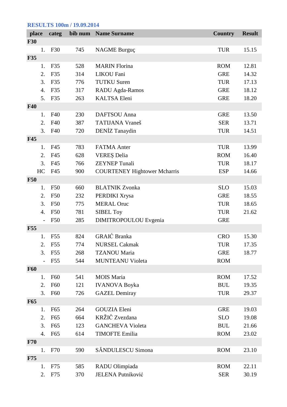### **RESULTS 100m / 19.09.2014**

| place      |                        | categ           |     | bib num Name Surname                | <b>Country</b> | <b>Result</b> |
|------------|------------------------|-----------------|-----|-------------------------------------|----------------|---------------|
| <b>F30</b> |                        |                 |     |                                     |                |               |
|            | 1.                     | F30             | 745 | <b>NAGME Burguç</b>                 | <b>TUR</b>     | 15.15         |
| <b>F35</b> |                        |                 |     |                                     |                |               |
|            | 1.                     | F35             | 528 | <b>MARIN</b> Florina                | <b>ROM</b>     | 12.81         |
|            | 2.                     | F35             | 314 | <b>LIKOU Fani</b>                   | <b>GRE</b>     | 14.32         |
|            | 3.                     | F35             | 776 | <b>TUTKU Suren</b>                  | <b>TUR</b>     | 17.13         |
|            | 4.                     | F35             | 317 | RADU Agda-Ramos                     | <b>GRE</b>     | 18.12         |
|            | 5.                     | F35             | 263 | <b>KALTSA Eleni</b>                 | <b>GRE</b>     | 18.20         |
| <b>F40</b> |                        |                 |     |                                     |                |               |
|            | 1.                     | F40             | 230 | DAFTSOU Anna                        | <b>GRE</b>     | 13.50         |
|            | 2.                     | F40             | 387 | <b>TATIJANA Vraneš</b>              | <b>SER</b>     | 13.71         |
|            | 3.                     | F40             | 720 | DENİZ Tanaydin                      | <b>TUR</b>     | 14.51         |
| <b>F45</b> |                        |                 |     |                                     |                |               |
|            | 1.                     | F45             | 783 | <b>FATMA</b> Anter                  | <b>TUR</b>     | 13.99         |
|            | 2.                     | F45             | 628 | <b>VEREȘ Delia</b>                  | <b>ROM</b>     | 16.40         |
|            | 3.                     | F45             | 766 | <b>ZEYNEP Tunali</b>                | <b>TUR</b>     | 18.17         |
|            | HC                     | F45             | 900 | <b>COURTENEY Hightower Mcharris</b> | <b>ESP</b>     | 14.66         |
| <b>F50</b> |                        |                 |     |                                     |                |               |
|            | 1.                     | F50             | 660 | <b>BLATNIK Zvonka</b>               | <b>SLO</b>     | 15.03         |
|            | 2.                     | F50             | 232 | PERDIKI Xrysa                       | <b>GRE</b>     | 18.55         |
|            | 3.                     | F50             | 775 | <b>MERAL Oruc</b>                   | <b>TUR</b>     | 18.65         |
|            | 4.                     | F50             | 781 | <b>SIBEL Toy</b>                    | <b>TUR</b>     | 21.62         |
|            |                        | F <sub>50</sub> | 285 | <b>DIMITROPOULOU</b> Evgenia        | <b>GRE</b>     |               |
| <b>F55</b> |                        |                 |     |                                     |                |               |
|            | 1.                     | F <sub>55</sub> | 824 | GRAIĆ Branka                        | <b>CRO</b>     | 15.30         |
|            | $\mathcal{D}_{\alpha}$ | F <sub>55</sub> | 774 | <b>NURSEL Cakmak</b>                | <b>TUR</b>     | 17.35         |
|            | 3.                     | F55             | 268 | <b>TZANOU Maria</b>                 | <b>GRE</b>     | 18.77         |
|            |                        | F <sub>55</sub> | 544 | <b>MUNTEANU Violeta</b>             | <b>ROM</b>     |               |
| <b>F60</b> |                        |                 |     |                                     |                |               |
|            | 1.                     | F60             | 541 | <b>MOIS</b> Maria                   | <b>ROM</b>     | 17.52         |
|            | 2.                     | F60             | 121 | <b>IVANOVA Boyka</b>                | <b>BUL</b>     | 19.35         |
|            | 3.                     | F <sub>60</sub> | 726 | <b>GAZEL Demiray</b>                | <b>TUR</b>     | 29.37         |
| <b>F65</b> |                        |                 |     |                                     |                |               |
|            | 1.                     | F65             | 264 | <b>GOUZIA Eleni</b>                 | <b>GRE</b>     | 19.03         |
|            | 2.                     | F65             | 664 | KRŽIČ Zvezdana                      | <b>SLO</b>     | 19.08         |
|            | 3.                     | F65             | 123 | <b>GANCHEVA Violeta</b>             | <b>BUL</b>     | 21.66         |
|            | 4.                     | F65             | 614 | <b>TIMOFTE Emilia</b>               | <b>ROM</b>     | 23.02         |
| F70        |                        |                 |     |                                     |                |               |
|            | 1.                     | F70             | 590 | SĂNDULESCU Simona                   | <b>ROM</b>     | 23.10         |
| F75        |                        |                 |     |                                     |                |               |
|            | 1.                     | F75             | 585 | RADU Olimpiada                      | <b>ROM</b>     | 22.11         |
|            | 2.                     | F75             | 370 | JELENA Putniković                   | <b>SER</b>     | 30.19         |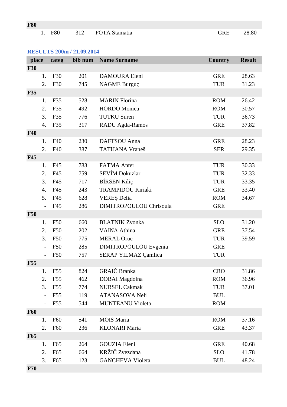# **RESULTS 200m / 21.09.2014**

| place      |                | categ           | bib num | <b>Name Surname</b>      | <b>Country</b> | <b>Result</b> |
|------------|----------------|-----------------|---------|--------------------------|----------------|---------------|
| <b>F30</b> |                |                 |         |                          |                |               |
|            | 1.             | F30             | 201     | DAMOURA Eleni            | <b>GRE</b>     | 28.63         |
|            | 2.             | F30             | 745     | <b>NAGME Burguç</b>      | <b>TUR</b>     | 31.23         |
| <b>F35</b> |                |                 |         |                          |                |               |
|            | 1.             | F35             | 528     | <b>MARIN Florina</b>     | <b>ROM</b>     | 26.42         |
|            | 2.             | F35             | 492     | <b>HORDO</b> Monica      | <b>ROM</b>     | 30.57         |
|            | 3.             | F35             | 776     | <b>TUTKU Suren</b>       | <b>TUR</b>     | 36.73         |
|            | 4.             | F35             | 317     | RADU Agda-Ramos          | <b>GRE</b>     | 37.82         |
| <b>F40</b> |                |                 |         |                          |                |               |
|            | 1.             | F40             | 230     | DAFTSOU Anna             | <b>GRE</b>     | 28.23         |
|            | 2.             | F40             | 387     | <b>TATIJANA Vraneš</b>   | <b>SER</b>     | 29.35         |
| <b>F45</b> |                |                 |         |                          |                |               |
|            | 1.             | F45             | 783     | <b>FATMA</b> Anter       | <b>TUR</b>     | 30.33         |
|            | 2.             | F45             | 759     | <b>SEVIM Dokuzlar</b>    | <b>TUR</b>     | 32.33         |
|            | 3.             | F45             | 717     | <b>BİRSEN Kiliç</b>      | <b>TUR</b>     | 33.35         |
|            | 4.             | F45             | 243     | <b>TRAMPIDOU Kiriaki</b> | <b>GRE</b>     | 33.40         |
|            | 5.             | F45             | 628     | <b>VEREȘ Delia</b>       | <b>ROM</b>     | 34.67         |
|            |                | F45             | 286     | DIMITROPOULOU Chrisoula  | <b>GRE</b>     |               |
| <b>F50</b> |                |                 |         |                          |                |               |
|            | 1.             | F50             | 660     | <b>BLATNIK Zvonka</b>    | <b>SLO</b>     | 31.20         |
|            | 2.             | F50             | 202     | <b>VAINA</b> Athina      | <b>GRE</b>     | 37.54         |
|            | 3.             | F50             | 775     | <b>MERAL Oruc</b>        | <b>TUR</b>     | 39.59         |
|            | $\overline{a}$ | F50             | 285     | DIMITROPOULOU Evgenia    | <b>GRE</b>     |               |
|            |                | <b>F50</b>      | 757     | SERAP YILMAZ Çamlica     | <b>TUR</b>     |               |
| <b>F55</b> |                |                 |         |                          |                |               |
|            | 1.             | F55             | 824     | GRAIĆ Branka             | <b>CRO</b>     | 31.86         |
|            | 2.             | F <sub>55</sub> | 462     | <b>DOBAI</b> Magdolna    | <b>ROM</b>     | 36.96         |
|            | 3.             | F <sub>55</sub> | 774     | <b>NURSEL Cakmak</b>     | <b>TUR</b>     | 37.01         |
|            |                | F <sub>55</sub> | 119     | ATANASOVA Neli           | <b>BUL</b>     |               |
|            |                | F <sub>55</sub> | 544     | <b>MUNTEANU Violeta</b>  | <b>ROM</b>     |               |
| <b>F60</b> |                |                 |         |                          |                |               |
|            | 1.             | F <sub>60</sub> | 541     | <b>MOIS</b> Maria        | <b>ROM</b>     | 37.16         |
|            | 2.             | F <sub>60</sub> | 236     | <b>KLONARI</b> Maria     | <b>GRE</b>     | 43.37         |
| <b>F65</b> |                |                 |         |                          |                |               |
|            | 1.             | F65             | 264     | <b>GOUZIA Eleni</b>      | <b>GRE</b>     | 40.68         |
|            | 2.             | F65             | 664     | KRŽIČ Zvezdana           | <b>SLO</b>     | 41.78         |
|            | 3.             | F65             | 123     | <b>GANCHEVA Violeta</b>  | <b>BUL</b>     | 48.24         |
| F70        |                |                 |         |                          |                |               |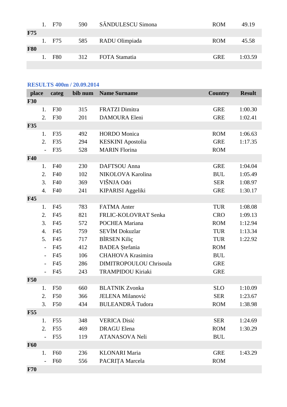|            | 1. F70 | 590 | SĂNDULESCU Simona | <b>ROM</b> | 49.19   |
|------------|--------|-----|-------------------|------------|---------|
| <b>F75</b> |        |     |                   |            |         |
|            | 1. F75 | 585 | RADU Olimpiada    | <b>ROM</b> | 45.58   |
| <b>F80</b> |        |     |                   |            |         |
|            | 1. F80 | 312 | FOTA Stamatia     | <b>GRE</b> | 1:03.59 |
|            |        |     |                   |            |         |

*country* Result

| <b>RESULTS 400m / 20.09.2014</b> |  |  |                                  |  |  |  |  |  |
|----------------------------------|--|--|----------------------------------|--|--|--|--|--|
|                                  |  |  | place categ bib num Name Surname |  |  |  |  |  |
| <b>F30</b>                       |  |  |                                  |  |  |  |  |  |

| <b>F30</b> |                          |                 |     |                                |            |         |
|------------|--------------------------|-----------------|-----|--------------------------------|------------|---------|
|            | 1.                       | F30             | 315 | <b>FRATZI</b> Dimitra          | <b>GRE</b> | 1:00.30 |
|            | 2.                       | F30             | 201 | <b>DAMOURA Eleni</b>           | <b>GRE</b> | 1:02.41 |
| <b>F35</b> |                          |                 |     |                                |            |         |
|            | 1.                       | F35             | 492 | <b>HORDO</b> Monica            | <b>ROM</b> | 1:06.63 |
|            | 2.                       | F35             | 294 | <b>KESKINI</b> Apostolia       | <b>GRE</b> | 1:17.35 |
|            | $\overline{a}$           | F35             | 528 | <b>MARIN Florina</b>           | <b>ROM</b> |         |
| <b>F40</b> |                          |                 |     |                                |            |         |
|            | 1.                       | F40             | 230 | DAFTSOU Anna                   | <b>GRE</b> | 1:04.04 |
|            | 2.                       | F40             | 102 | NIKOLOVA Karolina              | <b>BUL</b> | 1:05.49 |
|            | 3.                       | F40             | 369 | VIŠNJA Odri                    | <b>SER</b> | 1:08.97 |
|            | 4.                       | F40             | 241 | <b>KIPARISI Aggeliki</b>       | <b>GRE</b> | 1:30.17 |
| <b>F45</b> |                          |                 |     |                                |            |         |
|            | 1.                       | F45             | 783 | <b>FATMA Anter</b>             | <b>TUR</b> | 1:08.08 |
|            | 2.                       | F45             | 821 | FRLIC-KOLOVRAT Senka           | <b>CRO</b> | 1:09.13 |
|            | 3.                       | F45             | 572 | POCHEA Mariana                 | <b>ROM</b> | 1:12.94 |
|            | $\overline{4}$ .         | F45             | 759 | <b>SEVIM Dokuzlar</b>          | <b>TUR</b> | 1:13.34 |
|            | 5.                       | F45             | 717 | <b>BİRSEN Kiliç</b>            | <b>TUR</b> | 1:22.92 |
|            | $\overline{\phantom{m}}$ | F45             | 412 | <b>BADEA</b> Ștefania          | <b>ROM</b> |         |
|            | $\overline{a}$           | F45             | 106 | <b>CHAHOVA Krasimira</b>       | <b>BUL</b> |         |
|            |                          | F45             | 286 | <b>DIMITROPOULOU Chrisoula</b> | <b>GRE</b> |         |
|            |                          | F45             | 243 | <b>TRAMPIDOU Kiriaki</b>       | <b>GRE</b> |         |
| <b>F50</b> |                          |                 |     |                                |            |         |
|            | 1.                       | F50             | 660 | <b>BLATNIK Zvonka</b>          | <b>SLO</b> | 1:10.09 |
|            | 2.                       | F50             | 366 | <b>JELENA Milanović</b>        | <b>SER</b> | 1:23.67 |
|            | 3.                       | F <sub>50</sub> | 434 | <b>BULEANDRĂ</b> Tudora        | <b>ROM</b> | 1:38.98 |
| <b>F55</b> |                          |                 |     |                                |            |         |
|            | 1.                       | F55             | 348 | <b>VERICA Disić</b>            | <b>SER</b> | 1:24.69 |
|            | 2.                       | F55             | 469 | <b>DRAGU Elena</b>             | <b>ROM</b> | 1:30.29 |
|            |                          | F55             | 119 | ATANASOVA Neli                 | <b>BUL</b> |         |
| <b>F60</b> |                          |                 |     |                                |            |         |
|            | 1.                       | F <sub>60</sub> | 236 | <b>KLONARI Maria</b>           | <b>GRE</b> | 1:43.29 |
|            |                          | F60             | 556 | PACRIȚA Marcela                | <b>ROM</b> |         |
| <b>F70</b> |                          |                 |     |                                |            |         |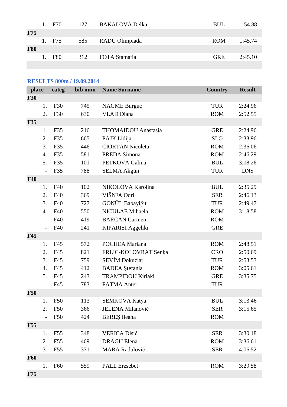|            |         | 1. F70     | 127 | BAKALOVA Delka     | <b>BUL</b> | 1:54.88 |
|------------|---------|------------|-----|--------------------|------------|---------|
| <b>F75</b> |         |            |     |                    |            |         |
|            |         | 1. F75     |     | 585 RADU Olimpiada | <b>ROM</b> | 1:45.74 |
| <b>F80</b> |         |            |     |                    |            |         |
|            | $1_{-}$ | <b>F80</b> | 312 | FOTA Stamatia      | <b>GRE</b> | 2:45.10 |
|            |         |            |     |                    |            |         |

# **RESULTS 800m / 19.09.2014**

| place      |                  | categ           | bib num | <b>Name Surname</b>        | <b>Country</b> | <b>Result</b> |
|------------|------------------|-----------------|---------|----------------------------|----------------|---------------|
| <b>F30</b> |                  |                 |         |                            |                |               |
|            | 1.               | F30             | 745     | <b>NAGME Burguç</b>        | <b>TUR</b>     | 2:24.96       |
|            | 2.               | F30             | 630     | <b>VLAD</b> Diana          | <b>ROM</b>     | 2:52.55       |
| <b>F35</b> |                  |                 |         |                            |                |               |
|            | 1.               | F35             | 216     | <b>THOMAIDOU</b> Anastasia | <b>GRE</b>     | 2:24.96       |
|            | 2.               | F35             | 665     | PAJK Lidija                | <b>SLO</b>     | 2:33.96       |
|            | 3.               | F35             | 446     | <b>CIORTAN Nicoleta</b>    | <b>ROM</b>     | 2:36.06       |
|            | 4.               | F35             | 581     | PREDA Simona               | <b>ROM</b>     | 2:46.29       |
|            | 5.               | F35             | 101     | PETKOVA Galina             | <b>BUL</b>     | 3:08.26       |
|            | $\overline{a}$   | F35             | 788     | <b>SELMA Akgün</b>         | <b>TUR</b>     | <b>DNS</b>    |
| <b>F40</b> |                  |                 |         |                            |                |               |
|            | 1.               | F40             | 102     | NIKOLOVA Karolina          | <b>BUL</b>     | 2:35.29       |
|            | 2.               | F40             | 369     | VIŠNJA Odri                | <b>SER</b>     | 2:46.13       |
|            | 3.               | F40             | 727     | GÖNÜL Babayiğit            | <b>TUR</b>     | 2:49.47       |
|            | $\overline{4}$ . | F40             | 550     | <b>NICULAE Mihaela</b>     | <b>ROM</b>     | 3:18.58       |
|            |                  | F40             | 419     | <b>BARCAN</b> Carmen       | <b>ROM</b>     |               |
|            | $\overline{a}$   | F40             | 241     | <b>KIPARISI Aggeliki</b>   | <b>GRE</b>     |               |
| <b>F45</b> |                  |                 |         |                            |                |               |
|            | 1.               | F45             | 572     | POCHEA Mariana             | <b>ROM</b>     | 2:48.51       |
|            | 2.               | F45             | 821     | FRLIC-KOLOVRAT Senka       | <b>CRO</b>     | 2:50.69       |
|            | 3.               | F45             | 759     | <b>SEVİM Dokuzlar</b>      | <b>TUR</b>     | 2:53.53       |
|            | $\overline{4}$ . | F45             | 412     | <b>BADEA</b> Stefania      | <b>ROM</b>     | 3:05.61       |
|            | 5.               | F45             | 243     | <b>TRAMPIDOU Kiriaki</b>   | <b>GRE</b>     | 3:35.75       |
|            | $\overline{a}$   | F45             | 783     | <b>FATMA</b> Anter         | <b>TUR</b>     |               |
| <b>F50</b> |                  |                 |         |                            |                |               |
|            | 1.               | <b>F50</b>      | 113     | <b>SEMKOVA Katya</b>       | <b>BUL</b>     | 3:13.46       |
|            | 2.               | F50             | 366     | <b>JELENA Milanović</b>    | <b>SER</b>     | 3:15.65       |
|            | $\overline{a}$   | F50             | 424     | <b>BERES</b> Ileana        | <b>ROM</b>     |               |
| <b>F55</b> |                  |                 |         |                            |                |               |
|            | 1.               | F <sub>55</sub> | 348     | <b>VERICA Disić</b>        | <b>SER</b>     | 3:30.18       |
|            | 2.               | F <sub>55</sub> | 469     | <b>DRAGU</b> Elena         | <b>ROM</b>     | 3:36.61       |
|            | 3.               | F <sub>55</sub> | 371     | <b>MARA Radulović</b>      | <b>SER</b>     | 4:06.52       |
| <b>F60</b> |                  |                 |         |                            |                |               |
|            | 1.               | F <sub>60</sub> | 559     | PALL Erzsebet              | <b>ROM</b>     | 3:29.58       |
| <b>F75</b> |                  |                 |         |                            |                |               |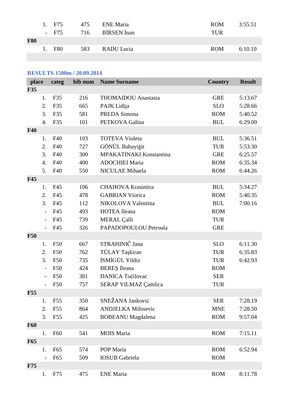|            | 1. F <sub>75</sub> |     | 475 ENE Maria   | <b>ROM</b> | 3:55.51 |
|------------|--------------------|-----|-----------------|------------|---------|
|            | - F75              |     | 716 BIRSEN Inan | <b>TUR</b> |         |
| <b>F80</b> |                    |     |                 |            |         |
|            | 1. F80             | 583 | RADU Lucia      | <b>ROM</b> | 6:10.10 |
|            |                    |     |                 |            |         |

# **RESULTS 1500m / 20.09.2014**

| place      |                          | categ           | bib num | <b>Name Surname</b>         | <b>Country</b> | <b>Result</b> |
|------------|--------------------------|-----------------|---------|-----------------------------|----------------|---------------|
| <b>F35</b> |                          |                 |         |                             |                |               |
|            | 1.                       | F35             | 216     | <b>THOMAIDOU</b> Anastasia  | <b>GRE</b>     | 5:13.67       |
|            | 2.                       | F35             | 665     | PAJK Lidija                 | <b>SLO</b>     | 5:28.66       |
|            | 3.                       | F35             | 581     | PREDA Simona                | <b>ROM</b>     | 5:40.52       |
|            | $\overline{4}$ .         | F35             | 101     | PETKOVA Galina              | <b>BUL</b>     | 6:29.00       |
| <b>F40</b> |                          |                 |         |                             |                |               |
|            | 1.                       | F40             | 103     | <b>TOTEVA Violeta</b>       | <b>BUL</b>     | 5:36.51       |
|            | 2.                       | F40             | 727     | GÖNÜL Babayiğit             | <b>TUR</b>     | 5:53.30       |
|            | 3.                       | F40             | 300     | MPAKATINAKI Konstantina     | <b>GRE</b>     | 6:25.57       |
|            | $\overline{4}$ .         | F40             | 400     | <b>ADOCHIEI Maria</b>       | <b>ROM</b>     | 6:35.34       |
|            | 5.                       | F40             | 550     | NICULAE Mihaela             | <b>ROM</b>     | 6:44.26       |
| <b>F45</b> |                          |                 |         |                             |                |               |
|            | 1.                       | F45             | 106     | <b>CHAHOVA Krasimira</b>    | <b>BUL</b>     | 5:34.27       |
|            | 2.                       | F45             | 478     | <b>GABRIAN Viorica</b>      | <b>ROM</b>     | 5:40.35       |
|            | 3.                       | F45             | 112     | NIKOLOVA Valentina          | <b>BUL</b>     | 7:00.16       |
|            |                          | F45             | 493     | <b>HOTEA</b> Ileana         | <b>ROM</b>     |               |
|            | $\overline{\phantom{a}}$ | F45             | 739     | MERAL Çalli                 | <b>TUR</b>     |               |
|            | $\overline{\phantom{0}}$ | F45             | 326     | PAPADOPOULOU Petroula       | <b>GRE</b>     |               |
| <b>F50</b> |                          |                 |         |                             |                |               |
|            | 1.                       | F50             | 667     | STRAHINIČ Jana              | <b>SLO</b>     | 6:11.30       |
|            | 2.                       | F50             | 762     | TÜLAY Taşkiran              | <b>TUR</b>     | 6:35.83       |
|            | 3.                       | F50             | 735     | İSMİGÜL Yildiz              | <b>TUR</b>     | 6:42.93       |
|            | $\overline{a}$           | F50             | 424     | <b>BERES</b> Ileana         | <b>ROM</b>     |               |
|            |                          | F50             | 381     | <b>DANICA Točilovac</b>     | <b>SER</b>     |               |
|            |                          | F50             | 757     | <b>SERAP YILMAZ Çamlica</b> | <b>TUR</b>     |               |
| <b>F55</b> |                          |                 |         |                             |                |               |
|            | 1.                       | F <sub>55</sub> | 350     | SNEŽANA Janković            | <b>SER</b>     | 7:28.19       |
|            | 2.                       | F <sub>55</sub> | 864     | <b>ANDJELKA Milosevic</b>   | <b>MNE</b>     | 7:28.50       |
|            | 3.                       | F <sub>55</sub> | 425     | <b>BOBEANU</b> Magdalena    | <b>ROM</b>     | 9:57.04       |
| <b>F60</b> |                          |                 |         |                             |                |               |
|            | 1.                       | F <sub>60</sub> | 541     | <b>MOIS</b> Maria           | <b>ROM</b>     | 7:15.11       |
| <b>F65</b> |                          |                 |         |                             |                |               |
|            | 1.                       | F <sub>65</sub> | 574     | POP Maria                   | <b>ROM</b>     | 6:52.94       |
|            |                          | F65             | 509     | <b>IOSUB</b> Gabriela       | <b>ROM</b>     |               |
| <b>F75</b> |                          |                 |         |                             |                |               |
|            | 1.                       | F75             | 475     | <b>ENE</b> Maria            | <b>ROM</b>     | 8:11.78       |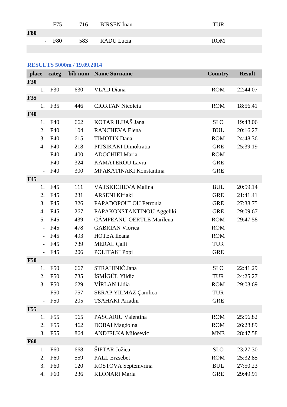|            | - F75   | 716 BIRSEN Inan | <b>TUR</b> |
|------------|---------|-----------------|------------|
| <b>F80</b> |         |                 |            |
|            | $-$ F80 | 583 RADU Lucia  | <b>ROM</b> |
|            |         |                 |            |

# **RESULTS 5000m / 19.09.2014**

| place      |                          | categ           |     | bib num Name Surname      | <b>Country</b> | <b>Result</b> |
|------------|--------------------------|-----------------|-----|---------------------------|----------------|---------------|
| <b>F30</b> |                          |                 |     |                           |                |               |
|            | 1.                       | F30             | 630 | <b>VLAD</b> Diana         | <b>ROM</b>     | 22:44.07      |
| <b>F35</b> |                          |                 |     |                           |                |               |
|            | 1.                       | F35             | 446 | <b>CIORTAN Nicoleta</b>   | <b>ROM</b>     | 18:56.41      |
| <b>F40</b> |                          |                 |     |                           |                |               |
|            | 1.                       | F40             | 662 | KOTAR ILIJAŠ Jana         | <b>SLO</b>     | 19:48.06      |
|            | 2.                       | F40             | 104 | <b>RANCHEVA Elena</b>     | <b>BUL</b>     | 20:16.27      |
|            | 3.                       | F40             | 615 | <b>TIMOTIN Dana</b>       | <b>ROM</b>     | 24:48.36      |
|            | 4.                       | F40             | 218 | PITSIKAKI Dimokratia      | <b>GRE</b>     | 25:39.19      |
|            | $\overline{\phantom{0}}$ | F40             | 400 | <b>ADOCHIEI Maria</b>     | <b>ROM</b>     |               |
|            |                          | F40             | 324 | <b>KAMATEROU Lavra</b>    | <b>GRE</b>     |               |
|            |                          | F40             | 300 | MPAKATINAKI Konstantina   | <b>GRE</b>     |               |
| <b>F45</b> |                          |                 |     |                           |                |               |
|            | 1.                       | F45             | 111 | <b>VATSKICHEVA Malina</b> | <b>BUL</b>     | 20:59.14      |
|            | 2.                       | F45             | 231 | <b>ARSENI Kiriaki</b>     | <b>GRE</b>     | 21:41.41      |
|            | 3.                       | F45             | 326 | PAPADOPOULOU Petroula     | <b>GRE</b>     | 27:38.75      |
|            | 4.                       | F45             | 267 | PAPAKONSTANTINOU Aggeliki | <b>GRE</b>     | 29:09.67      |
|            | 5.                       | F45             | 439 | CÂMPEANU-OERTLE Marilena  | <b>ROM</b>     | 29:47.58      |
|            |                          | F45             | 478 | <b>GABRIAN Viorica</b>    | <b>ROM</b>     |               |
|            | $\overline{\phantom{a}}$ | F45             | 493 | <b>HOTEA</b> Ileana       | <b>ROM</b>     |               |
|            |                          | F45             | 739 | MERAL Çalli               | <b>TUR</b>     |               |
|            |                          | F45             | 206 | POLITAKI Popi             | <b>GRE</b>     |               |
| <b>F50</b> |                          |                 |     |                           |                |               |
|            | 1.                       | <b>F50</b>      | 667 | STRAHINIČ Jana            | <b>SLO</b>     | 22:41.29      |
|            | 2.                       | <b>F50</b>      | 735 | İSMİGÜL Yildiz            | <b>TUR</b>     | 24:25.27      |
|            | 3.                       | <b>F50</b>      | 629 | VÎRLAN Lidia              | <b>ROM</b>     | 29:03.69      |
|            |                          | F50             | 757 | SERAP YILMAZ Çamlica      | <b>TUR</b>     |               |
|            |                          | F50             | 205 | TSAHAKI Ariadni           | <b>GRE</b>     |               |
| <b>F55</b> |                          |                 |     |                           |                |               |
|            | 1.                       | F <sub>55</sub> | 565 | PASCARIU Valentina        | <b>ROM</b>     | 25:56.82      |
|            | 2.                       | F <sub>55</sub> | 462 | DOBAI Magdolna            | <b>ROM</b>     | 26:28.89      |
|            | 3.                       | F <sub>55</sub> | 864 | <b>ANDJELKA Milosevic</b> | <b>MNE</b>     | 28:47.58      |
| <b>F60</b> |                          |                 |     |                           |                |               |
|            | 1.                       | F <sub>60</sub> | 668 | ŠIFTAR Jožica             | <b>SLO</b>     | 23:27.30      |
|            | 2.                       | F <sub>60</sub> | 559 | <b>PALL Erzsebet</b>      | <b>ROM</b>     | 25:32.85      |
|            | 3.                       | F <sub>60</sub> | 120 | KOSTOVA Septemvrina       | <b>BUL</b>     | 27:50.23      |
|            | 4.                       | F <sub>60</sub> | 236 | <b>KLONARI</b> Maria      | <b>GRE</b>     | 29:49.91      |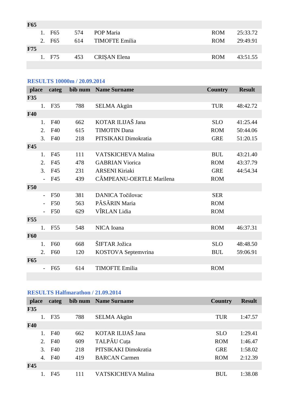| F65        |                    |     |                       |            |          |
|------------|--------------------|-----|-----------------------|------------|----------|
|            | 1. F <sub>65</sub> | 574 | POP Maria             | <b>ROM</b> | 25:33.72 |
|            | 2. F <sub>65</sub> | 614 | <b>TIMOFTE Emilia</b> | <b>ROM</b> | 29:49.91 |
| <b>F75</b> |                    |     |                       |            |          |
|            | 1. F75             | 453 | <b>CRISAN</b> Elena   | <b>ROM</b> | 43:51.55 |
|            |                    |     |                       |            |          |

### **RESULTS 10000m / 20.09.2014**

| place      |    | categ           | bib num | <b>Name Surname</b>       | <b>Country</b> | <b>Result</b> |
|------------|----|-----------------|---------|---------------------------|----------------|---------------|
| <b>F35</b> |    |                 |         |                           |                |               |
|            | 1. | F35             | 788     | <b>SELMA Akgün</b>        | <b>TUR</b>     | 48:42.72      |
| <b>F40</b> |    |                 |         |                           |                |               |
|            | 1. | F40             | 662     | KOTAR ILIJAŠ Jana         | <b>SLO</b>     | 41:25.44      |
|            | 2. | F40             | 615     | <b>TIMOTIN Dana</b>       | <b>ROM</b>     | 50:44.06      |
|            | 3. | F40             | 218     | PITSIKAKI Dimokratia      | <b>GRE</b>     | 51:20.15      |
| <b>F45</b> |    |                 |         |                           |                |               |
|            | 1. | F45             | 111     | <b>VATSKICHEVA Malina</b> | <b>BUL</b>     | 43:21.40      |
|            | 2. | F45             | 478     | <b>GABRIAN Viorica</b>    | <b>ROM</b>     | 43:37.79      |
|            | 3. | F45             | 231     | <b>ARSENI Kiriaki</b>     | <b>GRE</b>     | 44:54.34      |
|            |    | F45             | 439     | CÂMPEANU-OERTLE Marilena  | <b>ROM</b>     |               |
| <b>F50</b> |    |                 |         |                           |                |               |
|            |    | F50             | 381     | <b>DANICA Točilovac</b>   | <b>SER</b>     |               |
|            |    | F50             | 563     | PĂSĂRIN Maria             | <b>ROM</b>     |               |
|            |    | F50             | 629     | VÎRLAN Lidia              | <b>ROM</b>     |               |
| <b>F55</b> |    |                 |         |                           |                |               |
|            | 1. | F <sub>55</sub> | 548     | NICA Ioana                | <b>ROM</b>     | 46:37.31      |
| <b>F60</b> |    |                 |         |                           |                |               |
|            | 1. | F60             | 668     | ŠIFTAR Jožica             | <b>SLO</b>     | 48:48.50      |
|            | 2. | F60             | 120     | KOSTOVA Septemvrina       | <b>BUL</b>     | 59:06.91      |
| <b>F65</b> |    |                 |         |                           |                |               |
|            |    | F65             | 614     | <b>TIMOFTE Emilia</b>     | <b>ROM</b>     |               |
|            |    |                 |         |                           |                |               |

# **RESULTS Halfmarathon / 21.09.2014**

| place      |                  | categ |     | bib num Name Surname      | <b>Country</b> | <b>Result</b> |
|------------|------------------|-------|-----|---------------------------|----------------|---------------|
| F35        |                  |       |     |                           |                |               |
|            |                  | F35   | 788 | <b>SELMA Akgün</b>        | <b>TUR</b>     | 1:47.57       |
| <b>F40</b> |                  |       |     |                           |                |               |
|            |                  | F40   | 662 | KOTAR ILIJAŠ Jana         | <b>SLO</b>     | 1:29.41       |
|            | 2.               | F40   | 609 | TALPĂU Cuța               | <b>ROM</b>     | 1:46.47       |
|            | 3.               | F40   | 218 | PITSIKAKI Dimokratia      | <b>GRE</b>     | 1:58.02       |
|            | $\overline{4}$ . | F40   | 419 | <b>BARCAN</b> Carmen      | <b>ROM</b>     | 2:12.39       |
| <b>F45</b> |                  |       |     |                           |                |               |
|            |                  | F45   | 111 | <b>VATSKICHEVA Malina</b> | <b>BUL</b>     | 1:38.08       |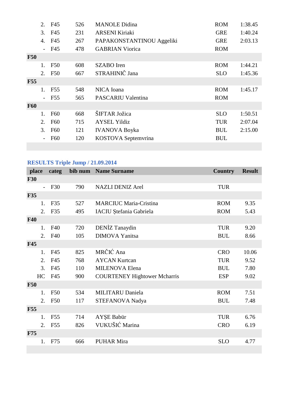|            | 2.             | F45             | 526 | <b>MANOLE</b> Didina      | <b>ROM</b> | 1:38.45 |
|------------|----------------|-----------------|-----|---------------------------|------------|---------|
|            | 3.             | F45             | 231 | <b>ARSENI Kiriaki</b>     | <b>GRE</b> | 1:40.24 |
|            | 4.             | F45             | 267 | PAPAKONSTANTINOU Aggeliki | <b>GRE</b> | 2:03.13 |
|            | $\sim$         | F45             | 478 | <b>GABRIAN Viorica</b>    | <b>ROM</b> |         |
| <b>F50</b> |                |                 |     |                           |            |         |
|            | $\mathbf{1}$ . | <b>F50</b>      | 608 | SZABO Iren                | <b>ROM</b> | 1:44.21 |
|            | 2.             | F50             | 667 | STRAHINIČ Jana            | <b>SLO</b> | 1:45.36 |
| <b>F55</b> |                |                 |     |                           |            |         |
|            | $1_{\cdot}$    | F <sub>55</sub> | 548 | NICA Ioana                | <b>ROM</b> | 1:45.17 |
|            |                | $-$ F55         | 565 | <b>PASCARIU Valentina</b> | <b>ROM</b> |         |
| <b>F60</b> |                |                 |     |                           |            |         |
|            | $1_{-}$        | F <sub>60</sub> | 668 | ŠIFTAR Jožica             | <b>SLO</b> | 1:50.51 |
|            | 2.             | F <sub>60</sub> | 715 | <b>AYSEL Yildiz</b>       | <b>TUR</b> | 2:07.04 |
|            | 3.             | F <sub>60</sub> | 121 | <b>IVANOVA Boyka</b>      | <b>BUL</b> | 2:15.00 |
|            |                | F <sub>60</sub> | 120 | KOSTOVA Septemvrina       | <b>BUL</b> |         |
|            |                |                 |     |                           |            |         |

# **RESULTS Triple Jump / 21.09.2014**

|            | place                    | categ           | bib num | <b>Name Surname</b>                 | <b>Country</b> | <b>Result</b> |
|------------|--------------------------|-----------------|---------|-------------------------------------|----------------|---------------|
| <b>F30</b> |                          |                 |         |                                     |                |               |
|            | $\overline{\phantom{0}}$ | F30             | 790     | <b>NAZLI DENIZ Arel</b>             | <b>TUR</b>     |               |
| <b>F35</b> |                          |                 |         |                                     |                |               |
|            | 1.                       | F35             | 527     | <b>MARCIUC Maria-Cristina</b>       | <b>ROM</b>     | 9.35          |
|            | 2.                       | F35             | 495     | IACIU Ștefania Gabriela             | <b>ROM</b>     | 5.43          |
| <b>F40</b> |                          |                 |         |                                     |                |               |
|            | 1.                       | F40             | 720     | DENIZ Tanaydin                      | <b>TUR</b>     | 9.20          |
|            | 2.                       | F40             | 105     | <b>DIMOVA</b> Yanitsa               | <b>BUL</b>     | 8.66          |
| <b>F45</b> |                          |                 |         |                                     |                |               |
|            | 1.                       | F45             | 825     | MRČIĆ Ana                           | <b>CRO</b>     | 10.06         |
|            | 2.                       | F45             | 768     | <b>AYCAN Kurtcan</b>                | <b>TUR</b>     | 9.52          |
|            | 3.                       | F45             | 110     | <b>MILENOVA Elena</b>               | <b>BUL</b>     | 7.80          |
|            | HC                       | F45             | 900     | <b>COURTENEY Hightower Mcharris</b> | <b>ESP</b>     | 9.02          |
| <b>F50</b> |                          |                 |         |                                     |                |               |
|            | 1.                       | <b>F50</b>      | 534     | <b>MILITARU Daniela</b>             | <b>ROM</b>     | 7.51          |
|            | 2.                       | F50             | 117     | STEFANOVA Nadya                     | <b>BUL</b>     | 7.48          |
| <b>F55</b> |                          |                 |         |                                     |                |               |
|            | 1.                       | F <sub>55</sub> | 714     | AYŞE Babür                          | <b>TUR</b>     | 6.76          |
|            | 2.                       | F <sub>55</sub> | 826     | VUKUŠIĆ Marina                      | <b>CRO</b>     | 6.19          |
| <b>F75</b> |                          |                 |         |                                     |                |               |
|            | 1.                       | F75             | 666     | <b>PUHAR Mira</b>                   | <b>SLO</b>     | 4.77          |
|            |                          |                 |         |                                     |                |               |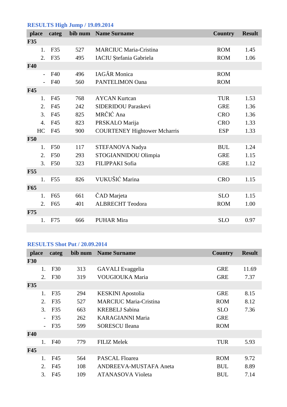# **RESULTS High Jump / 19.09.2014**

| place      | categ                 |     | bib num Name Surname                | <b>Country</b> | <b>Result</b> |
|------------|-----------------------|-----|-------------------------------------|----------------|---------------|
| <b>F35</b> |                       |     |                                     |                |               |
| 1.         | F35                   | 527 | <b>MARCIUC Maria-Cristina</b>       | <b>ROM</b>     | 1.45          |
| 2.         | F35                   | 495 | IACIU Ștefania Gabriela             | <b>ROM</b>     | 1.06          |
| <b>F40</b> |                       |     |                                     |                |               |
|            | F40<br>$\blacksquare$ | 496 | <b>IAGĂR</b> Monica                 | <b>ROM</b>     |               |
|            | F40                   | 560 | <b>PANTELIMON Oana</b>              | <b>ROM</b>     |               |
| <b>F45</b> |                       |     |                                     |                |               |
| 1.         | F45                   | 768 | <b>AYCAN Kurtcan</b>                | <b>TUR</b>     | 1.53          |
| 2.         | F45                   | 242 | <b>SIDERIDOU Paraskevi</b>          | <b>GRE</b>     | 1.36          |
| 3.         | F45                   | 825 | MRČIĆ Ana                           | <b>CRO</b>     | 1.36          |
| 4.         | F45                   | 823 | PRSKALO Marija                      | <b>CRO</b>     | 1.33          |
| HC         | F45                   | 900 | <b>COURTENEY Hightower Mcharris</b> | <b>ESP</b>     | 1.33          |
| <b>F50</b> |                       |     |                                     |                |               |
| 1.         | <b>F50</b>            | 117 | STEFANOVA Nadya                     | <b>BUL</b>     | 1.24          |
| 2.         | F50                   | 293 | STOGIANNIDOU Olimpia                | <b>GRE</b>     | 1.15          |
| 3.         | <b>F50</b>            | 323 | FILIPPAKI Sofia                     | <b>GRE</b>     | 1.12          |
| <b>F55</b> |                       |     |                                     |                |               |
| 1.         | F <sub>55</sub>       | 826 | VUKUŠIĆ Marina                      | <b>CRO</b>     | 1.15          |
| F65        |                       |     |                                     |                |               |
| 1.         | F65                   | 661 | ČAD Marjeta                         | <b>SLO</b>     | 1.15          |
| 2.         | F65                   | 401 | <b>ALBRECHT Teodora</b>             | <b>ROM</b>     | 1.00          |
| F75        |                       |     |                                     |                |               |
| 1.         | F75                   | 666 | <b>PUHAR Mira</b>                   | <b>SLO</b>     | 0.97          |
|            |                       |     |                                     |                |               |

# **RESULTS Shot Put / 20.09.2014**

| place      |                          | categ | bib num | <b>Name Surname</b>           | <b>Country</b> | <b>Result</b> |
|------------|--------------------------|-------|---------|-------------------------------|----------------|---------------|
| <b>F30</b> |                          |       |         |                               |                |               |
|            | 1.                       | F30   | 313     | <b>GAVALI</b> Evaggelia       | <b>GRE</b>     | 11.69         |
|            | 2.                       | F30   | 319     | VOUGIOUKA Maria               | <b>GRE</b>     | 7.37          |
| <b>F35</b> |                          |       |         |                               |                |               |
|            | 1.                       | F35   | 294     | <b>KESKINI</b> Apostolia      | <b>GRE</b>     | 8.15          |
|            | 2.                       | F35   | 527     | <b>MARCIUC Maria-Cristina</b> | <b>ROM</b>     | 8.12          |
|            | 3.                       | F35   | 663     | <b>KREBELJ Sabina</b>         | <b>SLO</b>     | 7.36          |
|            | $\overline{\phantom{a}}$ | F35   | 262     | <b>KARAGIANNI Maria</b>       | <b>GRE</b>     |               |
|            |                          | F35   | 599     | <b>SORESCU</b> Ileana         | <b>ROM</b>     |               |
| <b>F40</b> |                          |       |         |                               |                |               |
|            | 1.                       | F40   | 779     | <b>FILIZ Melek</b>            | <b>TUR</b>     | 5.93          |
| <b>F45</b> |                          |       |         |                               |                |               |
|            | 1.                       | F45   | 564     | <b>PASCAL Floarea</b>         | <b>ROM</b>     | 9.72          |
|            | 2.                       | F45   | 108     | <b>ANDREEVA-MUSTAFA Aneta</b> | <b>BUL</b>     | 8.89          |
|            | 3.                       | F45   | 109     | <b>ATANASOVA Violeta</b>      | <b>BUL</b>     | 7.14          |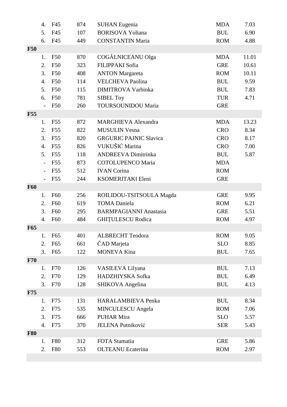|            | 4.             | F45             | 874 | <b>SUHAN Eugenia</b>          | <b>MDA</b>                       | 7.03  |
|------------|----------------|-----------------|-----|-------------------------------|----------------------------------|-------|
|            | 5.             | F45             | 107 | <b>BORISOVA Yoliana</b>       | $\mathbf{B}\mathbf{U}\mathbf{L}$ | 6.90  |
|            | 6.             | F45             | 449 | <b>CONSTANTIN Maria</b>       | <b>ROM</b>                       | 4.88  |
| <b>F50</b> |                |                 |     |                               |                                  |       |
|            | 1.             | <b>F50</b>      | 870 | COGĂLNICEANU Olga             | <b>MDA</b>                       | 11.01 |
|            | 2.             | F50             | 323 | FILIPPAKI Sofia               | <b>GRE</b>                       | 10.61 |
|            | 3.             | F50             | 408 | <b>ANTON Margareta</b>        | <b>ROM</b>                       | 10.11 |
|            | 4.             | F50             | 114 | <b>VELCHEVA Paolina</b>       | <b>BUL</b>                       | 9.59  |
|            | 5.             | F50             | 115 | <b>DIMITROVA Varbinka</b>     | <b>BUL</b>                       | 7.83  |
|            | 6.             | F50             | 781 | <b>SIBEL Toy</b>              | <b>TUR</b>                       | 4.71  |
|            |                | F50             | 260 | <b>TOURSOUNIDOU Maria</b>     | <b>GRE</b>                       |       |
| <b>F55</b> |                |                 |     |                               |                                  |       |
|            | 1.             | F <sub>55</sub> | 872 | <b>MARGHIEVA Alexandra</b>    | <b>MDA</b>                       | 13.23 |
|            | 2.             | F <sub>55</sub> | 822 | <b>MUSULIN Vesna</b>          | <b>CRO</b>                       | 8.34  |
|            | 3.             | F <sub>55</sub> | 820 | <b>GRGURIC PAJNIC Slavica</b> | <b>CRO</b>                       | 8.17  |
|            | 4.             | F <sub>55</sub> | 826 | VUKUŠIĆ Marina                | <b>CRO</b>                       | 7.00  |
|            | 5.             | F <sub>55</sub> | 118 | <b>ANDREEVA Dimitrinka</b>    | <b>BUL</b>                       | 5.87  |
|            | $\overline{a}$ | F <sub>55</sub> | 873 | <b>COTOLUPENCO Maria</b>      | <b>MDA</b>                       |       |
|            |                | F <sub>55</sub> | 512 | <b>IVAN</b> Corina            | <b>ROM</b>                       |       |
|            |                | F55             | 244 | KSOMERITAKI Eleni             | <b>GRE</b>                       |       |
| <b>F60</b> |                |                 |     |                               |                                  |       |
|            | 1.             | F <sub>60</sub> | 256 | ROILIDOU-TSITSOULA Magda      | <b>GRE</b>                       | 9.95  |
|            | 2.             | <b>F60</b>      | 619 | <b>TOMA Daniela</b>           | <b>ROM</b>                       | 6.21  |
|            | 3.             | F60             | 295 | <b>BARMPAGIANNI Anastasia</b> | <b>GRE</b>                       | 5.51  |
|            | 4.             | F60             | 484 | <b>GHITULESCU Rodica</b>      | <b>ROM</b>                       | 4.97  |
| <b>F65</b> |                |                 |     |                               |                                  |       |
|            | 1.             | F <sub>65</sub> | 401 | <b>ALBRECHT</b> Teodora       | <b>ROM</b>                       | 9.05  |
|            | 2.             | F65             | 661 | ČAD Marjeta                   | <b>SLO</b>                       | 8.85  |
|            | 3.             | F65             | 122 | <b>MONEVA Kina</b>            | <b>BUL</b>                       | 7.65  |
| <b>F70</b> |                |                 |     |                               |                                  |       |
|            | 1.             | F70             | 126 | VASILEVA Lilyana              | <b>BUL</b>                       | 7.13  |
|            | 2.             | F70             | 129 | HADZHIYSKA Sofka              | <b>BUL</b>                       | 6.49  |
|            | 3.             | F70             | 128 | SHIKOVA Angelina              | <b>BUL</b>                       | 4.13  |
| <b>F75</b> |                |                 |     |                               |                                  |       |
|            | 1.             | F75             | 131 | <b>HARALAMBIEVA Penka</b>     | <b>BUL</b>                       | 8.34  |
|            | 2.             | F75             | 535 | <b>MINCULESCU</b> Angela      | <b>ROM</b>                       | 7.06  |
|            | 3.             | F75             | 666 | <b>PUHAR Mira</b>             | <b>SLO</b>                       | 5.57  |
|            | 4.             | F75             | 370 | JELENA Putniković             | <b>SER</b>                       | 5.43  |
| <b>F80</b> |                |                 |     |                               |                                  |       |
|            | 1.             | <b>F80</b>      | 312 | FOTA Stamatia                 | <b>GRE</b>                       | 5.86  |
|            | 2.             | <b>F80</b>      | 553 | <b>OLTEANU</b> Ecaterina      | <b>ROM</b>                       | 2.97  |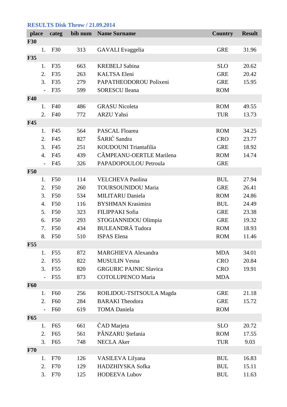# **RESULTS Disk Throw / 21.09.2014**

| place      |                  | categ           |     | bib num Name Surname          | <b>Country</b> | <b>Result</b> |
|------------|------------------|-----------------|-----|-------------------------------|----------------|---------------|
| <b>F30</b> |                  |                 |     |                               |                |               |
|            | 1.               | F30             | 313 | <b>GAVALI</b> Evaggelia       | <b>GRE</b>     | 31.96         |
| <b>F35</b> |                  |                 |     |                               |                |               |
|            | 1.               | F35             | 663 | <b>KREBELJ Sabina</b>         | <b>SLO</b>     | 20.62         |
|            | 2.               | F35             | 263 | <b>KALTSA Eleni</b>           | <b>GRE</b>     | 20.42         |
|            | 3.               | F35             | 279 | PAPATHEODOROU Polixeni        | <b>GRE</b>     | 15.95         |
|            |                  | F35             | 599 | <b>SORESCU Ileana</b>         | <b>ROM</b>     |               |
| <b>F40</b> |                  |                 |     |                               |                |               |
|            | 1.               | F40             | 486 | <b>GRASU Nicoleta</b>         | <b>ROM</b>     | 49.55         |
|            | 2.               | F40             | 772 | <b>ARZU Yahsi</b>             | <b>TUR</b>     | 13.73         |
| <b>F45</b> |                  |                 |     |                               |                |               |
|            | 1.               | F45             | 564 | <b>PASCAL Floarea</b>         | <b>ROM</b>     | 34.25         |
|            | 2.               | F45             | 827 | ŠARIĆ Sandra                  | <b>CRO</b>     | 23.77         |
|            | 3.               | F45             | 251 | KOUDOUNI Triantafilia         | <b>GRE</b>     | 18.92         |
|            | $\overline{4}$ . | F45             | 439 | CÂMPEANU-OERTLE Marilena      | <b>ROM</b>     | 14.74         |
|            |                  | F45             | 326 | PAPADOPOULOU Petroula         | <b>GRE</b>     |               |
| <b>F50</b> |                  |                 |     |                               |                |               |
|            | 1.               | F50             | 114 | <b>VELCHEVA Paolina</b>       | <b>BUL</b>     | 27.94         |
|            | 2.               | <b>F50</b>      | 260 | <b>TOURSOUNIDOU Maria</b>     | <b>GRE</b>     | 26.41         |
|            | 3.               | <b>F50</b>      | 534 | <b>MILITARU Daniela</b>       | <b>ROM</b>     | 24.86         |
|            | 4.               | <b>F50</b>      | 116 | <b>BYSHMAN Krasimira</b>      | <b>BUL</b>     | 24.49         |
|            | 5.               | <b>F50</b>      | 323 | FILIPPAKI Sofia               | <b>GRE</b>     | 23.38         |
|            | 6.               | F50             | 293 | STOGIANNIDOU Olimpia          | <b>GRE</b>     | 19.32         |
|            | 7.               | <b>F50</b>      | 434 | <b>BULEANDRĂ</b> Tudora       | <b>ROM</b>     | 18.93         |
|            | 8.               | F50             | 510 | <b>ISPAS</b> Elena            | <b>ROM</b>     | 11.46         |
| <b>F55</b> |                  |                 |     |                               |                |               |
|            | 1.               | F <sub>55</sub> | 872 | <b>MARGHIEVA Alexandra</b>    | <b>MDA</b>     | 34.01         |
|            | 2.               | F <sub>55</sub> | 822 | <b>MUSULIN Vesna</b>          | <b>CRO</b>     | 20.84         |
|            | 3.               | F <sub>55</sub> | 820 | <b>GRGURIC PAJNIC Slavica</b> | <b>CRO</b>     | 19.91         |
|            |                  | F <sub>55</sub> | 873 | <b>COTOLUPENCO Maria</b>      | <b>MDA</b>     |               |
| <b>F60</b> |                  |                 |     |                               |                |               |
|            | 1.               | F60             | 256 | ROILIDOU-TSITSOULA Magda      | <b>GRE</b>     | 21.18         |
|            | 2.               | F <sub>60</sub> | 284 | <b>BARAKI</b> Theodora        | <b>GRE</b>     | 15.72         |
|            |                  | F60             | 619 | <b>TOMA Daniela</b>           | <b>ROM</b>     |               |
| <b>F65</b> |                  |                 |     |                               |                |               |
|            | 1.               | F <sub>65</sub> | 661 | ČAD Marjeta                   | <b>SLO</b>     | 20.72         |
|            | 2.               | F65             | 561 | PÂNZARU Ștefania              | <b>ROM</b>     | 17.55         |
|            | 3.               | F <sub>65</sub> | 748 | <b>NECLA Aker</b>             | <b>TUR</b>     | 9.03          |
| F70        |                  |                 |     |                               |                |               |
|            | 1.               | F70             | 126 | VASILEVA Lilyana              | <b>BUL</b>     | 16.83         |
|            | 2.               | F70             | 129 | HADZHIYSKA Sofka              | <b>BUL</b>     | 15.11         |
|            | 3.               | F70             | 125 | <b>HODEEVA Lubov</b>          | <b>BUL</b>     | 11.63         |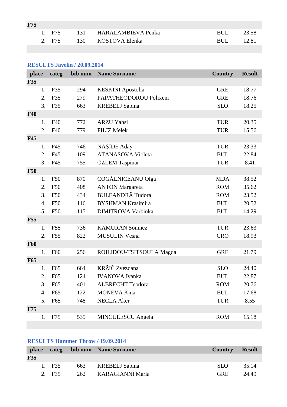| <b>F75</b> |        |                        |      |       |
|------------|--------|------------------------|------|-------|
|            | 1. F75 | 131 HARALAMBIEVA Penka | BUL. | 23.58 |
|            | 2. F75 | 130 KOSTOVA Elenka     | RUL. | 12.81 |

# **RESULTS Javelin / 20.09.2014**

| place      |    | categ           | bib num | <b>Name Surname</b>       | <b>Country</b> | <b>Result</b> |
|------------|----|-----------------|---------|---------------------------|----------------|---------------|
| <b>F35</b> |    |                 |         |                           |                |               |
|            | 1. | F35             | 294     | <b>KESKINI</b> Apostolia  | <b>GRE</b>     | 18.77         |
|            | 2. | F35             | 279     | PAPATHEODOROU Polixeni    | <b>GRE</b>     | 18.76         |
|            | 3. | F35             | 663     | <b>KREBELJ</b> Sabina     | <b>SLO</b>     | 18.25         |
| <b>F40</b> |    |                 |         |                           |                |               |
|            | 1. | F40             | 772     | <b>ARZU Yahsi</b>         | <b>TUR</b>     | 20.35         |
|            | 2. | F40             | 779     | <b>FILIZ Melek</b>        | <b>TUR</b>     | 15.56         |
| <b>F45</b> |    |                 |         |                           |                |               |
|            | 1. | F45             | 746     | <b>NASIDE</b> Aday        | <b>TUR</b>     | 23.33         |
|            | 2. | F45             | 109     | <b>ATANASOVA Violeta</b>  | <b>BUL</b>     | 22.84         |
|            | 3. | F45             | 755     | ÖZLEM Taşpinar            | <b>TUR</b>     | 8.41          |
| <b>F50</b> |    |                 |         |                           |                |               |
|            | 1. | <b>F50</b>      | 870     | COGĂLNICEANU Olga         | <b>MDA</b>     | 38.52         |
|            | 2. | <b>F50</b>      | 408     | <b>ANTON Margareta</b>    | <b>ROM</b>     | 35.62         |
|            | 3. | F50             | 434     | <b>BULEANDRĂ</b> Tudora   | <b>ROM</b>     | 23.52         |
|            | 4. | F50             | 116     | <b>BYSHMAN Krasimira</b>  | <b>BUL</b>     | 20.52         |
|            | 5. | <b>F50</b>      | 115     | <b>DIMITROVA Varbinka</b> | <b>BUL</b>     | 14.29         |
| <b>F55</b> |    |                 |         |                           |                |               |
|            | 1. | F <sub>55</sub> | 736     | <b>KAMURAN Sönmez</b>     | <b>TUR</b>     | 23.63         |
|            | 2. | F <sub>55</sub> | 822     | <b>MUSULIN Vesna</b>      | <b>CRO</b>     | 18.93         |
| <b>F60</b> |    |                 |         |                           |                |               |
|            | 1. | F <sub>60</sub> | 256     | ROILIDOU-TSITSOULA Magda  | <b>GRE</b>     | 21.79         |
| <b>F65</b> |    |                 |         |                           |                |               |
|            | 1. | F65             | 664     | KRŽIČ Zvezdana            | <b>SLO</b>     | 24.40         |
|            | 2. | F <sub>65</sub> | 124     | <b>IVANOVA</b> Ivanka     | <b>BUL</b>     | 22.87         |
|            | 3. | F <sub>65</sub> | 401     | <b>ALBRECHT</b> Teodora   | <b>ROM</b>     | 20.76         |
|            | 4. | F65             | 122     | <b>MONEVA Kina</b>        | <b>BUL</b>     | 17.68         |
|            | 5. | F65             | 748     | <b>NECLA</b> Aker         | <b>TUR</b>     | 8.55          |
| F75        |    |                 |         |                           |                |               |
|            | 1. | F75             | 535     | <b>MINCULESCU</b> Angela  | <b>ROM</b>     | 15.18         |

# **RESULTS Hammer Throw / 19.09.2014**

|            |        | place categ bib num Name Surname | <b>Country</b> | <b>Result</b> |
|------------|--------|----------------------------------|----------------|---------------|
| <b>F35</b> |        |                                  |                |               |
|            | 1. F35 | 663 KREBELJ Sabina               | SLO.           | - 35.14       |
|            | 2. F35 | 262 KARAGIANNI Maria             | <b>GRE</b>     | 24.49         |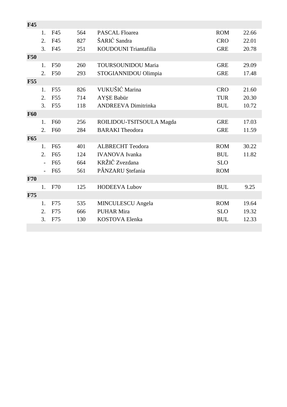| F45        |    |                 |     |                            |            |       |
|------------|----|-----------------|-----|----------------------------|------------|-------|
|            | 1. | F45             | 564 | PASCAL Floarea             | <b>ROM</b> | 22.66 |
|            | 2. | F45             | 827 | ŠARIĆ Sandra               | <b>CRO</b> | 22.01 |
|            | 3. | F45             | 251 | KOUDOUNI Triantafilia      | <b>GRE</b> | 20.78 |
| <b>F50</b> |    |                 |     |                            |            |       |
|            | 1. | <b>F50</b>      | 260 | <b>TOURSOUNIDOU Maria</b>  | <b>GRE</b> | 29.09 |
|            | 2. | F50             | 293 | STOGIANNIDOU Olimpia       | <b>GRE</b> | 17.48 |
| <b>F55</b> |    |                 |     |                            |            |       |
|            | 1. | F <sub>55</sub> | 826 | VUKUŠIĆ Marina             | <b>CRO</b> | 21.60 |
|            | 2. | F <sub>55</sub> | 714 | AYŞE Babür                 | <b>TUR</b> | 20.30 |
|            | 3. | F <sub>55</sub> | 118 | <b>ANDREEVA Dimitrinka</b> | <b>BUL</b> | 10.72 |
| <b>F60</b> |    |                 |     |                            |            |       |
|            | 1. | F60             | 256 | ROILIDOU-TSITSOULA Magda   | <b>GRE</b> | 17.03 |
|            | 2. | F60             | 284 | <b>BARAKI</b> Theodora     | <b>GRE</b> | 11.59 |
| <b>F65</b> |    |                 |     |                            |            |       |
|            | 1. | F65             | 401 | <b>ALBRECHT Teodora</b>    | <b>ROM</b> | 30.22 |
|            | 2. | F65             | 124 | <b>IVANOVA</b> Ivanka      | <b>BUL</b> | 11.82 |
|            |    | F65             | 664 | KRŽIČ Zvezdana             | <b>SLO</b> |       |
|            |    | F65             | 561 | PÂNZARU Ștefania           | <b>ROM</b> |       |
| F70        |    |                 |     |                            |            |       |
|            | 1. | F70             | 125 | <b>HODEEVA Lubov</b>       | <b>BUL</b> | 9.25  |
| <b>F75</b> |    |                 |     |                            |            |       |
|            | 1. | F75             | 535 | <b>MINCULESCU</b> Angela   | <b>ROM</b> | 19.64 |
|            | 2. | F75             | 666 | <b>PUHAR Mira</b>          | <b>SLO</b> | 19.32 |
|            | 3. | F75             | 130 | <b>KOSTOVA Elenka</b>      | <b>BUL</b> | 12.33 |
|            |    |                 |     |                            |            |       |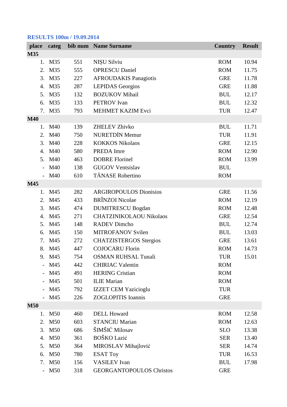#### **RESULTS 100m / 19.09.2014**

| place                    | categ  |     | bib num Name Surname            | <b>Country</b> | <b>Result</b> |
|--------------------------|--------|-----|---------------------------------|----------------|---------------|
| M35                      |        |     |                                 |                |               |
|                          | 1. M35 | 551 | NIŞU Silviu                     | <b>ROM</b>     | 10.94         |
| 2.                       | M35    | 555 | <b>OPRESCU Daniel</b>           | <b>ROM</b>     | 11.75         |
| 3.                       | M35    | 227 | <b>AFROUDAKIS Panagiotis</b>    | <b>GRE</b>     | 11.78         |
|                          | 4. M35 | 287 | <b>LEPIDAS</b> Georgios         | <b>GRE</b>     | 11.88         |
| 5.                       | M35    | 132 | <b>BOZUKOV Mihail</b>           | <b>BUL</b>     | 12.17         |
| 6.                       | M35    | 133 | <b>PETROV</b> Ivan              | <b>BUL</b>     | 12.32         |
|                          | 7. M35 | 793 | MEHMET KAZIM Evci               | <b>TUR</b>     | 12.47         |
| <b>M40</b>               |        |     |                                 |                |               |
|                          | 1. M40 | 139 | <b>ZHELEV Zhivko</b>            | <b>BUL</b>     | 11.71         |
| 2.                       | M40    | 750 | <b>NURETDİN Memur</b>           | <b>TUR</b>     | 11.91         |
|                          | 3. M40 | 228 | <b>KOKKOS Nikolaos</b>          | <b>GRE</b>     | 12.15         |
| 4.                       | M40    | 580 | PREDA Imre                      | <b>ROM</b>     | 12.90         |
| 5.                       | M40    | 463 | <b>DOBRE Florinel</b>           | <b>ROM</b>     | 13.99         |
| $-$                      | M40    | 138 | <b>GUGOV Ventsislav</b>         | <b>BUL</b>     |               |
| $\overline{\phantom{0}}$ | M40    | 610 | <b>TĂNASE</b> Robertino         | <b>ROM</b>     |               |
| M45                      |        |     |                                 |                |               |
|                          | 1. M45 | 282 | <b>ARGIROPOULOS Dionisios</b>   | <b>GRE</b>     | 11.56         |
| 2.                       | M45    | 433 | <b>BRÎNZOI</b> Nicolae          | <b>ROM</b>     | 12.19         |
| 3.                       | M45    | 474 | <b>DUMITRESCU Bogdan</b>        | <b>ROM</b>     | 12.48         |
| 4.                       | M45    | 271 | <b>CHATZINIKOLAOU Nikolaos</b>  | <b>GRE</b>     | 12.54         |
|                          | 5. M45 | 148 | <b>RADEV Dimcho</b>             | <b>BUL</b>     | 12.74         |
| 6.                       | M45    | 150 | <b>MITROFANOV Svilen</b>        | <b>BUL</b>     | 13.03         |
| 7.                       | M45    | 272 | <b>CHATZISTERGOS Stergios</b>   | <b>GRE</b>     | 13.61         |
|                          | 8. M45 | 447 | <b>COJOCARU Florin</b>          | <b>ROM</b>     | 14.73         |
| 9.                       | M45    | 754 | <b>OSMAN RUHSAL Tunali</b>      | <b>TUR</b>     | 15.01         |
|                          | M45    | 442 | <b>CHIRIAC Valentin</b>         | <b>ROM</b>     |               |
|                          | M45    | 491 | <b>HERING Cristian</b>          | <b>ROM</b>     |               |
|                          | M45    | 501 | <b>ILIE</b> Marian              | <b>ROM</b>     |               |
| $\overline{\phantom{0}}$ | M45    | 792 | <b>IZZET CEM Yazicioglu</b>     | <b>TUR</b>     |               |
|                          | M45    | 226 | <b>ZOGLOPITIS</b> Ioannis       | <b>GRE</b>     |               |
| <b>M50</b>               |        |     |                                 |                |               |
|                          | 1. M50 | 460 | <b>DELL Howard</b>              | <b>ROM</b>     | 12.58         |
|                          | 2. M50 | 603 | <b>STANCIU Marian</b>           | <b>ROM</b>     | 12.63         |
|                          | 3. M50 | 686 | ŠIMŠIĆ Milosav                  | <b>SLO</b>     | 13.38         |
|                          | 4. M50 | 361 | BOŠKO Lazić                     | <b>SER</b>     | 13.40         |
| 5.                       | M50    | 364 | MIROSLAV Mihajlović             | <b>SER</b>     | 14.74         |
| 6.                       | M50    | 780 | <b>ESAT Toy</b>                 | <b>TUR</b>     | 16.53         |
|                          | 7. M50 | 156 | <b>VASILEV</b> Ivan             | <b>BUL</b>     | 17.98         |
| $\overline{a}$           | M50    | 318 | <b>GEORGANTOPOULOS Christos</b> | <b>GRE</b>     |               |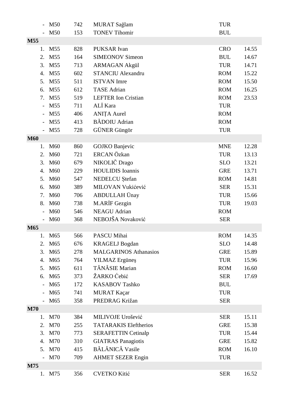|                          | M50                | 742 | MURAT Sağlam                 | <b>TUR</b> |       |
|--------------------------|--------------------|-----|------------------------------|------------|-------|
|                          | M50                | 153 | <b>TONEV Tihomir</b>         | <b>BUL</b> |       |
| M55                      |                    |     |                              |            |       |
| 1.                       | M <sub>55</sub>    | 828 | PUKSAR Ivan                  | <b>CRO</b> | 14.55 |
| 2.                       | M55                | 164 | <b>SIMEONOV Simeon</b>       | <b>BUL</b> | 14.67 |
| 3.                       | M55                | 713 | <b>ARMAGAN Akgül</b>         | <b>TUR</b> | 14.71 |
| 4.                       | M <sub>55</sub>    | 602 | <b>STANCIU Alexandru</b>     | <b>ROM</b> | 15.22 |
| 5.                       | M <sub>55</sub>    | 511 | <b>ISTVAN</b> Imre           | <b>ROM</b> | 15.50 |
| 6.                       | M55                | 612 | <b>TASE</b> Adrian           | <b>ROM</b> | 16.25 |
| 7.                       | M55                | 519 | <b>LEFTER</b> Ion Cristian   | <b>ROM</b> | 23.53 |
| $\overline{\phantom{a}}$ | M55                | 711 | ALİ Kara                     | <b>TUR</b> |       |
|                          | M55                | 406 | <b>ANIȚA Aurel</b>           | <b>ROM</b> |       |
|                          | M <sub>55</sub>    | 413 | <b>BĂDOIU</b> Adrian         | <b>ROM</b> |       |
|                          | M <sub>55</sub>    | 728 | GÜNER Güngör                 | <b>TUR</b> |       |
| <b>M60</b>               |                    |     |                              |            |       |
| 1.                       | M60                | 860 | <b>GOJKO</b> Banjevic        | <b>MNE</b> | 12.28 |
| 2.                       | M60                | 721 | ERCAN Özkan                  | <b>TUR</b> | 13.13 |
| 3.                       | M60                | 679 | NIKOLIČ Drago                | <b>SLO</b> | 13.21 |
| 4.                       | M60                | 229 | <b>HOULIDIS</b> Ioannis      | <b>GRE</b> | 13.71 |
| 5.                       | M60                | 547 | NEDELCU Ştefan               | <b>ROM</b> | 14.81 |
| 6.                       | M60                | 389 | MILOVAN Vukićević            | <b>SER</b> | 15.31 |
| 7.                       | M60                | 706 | ABDULLAH Ünay                | <b>TUR</b> | 15.66 |
| 8.                       | M60                | 738 | M.ARİF Gezgin                | <b>TUR</b> | 19.03 |
|                          | M60                | 546 | <b>NEAGU</b> Adrian          | <b>ROM</b> |       |
|                          | M <sub>60</sub>    | 368 | NEBOJŠA Novaković            | <b>SER</b> |       |
| M65                      |                    |     |                              |            |       |
|                          | M65                | 566 | PASCU Mihai                  | <b>ROM</b> | 14.35 |
|                          | 2. M <sub>65</sub> | 676 | <b>KRAGELJ</b> Bogdan        | <b>SLO</b> | 14.48 |
| 3.                       | M65                | 278 | <b>MALGARINOS Athanasios</b> | <b>GRE</b> | 15.89 |
| 4.                       | M65                | 764 | <b>YILMAZ</b> Ergüneş        | <b>TUR</b> | 15.96 |
| 5.                       | M <sub>65</sub>    | 611 | TĂNĂSIE Marian               | <b>ROM</b> | 16.60 |
| 6.                       | M65                | 373 | ŽARKO Ćebić                  | <b>SER</b> | 17.69 |
|                          | M65                | 172 | <b>KASABOV Tashko</b>        | <b>BUL</b> |       |
|                          | M65                | 741 | MURAT Kaçar                  | <b>TUR</b> |       |
|                          | M65                | 358 | PREDRAG Križan               | <b>SER</b> |       |
| <b>M70</b>               |                    |     |                              |            |       |
| 1.                       | M70                | 384 | MILIVOJE Urošević            | <b>SER</b> | 15.11 |
| 2.                       | M70                | 255 | <b>TATARAKIS Eleftherios</b> | <b>GRE</b> | 15.38 |
| 3.                       | M70                | 773 | <b>SERAFETTIN Cetinalp</b>   | <b>TUR</b> | 15.44 |
| 4.                       | M70                | 310 | <b>GIATRAS Panagiotis</b>    | <b>GRE</b> | 15.82 |
| 5.                       | M70                | 415 | BĂLĂNICĂ Vasile              | <b>ROM</b> | 16.10 |
|                          | M70                | 709 | <b>AHMET SEZER Engin</b>     | <b>TUR</b> |       |
| M75                      |                    |     |                              |            |       |
| 1.                       | M75                | 356 | <b>CVETKO Kitić</b>          | <b>SER</b> | 16.52 |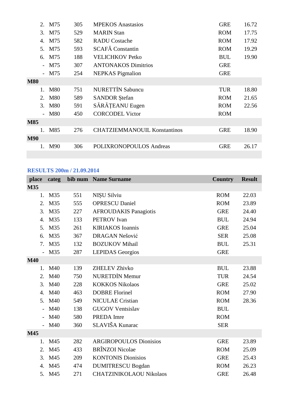|            |                          | 2. M75     | 305 | <b>MPEKOS</b> Anastasios            | <b>GRE</b> | 16.72 |
|------------|--------------------------|------------|-----|-------------------------------------|------------|-------|
|            |                          | 3. M75     | 529 | <b>MARIN Stan</b>                   | <b>ROM</b> | 17.75 |
|            | 4.                       | M75        | 582 | <b>RADU</b> Costache                | <b>ROM</b> | 17.92 |
|            |                          | 5. M75     | 593 | <b>SCAFĂ</b> Constantin             | <b>ROM</b> | 19.29 |
|            |                          | 6. M75     | 188 | <b>VELICHKOV Petko</b>              | <b>BUL</b> | 19.90 |
|            | $\overline{\phantom{0}}$ | M75        | 307 | <b>ANTONAKOS Dimitrios</b>          | <b>GRE</b> |       |
|            |                          | $-M75$     | 254 | <b>NEPKAS</b> Pigmalion             | <b>GRE</b> |       |
| <b>M80</b> |                          |            |     |                                     |            |       |
|            | $1_{-}$                  | <b>M80</b> | 751 | <b>NURETTIN Sabuncu</b>             | <b>TUR</b> | 18.80 |
|            | 2.                       | <b>M80</b> | 589 | <b>SANDOR</b> Stefan                | <b>ROM</b> | 21.65 |
|            |                          | 3. M80     | 591 | SĂRĂȚEANU Eugen                     | <b>ROM</b> | 22.56 |
|            | $\equiv$                 | <b>M80</b> | 450 | <b>CORCODEL Victor</b>              | <b>ROM</b> |       |
| <b>M85</b> |                          |            |     |                                     |            |       |
|            | 1.                       | M85        | 276 | <b>CHATZIEMMANOUIL Konstantinos</b> | <b>GRE</b> | 18.90 |
| <b>M90</b> |                          |            |     |                                     |            |       |
|            |                          | M90        | 306 | POLIXRONOPOULOS Andreas             | <b>GRE</b> | 26.17 |
|            |                          |            |     |                                     |            |       |

#### **RESULTS 200m / 21.09.2014**

| place          | categ  |     | bib num Name Surname           | <b>Country</b> | <b>Result</b> |
|----------------|--------|-----|--------------------------------|----------------|---------------|
| M35            |        |     |                                |                |               |
|                | 1. M35 | 551 | NIŞU Silviu                    | <b>ROM</b>     | 22.03         |
| 2.             | M35    | 555 | <b>OPRESCU Daniel</b>          | <b>ROM</b>     | 23.89         |
| 3.             | M35    | 227 | <b>AFROUDAKIS Panagiotis</b>   | <b>GRE</b>     | 24.40         |
| 4.             | M35    | 133 | <b>PETROV</b> Ivan             | <b>BUL</b>     | 24.94         |
|                | 5. M35 | 261 | <b>KIRIAKOS</b> Ioannis        | <b>GRE</b>     | 25.04         |
| 6.             | M35    | 367 | DRAGAN Nešović                 | <b>SER</b>     | 25.08         |
|                | 7. M35 | 132 | <b>BOZUKOV Mihail</b>          | <b>BUL</b>     | 25.31         |
|                | M35    | 287 | <b>LEPIDAS</b> Georgios        | <b>GRE</b>     |               |
| <b>M40</b>     |        |     |                                |                |               |
| 1.             | M40    | 139 | <b>ZHELEV Zhivko</b>           | <b>BUL</b>     | 23.88         |
| 2.             | M40    | 750 | <b>NURETDIN Memur</b>          | <b>TUR</b>     | 24.54         |
| 3.             | M40    | 228 | <b>KOKKOS Nikolaos</b>         | <b>GRE</b>     | 25.02         |
| 4.             | M40    | 463 | <b>DOBRE Florinel</b>          | <b>ROM</b>     | 27.90         |
| 5.             | M40    | 549 | <b>NICULAE</b> Cristian        | <b>ROM</b>     | 28.36         |
| $\overline{a}$ | M40    | 138 | <b>GUGOV Ventsislav</b>        | <b>BUL</b>     |               |
|                | M40    | 580 | PREDA Imre                     | <b>ROM</b>     |               |
|                | M40    | 360 | SLAVIŠA Kunarac                | <b>SER</b>     |               |
| M45            |        |     |                                |                |               |
| 1.             | M45    | 282 | <b>ARGIROPOULOS Dionisios</b>  | <b>GRE</b>     | 23.89         |
| 2.             | M45    | 433 | <b>BRÎNZOI Nicolae</b>         | <b>ROM</b>     | 25.09         |
| 3.             | M45    | 209 | <b>KONTONIS Dionisios</b>      | <b>GRE</b>     | 25.43         |
| 4.             | M45    | 474 | <b>DUMITRESCU Bogdan</b>       | <b>ROM</b>     | 26.23         |
|                | 5. M45 | 271 | <b>CHATZINIKOLAOU Nikolaos</b> | <b>GRE</b>     | 26.48         |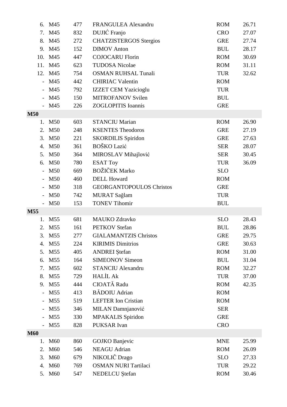| 6.                       | M45             | 477 | FRANGULEA Alexandru             | <b>ROM</b> | 26.71 |
|--------------------------|-----------------|-----|---------------------------------|------------|-------|
| 7.                       | M45             | 832 | DUJIĆ Franjo                    | <b>CRO</b> | 27.07 |
| 8.                       | M45             | 272 | <b>CHATZISTERGOS Stergios</b>   | <b>GRE</b> | 27.74 |
|                          | 9. M45          | 152 | <b>DIMOV</b> Anton              | <b>BUL</b> | 28.17 |
| 10.                      | M45             | 447 | <b>COJOCARU Florin</b>          | <b>ROM</b> | 30.69 |
| 11.                      | M45             | 623 | <b>TUDOSA Nicolae</b>           | <b>ROM</b> | 31.11 |
|                          | 12. M45         | 754 | <b>OSMAN RUHSAL Tunali</b>      | <b>TUR</b> | 32.62 |
| $\overline{\phantom{0}}$ | M45             | 442 | <b>CHIRIAC Valentin</b>         | <b>ROM</b> |       |
|                          | M45             | 792 | <b>IZZET CEM Yazicioglu</b>     | <b>TUR</b> |       |
|                          | M45             | 150 | <b>MITROFANOV Svilen</b>        | <b>BUL</b> |       |
|                          | M45             | 226 | <b>ZOGLOPITIS</b> Ioannis       | <b>GRE</b> |       |
| <b>M50</b>               |                 |     |                                 |            |       |
| 1.                       | M50             | 603 | <b>STANCIU Marian</b>           | <b>ROM</b> | 26.90 |
| 2.                       | M50             | 248 | <b>KSENTES Theodoros</b>        | <b>GRE</b> | 27.19 |
| 3.                       | M50             | 221 | <b>SKORDILIS</b> Spiridon       | <b>GRE</b> | 27.63 |
| 4.                       | M50             | 361 | <b>BOŠKO Lazić</b>              | <b>SER</b> | 28.07 |
| 5.                       | M50             | 364 | MIROSLAV Mihajlović             | <b>SER</b> | 30.45 |
| 6.                       | M50             | 780 | <b>ESAT Toy</b>                 | <b>TUR</b> | 36.09 |
| $\overline{a}$           | M50             | 669 | <b>BOŽIČEK Marko</b>            | <b>SLO</b> |       |
|                          | M50             | 460 | <b>DELL Howard</b>              | <b>ROM</b> |       |
|                          | M50             | 318 | <b>GEORGANTOPOULOS Christos</b> | <b>GRE</b> |       |
|                          | M50             | 742 | MURAT Sağlam                    | <b>TUR</b> |       |
|                          | M50             | 153 | <b>TONEV Tihomir</b>            | <b>BUL</b> |       |
| M55                      |                 |     |                                 |            |       |
| 1.                       | M <sub>55</sub> | 681 | <b>MAUKO Zdravko</b>            | <b>SLO</b> | 28.43 |
| 2.                       | M <sub>55</sub> | 161 | <b>PETKOV</b> Stefan            | <b>BUL</b> | 28.86 |
| 3.                       | M55             | 277 | <b>GIALAMANTZIS Christos</b>    | <b>GRE</b> | 29.75 |
| 4.                       | M <sub>55</sub> | 224 | <b>KIRIMIS Dimitrios</b>        | <b>GRE</b> | 30.63 |
| 5.                       | M55             | 405 | <b>ANDREI</b> Stefan            | <b>ROM</b> | 31.00 |
| 6.                       | M <sub>55</sub> | 164 | <b>SIMEONOV Simeon</b>          | <b>BUL</b> | 31.04 |
| 7.                       | M <sub>55</sub> | 602 | <b>STANCIU Alexandru</b>        | <b>ROM</b> | 32.27 |
| 8.                       | M <sub>55</sub> | 729 | <b>HALİL Ak</b>                 | <b>TUR</b> | 37.00 |
| 9.                       | M <sub>55</sub> | 444 | CIOATĂ Radu                     | <b>ROM</b> | 42.35 |
| $\overline{\phantom{0}}$ | M55             | 413 | <b>BĂDOIU</b> Adrian            | <b>ROM</b> |       |
|                          | M <sub>55</sub> | 519 | <b>LEFTER</b> Ion Cristian      | <b>ROM</b> |       |
|                          | M <sub>55</sub> | 346 | MILAN Damnjanović               | <b>SER</b> |       |
|                          | M <sub>55</sub> | 330 | <b>MPAKALIS</b> Spiridon        | <b>GRE</b> |       |
|                          | M <sub>55</sub> | 828 | PUKSAR Ivan                     | <b>CRO</b> |       |
| <b>M60</b>               |                 |     |                                 |            |       |
| 1.                       | M60             | 860 | <b>GOJKO</b> Banjevic           | <b>MNE</b> | 25.99 |
| 2.                       | M60             | 546 | <b>NEAGU</b> Adrian             | <b>ROM</b> | 26.09 |
| 3.                       | M60             | 679 | NIKOLIČ Drago                   | <b>SLO</b> | 27.33 |
| 4.                       | M60             | 769 | <b>OSMAN NURI Tartilaci</b>     | <b>TUR</b> | 29.22 |
| 5.                       | M60             | 547 | NEDELCU Ştefan                  | <b>ROM</b> | 30.46 |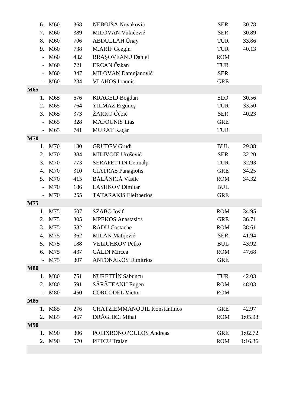|            | 6. | M60             | 368 | NEBOJŠA Novaković                   | <b>SER</b> | 30.78   |
|------------|----|-----------------|-----|-------------------------------------|------------|---------|
|            | 7. | M60             | 389 | MILOVAN Vukićević                   | <b>SER</b> | 30.89   |
|            | 8. | M60             | 706 | ABDULLAH Ünay                       | <b>TUR</b> | 33.86   |
|            |    | 9. M60          | 738 | M.ARIF Gezgin                       | <b>TUR</b> | 40.13   |
|            |    | M60             | 432 | <b>BRAȘOVEANU Daniel</b>            | <b>ROM</b> |         |
|            |    | M60             | 721 | ERCAN Özkan                         | <b>TUR</b> |         |
|            |    | M60             | 347 | MILOVAN Damnjanović                 | <b>SER</b> |         |
|            |    | M60             | 234 | <b>VLAHOS</b> Ioannis               | <b>GRE</b> |         |
| M65        |    |                 |     |                                     |            |         |
|            | 1. | M65             | 676 | <b>KRAGELJ</b> Bogdan               | <b>SLO</b> | 30.56   |
|            | 2. | M <sub>65</sub> | 764 | <b>YILMAZ</b> Ergüneş               | <b>TUR</b> | 33.50   |
|            | 3. | M65             | 373 | ŽARKO Ćebić                         | <b>SER</b> | 40.23   |
|            |    | M65             | 328 | <b>MAFOUNIS Ilias</b>               | <b>GRE</b> |         |
|            |    | M65             | 741 | MURAT Kaçar                         | <b>TUR</b> |         |
| <b>M70</b> |    |                 |     |                                     |            |         |
|            | 1. | <b>M70</b>      | 180 | <b>GRUDEV</b> Grudi                 | <b>BUL</b> | 29.88   |
|            | 2. | M70             | 384 | MILIVOJE Urošević                   | <b>SER</b> | 32.20   |
|            | 3. | M70             | 773 | <b>SERAFETTIN Cetinalp</b>          | <b>TUR</b> | 32.93   |
|            | 4. | M70             | 310 | <b>GIATRAS</b> Panagiotis           | <b>GRE</b> | 34.25   |
|            |    | 5. M70          | 415 | <b>BĂLĂNICĂ Vasile</b>              | <b>ROM</b> | 34.32   |
|            |    | M70             | 186 | <b>LASHKOV</b> Dimitar              | <b>BUL</b> |         |
|            |    | M70             | 255 | <b>TATARAKIS Eleftherios</b>        | <b>GRE</b> |         |
| M75        |    |                 |     |                                     |            |         |
|            | 1. | M75             | 607 | <b>SZABO</b> Iosif                  | <b>ROM</b> | 34.95   |
|            | 2. | M75             | 305 | <b>MPEKOS</b> Anastasios            | <b>GRE</b> | 36.71   |
|            | 3. | M75             | 582 | <b>RADU</b> Costache                | <b>ROM</b> | 38.61   |
|            | 4. | M75             | 362 | <b>MILAN</b> Matijević              | <b>SER</b> | 41.94   |
|            |    | 5. M75          | 188 | <b>VELICHKOV Petko</b>              | <b>BUL</b> | 43.92   |
|            |    | 6. M75          | 437 | <b>CĂLIN</b> Mircea                 | <b>ROM</b> | 47.68   |
|            |    | M75             | 307 | <b>ANTONAKOS Dimitrios</b>          | <b>GRE</b> |         |
| <b>M80</b> |    |                 |     |                                     |            |         |
|            | 1. | <b>M80</b>      | 751 | <b>NURETTIN Sabuncu</b>             | <b>TUR</b> | 42.03   |
|            |    | 2. M80          | 591 | SĂRĂȚEANU Eugen                     | <b>ROM</b> | 48.03   |
|            |    | <b>M80</b>      | 450 | <b>CORCODEL Victor</b>              | <b>ROM</b> |         |
| <b>M85</b> |    |                 |     |                                     |            |         |
|            | 1. | M85             | 276 | <b>CHATZIEMMANOUIL Konstantinos</b> | <b>GRE</b> | 42.97   |
|            |    | 2. M85          | 467 | DRĂGHICI Mihai                      | <b>ROM</b> | 1:05.98 |
| <b>M90</b> |    |                 |     |                                     |            |         |
|            |    | 1. M90          | 306 | POLIXRONOPOULOS Andreas             | <b>GRE</b> | 1:02.72 |
|            |    | 2. M90          | 570 | <b>PETCU</b> Traian                 | <b>ROM</b> | 1:16.36 |
|            |    |                 |     |                                     |            |         |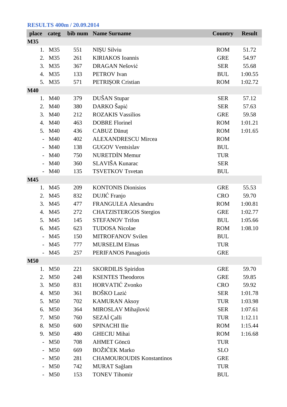# **RESULTS 400m / 20.09.2014**

| place                    | categ  |     | bib num Name Surname             | <b>Country</b> | <b>Result</b> |
|--------------------------|--------|-----|----------------------------------|----------------|---------------|
| <b>M35</b>               |        |     |                                  |                |               |
| 1.                       | M35    | 551 | NIŞU Silviu                      | <b>ROM</b>     | 51.72         |
| 2.                       | M35    | 261 | <b>KIRIAKOS</b> Ioannis          | <b>GRE</b>     | 54.97         |
| 3.                       | M35    | 367 | DRAGAN Nešović                   | <b>SER</b>     | 55.68         |
|                          | 4. M35 | 133 | <b>PETROV</b> Ivan               | <b>BUL</b>     | 1:00.55       |
| 5.                       | M35    | 571 | PETRIȘOR Cristian                | <b>ROM</b>     | 1:02.72       |
| <b>M40</b>               |        |     |                                  |                |               |
| 1.                       | M40    | 379 | DUŠAN Stupar                     | <b>SER</b>     | 57.12         |
| 2.                       | M40    | 380 | DARKO Šapić                      | <b>SER</b>     | 57.63         |
| 3.                       | M40    | 212 | <b>ROZAKIS Vassilios</b>         | <b>GRE</b>     | 59.58         |
| 4.                       | M40    | 463 | <b>DOBRE Florinel</b>            | <b>ROM</b>     | 1:01.21       |
|                          | 5. M40 | 436 | CABUZ Dănuț                      | <b>ROM</b>     | 1:01.65       |
|                          | M40    | 402 | <b>ALEXANDRESCU Mircea</b>       | <b>ROM</b>     |               |
|                          | M40    | 138 | <b>GUGOV Ventsislav</b>          | <b>BUL</b>     |               |
| $\overline{\phantom{0}}$ | M40    | 750 | <b>NURETDIN Memur</b>            | <b>TUR</b>     |               |
|                          | M40    | 360 | SLAVIŠA Kunarac                  | <b>SER</b>     |               |
|                          | M40    | 135 | <b>TSVETKOV Tsvetan</b>          | <b>BUL</b>     |               |
| M45                      |        |     |                                  |                |               |
| 1.                       | M45    | 209 | <b>KONTONIS Dionisios</b>        | <b>GRE</b>     | 55.53         |
| 2.                       | M45    | 832 | DUJIĆ Franjo                     | <b>CRO</b>     | 59.70         |
| 3.                       | M45    | 477 | FRANGULEA Alexandru              | <b>ROM</b>     | 1:00.81       |
| 4.                       | M45    | 272 | <b>CHATZISTERGOS Stergios</b>    | <b>GRE</b>     | 1:02.77       |
| 5.                       | M45    | 145 | <b>STEFANOV Trifon</b>           | <b>BUL</b>     | 1:05.66       |
| 6.                       | M45    | 623 | <b>TUDOSA Nicolae</b>            | <b>ROM</b>     | 1:08.10       |
|                          | $-M45$ | 150 | MITROFANOV Svilen                | <b>BUL</b>     |               |
|                          | $-M45$ | 777 | <b>MURSELIM Elmas</b>            | <b>TUR</b>     |               |
|                          | M45    | 257 | <b>PERIFANOS Panagiotis</b>      | <b>GRE</b>     |               |
| <b>M50</b>               |        |     |                                  |                |               |
| 1.                       | M50    | 221 | <b>SKORDILIS Spiridon</b>        | <b>GRE</b>     | 59.70         |
| 2.                       | M50    | 248 | <b>KSENTES Theodoros</b>         | <b>GRE</b>     | 59.85         |
| 3.                       | M50    | 831 | HORVATIĆ Zvonko                  | <b>CRO</b>     | 59.92         |
| 4.                       | M50    | 361 | BOŠKO Lazić                      | <b>SER</b>     | 1:01.78       |
| 5.                       | M50    | 702 | <b>KAMURAN Aksoy</b>             | <b>TUR</b>     | 1:03.98       |
| 6.                       | M50    | 364 | MIROSLAV Mihajlović              | <b>SER</b>     | 1:07.61       |
| 7.                       | M50    | 760 | SEZAİ Çalli                      | <b>TUR</b>     | 1:12.11       |
| 8.                       | M50    | 600 | <b>SPINACHI Ilie</b>             | <b>ROM</b>     | 1:15.44       |
|                          | 9. M50 | 480 | <b>GHECIU Mihai</b>              | <b>ROM</b>     | 1:16.68       |
|                          | M50    | 708 | <b>AHMET Göncü</b>               | <b>TUR</b>     |               |
|                          | M50    | 669 | <b>BOŽIČEK Marko</b>             | <b>SLO</b>     |               |
|                          | M50    | 281 | <b>CHAMOUROUDIS Konstantinos</b> | <b>GRE</b>     |               |
|                          | M50    | 742 | MURAT Sağlam                     | <b>TUR</b>     |               |
|                          | M50    | 153 | <b>TONEV Tihomir</b>             | <b>BUL</b>     |               |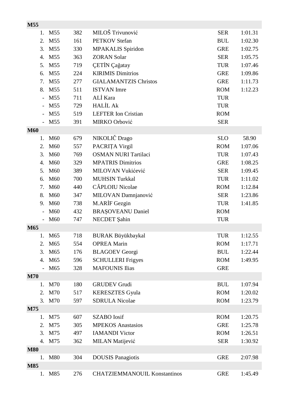| M55                      |                    |     |                                     |            |         |
|--------------------------|--------------------|-----|-------------------------------------|------------|---------|
| 1.                       | M <sub>55</sub>    | 382 | MILOŠ Trivunović                    | <b>SER</b> | 1:01.31 |
| 2.                       | M <sub>55</sub>    | 161 | <b>PETKOV</b> Stefan                | <b>BUL</b> | 1:02.30 |
| 3.                       | M55                | 330 | <b>MPAKALIS</b> Spiridon            | <b>GRE</b> | 1:02.75 |
| 4.                       | M55                | 363 | <b>ZORAN Solar</b>                  | <b>SER</b> | 1:05.75 |
| 5.                       | M <sub>55</sub>    | 719 | ÇETİN Çağatay                       | <b>TUR</b> | 1:07.46 |
| 6.                       | M <sub>55</sub>    | 224 | <b>KIRIMIS Dimitrios</b>            | <b>GRE</b> | 1:09.86 |
| 7.                       | M <sub>55</sub>    | 277 | <b>GIALAMANTZIS Christos</b>        | <b>GRE</b> | 1:11.73 |
| 8.                       | M55                | 511 | <b>ISTVAN</b> Imre                  | <b>ROM</b> | 1:12.23 |
| $\overline{\phantom{0}}$ | M55                | 711 | ALİ Kara                            | <b>TUR</b> |         |
|                          | M55                | 729 | <b>HALİL Ak</b>                     | <b>TUR</b> |         |
|                          | M55                | 519 | <b>LEFTER</b> Ion Cristian          | <b>ROM</b> |         |
|                          | M <sub>55</sub>    | 391 | MIRKO Orbović                       | <b>SER</b> |         |
| <b>M60</b>               |                    |     |                                     |            |         |
| 1.                       | M60                | 679 | NIKOLIČ Drago                       | <b>SLO</b> | 58.90   |
| 2.                       | M60                | 557 | PACRIȚA Virgil                      | <b>ROM</b> | 1:07.06 |
| 3.                       | M60                | 769 | <b>OSMAN NURI Tartilaci</b>         | <b>TUR</b> | 1:07.43 |
| 4.                       | M60                | 329 | <b>MPATRIS Dimitrios</b>            | <b>GRE</b> | 1:08.25 |
| 5.                       | M60                | 389 | MILOVAN Vukićević                   | <b>SER</b> | 1:09.45 |
| 6.                       | M60                | 700 | <b>MUHSIN Turkkal</b>               | <b>TUR</b> | 1:11.02 |
| 7.                       | M60                | 440 | CĂPLOIU Nicolae                     | <b>ROM</b> | 1:12.84 |
| 8.                       | M60                | 347 | MILOVAN Damnjanović                 | <b>SER</b> | 1:23.86 |
| 9.                       | M <sub>60</sub>    | 738 | M.ARIF Gezgin                       | <b>TUR</b> | 1:41.85 |
|                          | M60                | 432 | <b>BRAŞOVEANU Daniel</b>            | <b>ROM</b> |         |
|                          | M <sub>60</sub>    | 747 | NECDET Şahin                        | <b>TUR</b> |         |
| M65                      |                    |     |                                     |            |         |
| 1.                       | M65                | 718 | <b>BURAK Büyükbaykal</b>            | <b>TUR</b> | 1:12.55 |
|                          | 2. M <sub>65</sub> | 554 | <b>OPREA Marin</b>                  | <b>ROM</b> | 1:17.71 |
| 3.                       | M65                | 176 | <b>BLAGOEV</b> Georgi               | <b>BUL</b> | 1:22.44 |
|                          | 4. M65             | 596 | <b>SCHULLERI</b> Frigyes            | <b>ROM</b> | 1:49.95 |
|                          | M65                | 328 | <b>MAFOUNIS Ilias</b>               | <b>GRE</b> |         |
| <b>M70</b>               |                    |     |                                     |            |         |
| 1.                       | M70                | 180 | <b>GRUDEV Grudi</b>                 | <b>BUL</b> | 1:07.94 |
| 2.                       | M70                | 517 | <b>KERESZTES Gyula</b>              | <b>ROM</b> | 1:20.02 |
|                          | 3. M70             | 597 | <b>SDRULA Nicolae</b>               | <b>ROM</b> | 1:23.79 |
| M75                      |                    |     |                                     |            |         |
| 1.                       | M75                | 607 | <b>SZABO</b> Iosif                  | <b>ROM</b> | 1:20.75 |
| 2.                       | M75                | 305 | <b>MPEKOS</b> Anastasios            | <b>GRE</b> | 1:25.78 |
|                          | 3. M75             | 497 | <b>IAMANDI Victor</b>               | <b>ROM</b> | 1:26.51 |
|                          | 4. M75             | 362 | MILAN Matijević                     | <b>SER</b> | 1:30.92 |
| <b>M80</b>               |                    |     |                                     |            |         |
| 1.                       | <b>M80</b>         | 304 | <b>DOUSIS</b> Panagiotis            | <b>GRE</b> | 2:07.98 |
| <b>M85</b>               |                    |     |                                     |            |         |
|                          | 1. M85             | 276 | <b>CHATZIEMMANOUIL Konstantinos</b> | <b>GRE</b> | 1:45.49 |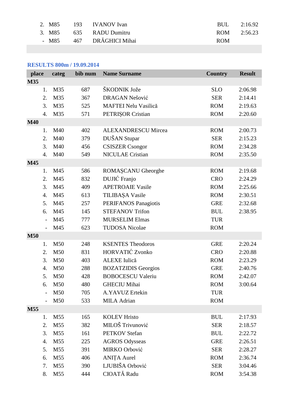| 2. M85 | 193 IVANOV Ivan         | BUL 2:16.92 |  |
|--------|-------------------------|-------------|--|
|        | 3. M85 635 RADU Dumitru | ROM 2:56.23 |  |
| - M85  | 467 DRĂGHICI Mihai      | <b>ROM</b>  |  |

# **RESULTS 800m / 19.09.2014**

| place                    | categ           | bib num | <b>Name Surname</b>         | <b>Country</b> | <b>Result</b> |
|--------------------------|-----------------|---------|-----------------------------|----------------|---------------|
| <b>M35</b>               |                 |         |                             |                |               |
| 1.                       | M35             | 687     | ŠKODNIK Jože                | <b>SLO</b>     | 2:06.98       |
| 2.                       | M35             | 367     | DRAGAN Nešović              | <b>SER</b>     | 2:14.41       |
| 3.                       | M35             | 525     | <b>MAFTEI Nelu Vasilică</b> | <b>ROM</b>     | 2:19.63       |
| $\overline{4}$ .         | M35             | 571     | PETRIŞOR Cristian           | <b>ROM</b>     | 2:20.60       |
| <b>M40</b>               |                 |         |                             |                |               |
| 1.                       | M40             | 402     | <b>ALEXANDRESCU Mircea</b>  | <b>ROM</b>     | 2:00.73       |
| 2.                       | M40             | 379     | DUŠAN Stupar                | <b>SER</b>     | 2:15.23       |
| 3.                       | M40             | 456     | <b>CSISZER</b> Csongor      | <b>ROM</b>     | 2:34.28       |
| $\overline{4}$ .         | M40             | 549     | <b>NICULAE</b> Cristian     | <b>ROM</b>     | 2:35.50       |
| M45                      |                 |         |                             |                |               |
| 1.                       | M45             | 586     | ROMASCANU Gheorghe          | <b>ROM</b>     | 2:19.68       |
| 2.                       | M45             | 832     | DUJIĆ Franjo                | <b>CRO</b>     | 2:24.29       |
| 3.                       | M45             | 409     | <b>APETROAIE Vasile</b>     | <b>ROM</b>     | 2:25.66       |
| $\mathbf{4}$ .           | M45             | 613     | TILIBAŞA Vasile             | <b>ROM</b>     | 2:30.51       |
| 5.                       | M45             | 257     | <b>PERIFANOS Panagiotis</b> | <b>GRE</b>     | 2:32.68       |
| 6.                       | M45             | 145     | <b>STEFANOV Trifon</b>      | <b>BUL</b>     | 2:38.95       |
| $\overline{a}$           | M45             | 777     | <b>MURSELIM Elmas</b>       | <b>TUR</b>     |               |
| $\overline{\phantom{0}}$ | M45             | 623     | <b>TUDOSA Nicolae</b>       | <b>ROM</b>     |               |
| <b>M50</b>               |                 |         |                             |                |               |
| 1.                       | M50             | 248     | <b>KSENTES Theodoros</b>    | <b>GRE</b>     | 2:20.24       |
| 2.                       | M50             | 831     | <b>HORVATIĆ Zvonko</b>      | <b>CRO</b>     | 2:20.88       |
| 3.                       | M50             | 403     | ALEXE Iulică                | <b>ROM</b>     | 2:23.29       |
| $\mathbf{4}$ .           | M50             | 288     | <b>BOZATZIDIS Georgios</b>  | <b>GRE</b>     | 2:40.76       |
| 5.                       | M50             | 428     | <b>BOBOCESCU Valeriu</b>    | <b>ROM</b>     | 2:42.07       |
| 6.                       | M50             | 480     | <b>GHECIU Mihai</b>         | <b>ROM</b>     | 3:00.64       |
|                          | M50             | 705     | A.YAVUZ Ertekin             | <b>TUR</b>     |               |
|                          | M50             | 533     | MILA Adrian                 | <b>ROM</b>     |               |
| M55                      |                 |         |                             |                |               |
| 1.                       | M <sub>55</sub> | 165     | <b>KOLEV Hristo</b>         | <b>BUL</b>     | 2:17.93       |
| 2.                       | M55             | 382     | MILOŠ Trivunović            | <b>SER</b>     | 2:18.57       |
| 3.                       | M55             | 161     | <b>PETKOV</b> Stefan        | <b>BUL</b>     | 2:22.72       |
| 4.                       | M55             | 225     | <b>AGROS Odysseas</b>       | <b>GRE</b>     | 2:26.51       |
| 5.                       | M55             | 391     | MIRKO Orbović               | <b>SER</b>     | 2:28.27       |
| 6.                       | M55             | 406     | <b>ANIȚA Aurel</b>          | <b>ROM</b>     | 2:36.74       |
| 7.                       | M55             | 390     | LJUBIŠA Orbović             | <b>SER</b>     | 3:04.46       |
| 8.                       | M55             | 444     | CIOATĂ Radu                 | <b>ROM</b>     | 3:54.38       |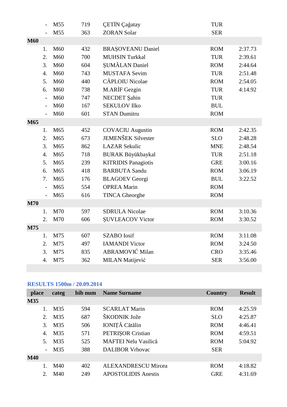|            |                  | M55 | 719 | <b>CETIN</b> Cağatay       | <b>TUR</b> |         |
|------------|------------------|-----|-----|----------------------------|------------|---------|
|            |                  | M55 | 363 | <b>ZORAN Solar</b>         | <b>SER</b> |         |
| <b>M60</b> |                  |     |     |                            |            |         |
|            | 1.               | M60 | 432 | <b>BRAȘOVEANU Daniel</b>   | <b>ROM</b> | 2:37.73 |
|            | 2.               | M60 | 700 | <b>MUHSIN Turkkal</b>      | <b>TUR</b> | 2:39.61 |
|            | 3.               | M60 | 604 | ŞUMĂLAN Daniel             | <b>ROM</b> | 2:44.64 |
|            | $\mathbf{4}$ .   | M60 | 743 | <b>MUSTAFA Sevim</b>       | <b>TUR</b> | 2:51.48 |
|            | 5.               | M60 | 440 | <b>CĂPLOIU</b> Nicolae     | <b>ROM</b> | 2:54.05 |
|            | 6.               | M60 | 738 | M.ARİF Gezgin              | <b>TUR</b> | 4:14.92 |
|            | $\overline{a}$   | M60 | 747 | NECDET Şahin               | <b>TUR</b> |         |
|            | $\overline{a}$   | M60 | 167 | <b>SEKULOV Ilko</b>        | <b>BUL</b> |         |
|            | $\overline{a}$   | M60 | 601 | <b>STAN Dumitru</b>        | <b>ROM</b> |         |
| M65        |                  |     |     |                            |            |         |
|            | 1.               | M65 | 452 | <b>COVACIU</b> Augustin    | <b>ROM</b> | 2:42.35 |
|            | 2.               | M65 | 673 | <b>JEMENŠEK Silvester</b>  | <b>SLO</b> | 2:48.28 |
|            | 3.               | M65 | 862 | <b>LAZAR Sekulic</b>       | <b>MNE</b> | 2:48.54 |
|            | $\overline{4}$ . | M65 | 718 | <b>BURAK Büyükbaykal</b>   | <b>TUR</b> | 2:51.18 |
|            | 5.               | M65 | 239 | <b>KITRIDIS Panagiotis</b> | <b>GRE</b> | 3:00.16 |
|            | 6.               | M65 | 418 | <b>BARBUTA Sandu</b>       | <b>ROM</b> | 3:06.19 |
|            | 7.               | M65 | 176 | <b>BLAGOEV</b> Georgi      | <b>BUL</b> | 3:22.52 |
|            | $\overline{a}$   | M65 | 554 | <b>OPREA Marin</b>         | <b>ROM</b> |         |
|            | $\overline{a}$   | M65 | 616 | <b>TINCA Gheorghe</b>      | <b>ROM</b> |         |
| <b>M70</b> |                  |     |     |                            |            |         |
|            | 1.               | M70 | 597 | <b>SDRULA Nicolae</b>      | <b>ROM</b> | 3:10.36 |
|            | 2.               | M70 | 606 | <b>SUVLEACOV Victor</b>    | <b>ROM</b> | 3:30.52 |
| M75        |                  |     |     |                            |            |         |
|            | 1.               | M75 | 607 | <b>SZABO</b> Iosif         | <b>ROM</b> | 3:11.08 |
|            | 2.               | M75 | 497 | <b>IAMANDI Victor</b>      | <b>ROM</b> | 3:24.50 |
|            | 3.               | M75 | 835 | ABRAMOVIĆ Milan            | <b>CRO</b> | 3:35.46 |
|            | $\overline{4}$ . | M75 | 362 | <b>MILAN Matijević</b>     | <b>SER</b> | 3:56.00 |

# **RESULTS 1500m / 20.09.2014**

| place                    | categ | bib num | <b>Name Surname</b>         | Country    | <b>Result</b> |
|--------------------------|-------|---------|-----------------------------|------------|---------------|
| <b>M35</b>               |       |         |                             |            |               |
|                          | M35   | 594     | <b>SCARLAT Marin</b>        | <b>ROM</b> | 4:25.59       |
| 2.                       | M35   | 687     | ŠKODNIK Jože                | <b>SLO</b> | 4:25.87       |
| 3.                       | M35   | 506     | IONIȚĂ Cătălin              | <b>ROM</b> | 4:46.41       |
| $\overline{4}$ .         | M35   | 571     | <b>PETRISOR Cristian</b>    | <b>ROM</b> | 4:59.51       |
| 5.                       | M35   | 525     | <b>MAFTEI Nelu Vasilică</b> | <b>ROM</b> | 5:04.92       |
| $\overline{\phantom{a}}$ | M35   | 388     | <b>DALIBOR Vrhovac</b>      | <b>SER</b> |               |
| <b>M40</b>               |       |         |                             |            |               |
|                          | M40   | 402     | <b>ALEXANDRESCU Mircea</b>  | <b>ROM</b> | 4:18.82       |
| 2.                       | M40   | 249     | <b>APOSTOLIDIS Anestis</b>  | <b>GRE</b> | 4:31.69       |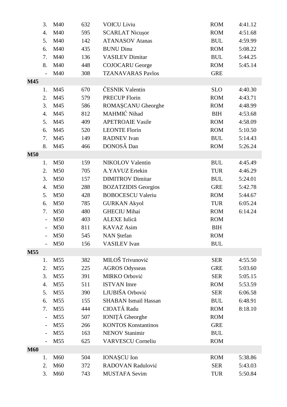|            | 3.                       | M40             | 632 | <b>VOICU Liviu</b>          | <b>ROM</b> | 4:41.12 |
|------------|--------------------------|-----------------|-----|-----------------------------|------------|---------|
|            | $\overline{4}$ .         | M40             | 595 | <b>SCARLAT Nicuşor</b>      | <b>ROM</b> | 4:51.68 |
|            | 5.                       | M40             | 142 | <b>ATANASOV Atanas</b>      | <b>BUL</b> | 4:59.99 |
|            | 6.                       | M40             | 435 | <b>BUNU Dinu</b>            | <b>ROM</b> | 5:08.22 |
|            | 7.                       | M40             | 136 | <b>VASILEV Dimitar</b>      | <b>BUL</b> | 5:44.25 |
|            | 8.                       | M40             | 448 | <b>COJOCARU</b> George      | <b>ROM</b> | 5:45.14 |
|            | $\overline{a}$           | M40             | 308 | <b>TZANAVARAS Pavlos</b>    | <b>GRE</b> |         |
| M45        |                          |                 |     |                             |            |         |
|            | 1.                       | M45             | 670 | ČESNIK Valentin             | <b>SLO</b> | 4:40.30 |
|            | 2.                       | M45             | 579 | <b>PRECUP Florin</b>        | <b>ROM</b> | 4:43.71 |
|            | 3.                       | M45             | 586 | ROMAȘCANU Gheorghe          | <b>ROM</b> | 4:48.99 |
|            | $\overline{4}$ .         | M45             | 812 | MAHMIĆ Nihad                | <b>BIH</b> | 4:53.68 |
|            | 5.                       | M45             | 409 | <b>APETROAIE Vasile</b>     | <b>ROM</b> | 4:58.09 |
|            | 6.                       | M45             | 520 | <b>LEONTE Florin</b>        | <b>ROM</b> | 5:10.50 |
|            | 7.                       | M45             | 149 | <b>RADNEV</b> Ivan          | <b>BUL</b> | 5:14.43 |
|            | 8.                       | M45             | 466 | DONOSĂ Dan                  | <b>ROM</b> | 5:26.24 |
| <b>M50</b> |                          |                 |     |                             |            |         |
|            | 1.                       | M50             | 159 | <b>NIKOLOV Valentin</b>     | <b>BUL</b> | 4:45.49 |
|            | 2.                       | M50             | 705 | A.YAVUZ Ertekin             | <b>TUR</b> | 4:46.29 |
|            | 3.                       | M50             | 157 | <b>DIMITROV</b> Dimitar     | <b>BUL</b> | 5:24.01 |
|            | 4.                       | M50             | 288 | <b>BOZATZIDIS Georgios</b>  | <b>GRE</b> | 5:42.78 |
|            | 5.                       | M50             | 428 | <b>BOBOCESCU Valeriu</b>    | <b>ROM</b> | 5:44.67 |
|            | 6.                       | M50             | 785 | <b>GURKAN Akyol</b>         | <b>TUR</b> | 6:05.24 |
|            | 7.                       | M50             | 480 | <b>GHECIU Mihai</b>         | <b>ROM</b> | 6:14.24 |
|            | $\qquad \qquad -$        | M50             | 403 | ALEXE Iulică                | <b>ROM</b> |         |
|            |                          | M50             | 811 | <b>KAVAZ</b> Asim           | <b>BIH</b> |         |
|            | $\overline{\phantom{a}}$ | M50             | 545 | <b>NAN</b> Stefan           | <b>ROM</b> |         |
|            |                          | M50             | 156 | <b>VASILEV</b> Ivan         | <b>BUL</b> |         |
| M55        |                          |                 |     |                             |            |         |
|            | 1.                       | M <sub>55</sub> | 382 | MILOŠ Trivunović            | <b>SER</b> | 4:55.50 |
|            | 2.                       | M55             | 225 | <b>AGROS Odysseas</b>       | <b>GRE</b> | 5:03.60 |
|            | 3.                       | M <sub>55</sub> | 391 | MIRKO Orbović               | <b>SER</b> | 5:05.15 |
|            | 4.                       | M <sub>55</sub> | 511 | <b>ISTVAN</b> Imre          | <b>ROM</b> | 5:53.59 |
|            | 5.                       | M55             | 390 | LJUBIŠA Orbović             | <b>SER</b> | 6:06.58 |
|            | 6.                       | M55             | 155 | <b>SHABAN Ismail Hassan</b> | <b>BUL</b> | 6:48.91 |
|            | 7.                       | M55             | 444 | CIOATĂ Radu                 | <b>ROM</b> | 8:18.10 |
|            | $\overline{a}$           | M55             | 507 | IONIȚĂ Gheorghe             | <b>ROM</b> |         |
|            | $\overline{\phantom{0}}$ | M55             | 266 | <b>KONTOS Konstantinos</b>  | <b>GRE</b> |         |
|            | $\overline{\phantom{0}}$ | M55             | 163 | <b>NENOV Stanimir</b>       | <b>BUL</b> |         |
|            | $\overline{\phantom{0}}$ | M55             | 625 | <b>VARVESCU Corneliu</b>    | <b>ROM</b> |         |
| <b>M60</b> |                          |                 |     |                             |            |         |
|            | 1.                       | M60             | 504 | <b>IONAȘCU</b> Ion          | <b>ROM</b> | 5:38.86 |
|            | 2.                       | M60             | 372 | RADOVAN Radulović           | <b>SER</b> | 5:43.03 |
|            | 3.                       | M60             | 743 | <b>MUSTAFA Sevim</b>        | <b>TUR</b> | 5:50.84 |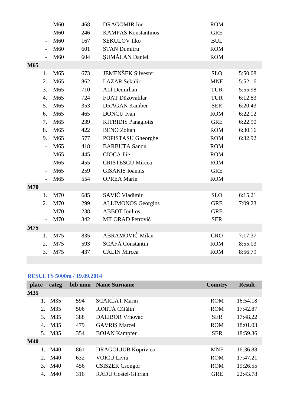|            |                          | M60 | 468 | <b>DRAGOMIR</b> Ion        | <b>ROM</b> |         |
|------------|--------------------------|-----|-----|----------------------------|------------|---------|
|            |                          | M60 | 246 | <b>KAMPAS Konstantinos</b> | <b>GRE</b> |         |
|            |                          | M60 | 167 | <b>SEKULOV Ilko</b>        | <b>BUL</b> |         |
|            |                          | M60 | 601 | <b>STAN Dumitru</b>        | <b>ROM</b> |         |
|            | $\overline{\phantom{0}}$ | M60 | 604 | ŞUMĂLAN Daniel             | <b>ROM</b> |         |
| M65        |                          |     |     |                            |            |         |
|            | 1.                       | M65 | 673 | <b>JEMENŠEK Silvester</b>  | <b>SLO</b> | 5:50.08 |
|            | 2.                       | M65 | 862 | <b>LAZAR Sekulic</b>       | <b>MNE</b> | 5:52.16 |
|            | 3.                       | M65 | 710 | ALİ Demirhan               | <b>TUR</b> | 5:55.98 |
|            | $\overline{4}$ .         | M65 | 724 | FUAT Düzovalilar           | <b>TUR</b> | 6:12.83 |
|            | 5.                       | M65 | 353 | <b>DRAGAN Kamber</b>       | <b>SER</b> | 6:20.43 |
|            | 6.                       | M65 | 465 | <b>DONCU</b> Ivan          | <b>ROM</b> | 6:22.12 |
|            | 7.                       | M65 | 239 | <b>KITRIDIS Panagiotis</b> | <b>GRE</b> | 6:22.90 |
|            | 8.                       | M65 | 422 | <b>BENŐ</b> Zoltan         | <b>ROM</b> | 6:30.16 |
|            | 9.                       | M65 | 577 | POPISTAȘU Gheorghe         | <b>ROM</b> | 6:32.92 |
|            | $\overline{a}$           | M65 | 418 | <b>BARBUTA Sandu</b>       | <b>ROM</b> |         |
|            | $\overline{a}$           | M65 | 445 | CIOCA Ilie                 | <b>ROM</b> |         |
|            | $\overline{\phantom{0}}$ | M65 | 455 | <b>CRISTESCU Mircea</b>    | <b>ROM</b> |         |
|            | $\overline{\phantom{0}}$ | M65 | 259 | <b>GISAKIS</b> Ioannis     | <b>GRE</b> |         |
|            | $\overline{a}$           | M65 | 554 | <b>OPREA Marin</b>         | <b>ROM</b> |         |
| <b>M70</b> |                          |     |     |                            |            |         |
|            | 1.                       | M70 | 685 | SAVIĆ Vladimir             | <b>SLO</b> | 6:15.21 |
|            | 2.                       | M70 | 299 | <b>ALLIMONOS Georgios</b>  | <b>GRE</b> | 7:09.23 |
|            |                          | M70 | 238 | <b>ABBOT</b> Ioulios       | <b>GRE</b> |         |
|            |                          | M70 | 342 | <b>MILORAD Petrović</b>    | <b>SER</b> |         |
| M75        |                          |     |     |                            |            |         |
|            | 1.                       | M75 | 835 | <b>ABRAMOVIĆ Milan</b>     | <b>CRO</b> | 7:17.37 |
|            | 2.                       | M75 | 593 | SCAFĂ Constantin           | <b>ROM</b> | 8:55.03 |
|            | 3.                       | M75 | 437 | <b>CĂLIN</b> Mircea        | <b>ROM</b> | 8:56.79 |
|            |                          |     |     |                            |            |         |

#### **RESULTS 5000m / 19.09.2014**

| place       | categ  |     | bib num Name Surname       | Country    | <b>Result</b> |
|-------------|--------|-----|----------------------------|------------|---------------|
| M35         |        |     |                            |            |               |
| 1.          | M35    | 594 | <b>SCARLAT Marin</b>       | <b>ROM</b> | 16:54.18      |
| 2.          | M35    | 506 | IONIȚĂ Cătălin             | <b>ROM</b> | 17:42.87      |
| 3.          | M35    | 388 | <b>DALIBOR Vrhovac</b>     | <b>SER</b> | 17:48.22      |
| 4.          | M35    | 479 | <b>GAVRIȘ Marcel</b>       | <b>ROM</b> | 18:01.03      |
|             | 5. M35 | 354 | <b>BOJAN Kampfer</b>       | <b>SER</b> | 18:59.36      |
| <b>M40</b>  |        |     |                            |            |               |
| 1.          | M40    | 861 | <b>DRAGOLJUB Koprivica</b> | <b>MNE</b> | 16:36.88      |
| $2^{\circ}$ | M40    | 632 | <b>VOICU Liviu</b>         | <b>ROM</b> | 17:47.21      |
| 3.          | M40    | 456 | <b>CSISZER</b> Csongor     | <b>ROM</b> | 19:26.55      |
| 4.          | M40    | 316 | <b>RADU</b> Costel-Giprian | <b>GRE</b> | 22:43.78      |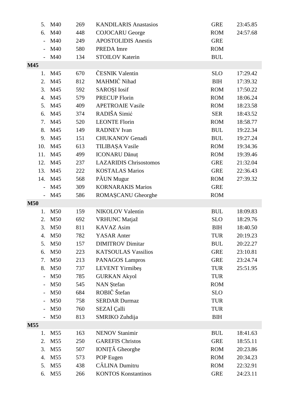| 5.         | M40             | 269 | <b>KANDILARIS Anastasios</b>  | <b>GRE</b> | 23:45.85 |
|------------|-----------------|-----|-------------------------------|------------|----------|
| 6.         | M40             | 448 | <b>COJOCARU</b> George        | <b>ROM</b> | 24:57.68 |
|            | M40             | 249 | <b>APOSTOLIDIS Anestis</b>    | <b>GRE</b> |          |
|            | M40             | 580 | PREDA Imre                    | <b>ROM</b> |          |
|            | M40             | 134 | <b>STOILOV Katerin</b>        | <b>BUL</b> |          |
| M45        |                 |     |                               |            |          |
| 1.         | M45             | 670 | ČESNIK Valentin               | <b>SLO</b> | 17:29.42 |
| 2.         | M45             | 812 | MAHMIĆ Nihad                  | <b>BIH</b> | 17:39.32 |
| 3.         | M45             | 592 | SAROȘI Iosif                  | <b>ROM</b> | 17:50.22 |
| 4.         | M45             | 579 | <b>PRECUP Florin</b>          | <b>ROM</b> | 18:06.24 |
| 5.         | M45             | 409 | <b>APETROAIE Vasile</b>       | <b>ROM</b> | 18:23.58 |
| 6.         | M45             | 374 | RADIŠA Simić                  | <b>SER</b> | 18:43.52 |
| 7.         | M45             | 520 | <b>LEONTE Florin</b>          | <b>ROM</b> | 18:58.77 |
| 8.         | M45             | 149 | <b>RADNEV</b> Ivan            | <b>BUL</b> | 19:22.34 |
| 9.         | M45             | 151 | <b>CHUKANOV Genadi</b>        | <b>BUL</b> | 19:27.24 |
| 10.        | M45             | 613 | TILIBAŞA Vasile               | <b>ROM</b> | 19:34.36 |
| 11.        | M45             | 499 | <b>ICONARU Dănuț</b>          | <b>ROM</b> | 19:39.46 |
| 12.        | M45             | 237 | <b>LAZARIDIS Chrisostomos</b> | <b>GRE</b> | 21:32.04 |
| 13.        | M45             | 222 | <b>KOSTALAS Marios</b>        | <b>GRE</b> | 22:36.43 |
| 14.        | M45             | 568 | PÅUN Mugur                    | <b>ROM</b> | 27:39.32 |
|            | M45             | 309 | <b>KORNARAKIS Marios</b>      | <b>GRE</b> |          |
|            | M45             | 586 | ROMAȘCANU Gheorghe            | <b>ROM</b> |          |
| <b>M50</b> |                 |     |                               |            |          |
| 1.         | M50             | 159 | <b>NIKOLOV Valentin</b>       | <b>BUL</b> | 18:09.83 |
| 2.         | M50             | 692 | <b>VRHUNC Matjaž</b>          | <b>SLO</b> | 18:29.76 |
| 3.         | M50             | 811 | <b>KAVAZ</b> Asim             | <b>BIH</b> | 18:40.50 |
| 4.         | M50             | 782 | <b>YASAR</b> Anter            | <b>TUR</b> | 20:19.23 |
| 5.         | M50             | 157 | <b>DIMITROV</b> Dimitar       | <b>BUL</b> | 20:22.27 |
| 6.         | M50             | 223 | <b>KATSOULAS Vassilios</b>    | <b>GRE</b> | 23:10.81 |
| 7.         | M50             | 213 | PANAGOS Lampros               | <b>GRE</b> | 23:24.74 |
| 8.         | M50             | 737 | <b>LEVENT</b> Yirmibes        | <b>TUR</b> | 25:51.95 |
|            | M50             | 785 | <b>GURKAN Akyol</b>           | <b>TUR</b> |          |
|            | M50             | 545 | <b>NAN</b> Stefan             | <b>ROM</b> |          |
|            | M50             | 684 | ROBIČ Štefan                  | <b>SLO</b> |          |
|            | M50             | 758 | <b>SERDAR Durmaz</b>          | <b>TUR</b> |          |
|            | M50             | 760 | SEZAİ Çalli                   | <b>TUR</b> |          |
|            | M50             | 813 | SMRIKO Zuhdija                | <b>BIH</b> |          |
| M55        |                 |     |                               |            |          |
| 1.         | M55             | 163 | <b>NENOV Stanimir</b>         | <b>BUL</b> | 18:41.63 |
| 2.         | M <sub>55</sub> | 250 | <b>GAREFIS Christos</b>       | <b>GRE</b> | 18:55.11 |
| 3.         | M <sub>55</sub> | 507 | IONIȚĂ Gheorghe               | <b>ROM</b> | 20:23.86 |
| 4.         | M <sub>55</sub> | 573 | POP Eugen                     | <b>ROM</b> | 20:34.23 |
| 5.         | M <sub>55</sub> | 438 | CĂLINA Dumitru                | <b>ROM</b> | 22:32.91 |
| 6.         | M55             | 266 | <b>KONTOS Konstantinos</b>    | <b>GRE</b> | 24:23.11 |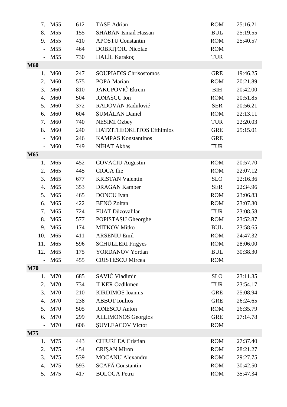| 7.                       | M <sub>55</sub> | 612 | <b>TASE</b> Adrian            | <b>ROM</b> | 25:16.21 |
|--------------------------|-----------------|-----|-------------------------------|------------|----------|
| 8.                       | M <sub>55</sub> | 155 | <b>SHABAN</b> Ismail Hassan   | <b>BUL</b> | 25:19.55 |
| 9.                       | M <sub>55</sub> | 410 | <b>APOSTU Constantin</b>      | <b>ROM</b> | 25:40.57 |
| $\overline{\phantom{0}}$ | M <sub>55</sub> | 464 | <b>DOBRITOIU Nicolae</b>      | <b>ROM</b> |          |
|                          | M55             | 730 | HALİL Karakoç                 | <b>TUR</b> |          |
| <b>M60</b>               |                 |     |                               |            |          |
| 1.                       | M60             | 247 | <b>SOUPIADIS Chrisostomos</b> | <b>GRE</b> | 19:46.25 |
| 2.                       | M60             | 575 | POPA Marian                   | <b>ROM</b> | 20:21.89 |
| 3.                       | M60             | 810 | <b>JAKUPOVIĆ Ekrem</b>        | <b>BIH</b> | 20:42.00 |
| $\overline{4}$ .         | M60             | 504 | <b>IONAȘCU</b> Ion            | <b>ROM</b> | 20:51.85 |
| 5.                       | M60             | 372 | RADOVAN Radulović             | <b>SER</b> | 20:56.21 |
| 6.                       | M60             | 604 | ŞUMĂLAN Daniel                | <b>ROM</b> | 22:13.11 |
| 7.                       | M60             | 740 | NESİMI Özbey                  | <b>TUR</b> | 22:20.03 |
| 8.                       | M60             | 240 | HATZITHEOKLITOS Efthimios     | <b>GRE</b> | 25:15.01 |
|                          | M60             | 246 | <b>KAMPAS Konstantinos</b>    | <b>GRE</b> |          |
|                          | M <sub>60</sub> | 749 | NİHAT Akbaş                   | <b>TUR</b> |          |
| M65                      |                 |     |                               |            |          |
| 1.                       | M <sub>65</sub> | 452 | <b>COVACIU</b> Augustin       | <b>ROM</b> | 20:57.70 |
| 2.                       | M <sub>65</sub> | 445 | CIOCA Ilie                    | <b>ROM</b> | 22:07.12 |
| 3.                       | M65             | 677 | <b>KRISTAN Valentin</b>       | <b>SLO</b> | 22:16.36 |
| 4.                       | M65             | 353 | <b>DRAGAN Kamber</b>          | <b>SER</b> | 22:34.96 |
| 5.                       | M65             | 465 | <b>DONCU</b> Ivan             | <b>ROM</b> | 23:06.83 |
| 6.                       | M <sub>65</sub> | 422 | <b>BENŐ</b> Zoltan            | <b>ROM</b> | 23:07.30 |
| 7.                       | M65             | 724 | FUAT Düzovalilar              | <b>TUR</b> | 23:08.58 |
| 8.                       | M65             | 577 | POPISTAȘU Gheorghe            | <b>ROM</b> | 23:52.87 |
| 9.                       | M65             | 174 | <b>MITKOV Mitko</b>           | <b>BUL</b> | 23:58.65 |
| 10.                      | M65             | 411 | <b>ARSENIU Emil</b>           | <b>ROM</b> | 24:47.32 |
| 11.                      | M65             | 596 | <b>SCHULLERI</b> Frigyes      | <b>ROM</b> | 28:06.00 |
| 12.                      | M65             | 175 | YORDANOV Yordan               | <b>BUL</b> | 30:38.30 |
|                          | M65             | 455 | <b>CRISTESCU Mircea</b>       | <b>ROM</b> |          |
| <b>M70</b>               |                 |     |                               |            |          |
| 1.                       | M70             | 685 | SAVIĆ Vladimir                | <b>SLO</b> | 23:11.35 |
| 2.                       | M70             | 734 | İLKER Özdikmen                | <b>TUR</b> | 23:54.17 |
| 3.                       | M70             | 210 | <b>KIRDIMOS</b> Ioannis       | <b>GRE</b> | 25:08.94 |
| 4.                       | M70             | 238 | <b>ABBOT</b> Ioulios          | <b>GRE</b> | 26:24.65 |
| 5.                       | M70             | 505 | <b>IONESCU Anton</b>          | <b>ROM</b> | 26:35.79 |
| 6.                       | M70             | 299 | <b>ALLIMONOS</b> Georgios     | <b>GRE</b> | 27:14.78 |
|                          | M70             | 606 | <b>SUVLEACOV Victor</b>       | <b>ROM</b> |          |
| <b>M75</b>               |                 |     |                               |            |          |
| 1.                       | M75             | 443 | <b>CHIURLEA</b> Cristian      | <b>ROM</b> | 27:37.40 |
| 2.                       | M75             | 454 | <b>CRISAN Miron</b>           | <b>ROM</b> | 28:21.27 |
| 3.                       | M75             | 539 | <b>MOCANU</b> Alexandru       | <b>ROM</b> | 29:27.75 |
| 4.                       | M75             | 593 | SCAFĂ Constantin              | <b>ROM</b> | 30:42.50 |
| 5.                       | M75             | 417 | <b>BOLOGA Petru</b>           | <b>ROM</b> | 35:47.34 |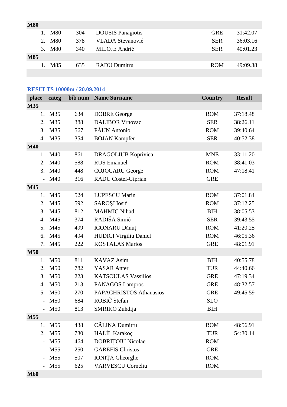| <b>M80</b> |        |     |                          |            |          |
|------------|--------|-----|--------------------------|------------|----------|
|            | 1. M80 | 304 | <b>DOUSIS</b> Panagiotis | <b>GRE</b> | 31:42.07 |
|            | 2. M80 | 378 | <b>VLADA Stevanović</b>  | <b>SER</b> | 36:03.16 |
|            | 3. M80 | 340 | MILOJE Andrić            | <b>SER</b> | 40:01.23 |
| <b>M85</b> |        |     |                          |            |          |
|            | 1. M85 | 635 | <b>RADU Dumitru</b>      | <b>ROM</b> | 49:09.38 |
|            |        |     |                          |            |          |

### **RESULTS 10000m / 20.09.2014**

| place      | categ                           |     | bib num Name Surname       | <b>Country</b> | <b>Result</b> |
|------------|---------------------------------|-----|----------------------------|----------------|---------------|
| M35        |                                 |     |                            |                |               |
| 1.         | M35                             | 634 | <b>DOBRE</b> George        | <b>ROM</b>     | 37:18.48      |
| 2.         | M35                             | 388 | <b>DALIBOR Vrhovac</b>     | <b>SER</b>     | 38:26.11      |
| 3.         | M35                             | 567 | PĂUN Antonio               | <b>ROM</b>     | 39:40.64      |
| 4.         | M35                             | 354 | <b>BOJAN Kampfer</b>       | <b>SER</b>     | 40:52.38      |
| <b>M40</b> |                                 |     |                            |                |               |
| 1.         | M40                             | 861 | <b>DRAGOLJUB Koprivica</b> | <b>MNE</b>     | 33:11.20      |
| 2.         | M40                             | 588 | <b>RUS</b> Emanuel         | <b>ROM</b>     | 38:41.03      |
| 3.         | M40                             | 448 | <b>COJOCARU</b> George     | <b>ROM</b>     | 47:18.41      |
|            | M40                             | 316 | RADU Costel-Giprian        | <b>GRE</b>     |               |
| M45        |                                 |     |                            |                |               |
| 1.         | M45                             | 524 | <b>LUPESCU Marin</b>       | <b>ROM</b>     | 37:01.84      |
| 2.         | M45                             | 592 | <b>SAROȘI</b> Iosif        | <b>ROM</b>     | 37:12.25      |
| 3.         | M45                             | 812 | MAHMIĆ Nihad               | <b>BIH</b>     | 38:05.53      |
| 4.         | M45                             | 374 | RADIŠA Simić               | <b>SER</b>     | 39:43.55      |
| 5.         | M45                             | 499 | <b>ICONARU Dănuț</b>       | <b>ROM</b>     | 41:20.25      |
| 6.         | M45                             | 494 | HUDICI Virgiliu Daniel     | <b>ROM</b>     | 46:05.36      |
| 7.         | M45                             | 222 | <b>KOSTALAS Marios</b>     | <b>GRE</b>     | 48:01.91      |
| <b>M50</b> |                                 |     |                            |                |               |
| 1.         | M50                             | 811 | <b>KAVAZ</b> Asim          | <b>BIH</b>     | 40:55.78      |
| 2.         | M50                             | 782 | <b>YASAR</b> Anter         | <b>TUR</b>     | 44:40.66      |
| 3.         | M50                             | 223 | <b>KATSOULAS Vassilios</b> | <b>GRE</b>     | 47:19.34      |
| 4.         | M50                             | 213 | <b>PANAGOS Lampros</b>     | <b>GRE</b>     | 48:32.57      |
| 5.         | M50                             | 270 | PAPACHRISTOS Athanasios    | <b>GRE</b>     | 49:45.59      |
|            | M50<br>$\overline{\phantom{0}}$ | 684 | ROBIČ Štefan               | <b>SLO</b>     |               |
|            | $-M50$                          | 813 | SMRIKO Zuhdija             | <b>BIH</b>     |               |
| M55        |                                 |     |                            |                |               |
| 1.         | M <sub>55</sub>                 | 438 | <b>CĂLINA</b> Dumitru      | <b>ROM</b>     | 48:56.91      |
| 2.         | M55                             | 730 | HALİL Karakoç              | <b>TUR</b>     | 54:30.14      |
|            | M55                             | 464 | <b>DOBRITOIU Nicolae</b>   | <b>ROM</b>     |               |
|            | M55                             | 250 | <b>GAREFIS Christos</b>    | <b>GRE</b>     |               |
|            | M55                             | 507 | IONIȚĂ Gheorghe            | <b>ROM</b>     |               |
|            | M55                             | 625 | VARVESCU Corneliu          | <b>ROM</b>     |               |
| 1 T T A    |                                 |     |                            |                |               |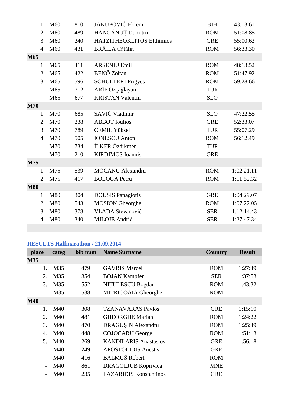|            | 1.             | M60             | 810 | <b>JAKUPOVIĆ</b> Ekrem    | <b>BIH</b> | 43:13.61   |
|------------|----------------|-----------------|-----|---------------------------|------------|------------|
|            | 2.             | M60             | 489 | HĂNGĂNUȚ Dumitru          | <b>ROM</b> | 51:08.85   |
|            |                | 3. M60          | 240 | HATZITHEOKLITOS Efthimios | <b>GRE</b> | 55:00.62   |
|            | 4.             | M60             | 431 | <b>BRĂILA</b> Cătălin     | <b>ROM</b> | 56:33.30   |
| M65        |                |                 |     |                           |            |            |
|            | 1.             | M65             | 411 | <b>ARSENIU Emil</b>       | <b>ROM</b> | 48:13.52   |
|            | 2.             | M65             | 422 | <b>BENŐ</b> Zoltan        | <b>ROM</b> | 51:47.92   |
|            | 3.             | M <sub>65</sub> | 596 | <b>SCHULLERI</b> Frigyes  | <b>ROM</b> | 59:28.66   |
|            |                | M65             | 712 | ARİF Özçağlayan           | <b>TUR</b> |            |
|            |                | M65             | 677 | <b>KRISTAN Valentin</b>   | <b>SLO</b> |            |
| <b>M70</b> |                |                 |     |                           |            |            |
|            | 1.             | M70             | 685 | SAVIĆ Vladimir            | <b>SLO</b> | 47:22.55   |
|            | 2.             | M70             | 238 | <b>ABBOT</b> Ioulios      | <b>GRE</b> | 52:33.07   |
|            | 3.             | M70             | 789 | <b>CEMIL Yüksel</b>       | <b>TUR</b> | 55:07.29   |
|            | 4.             | M70             | 505 | <b>IONESCU Anton</b>      | <b>ROM</b> | 56:12.49   |
|            | $\overline{a}$ | M70             | 734 | İLKER Özdikmen            | <b>TUR</b> |            |
|            |                | M70             | 210 | <b>KIRDIMOS</b> Ioannis   | <b>GRE</b> |            |
| M75        |                |                 |     |                           |            |            |
|            | 1.             | M75             | 539 | <b>MOCANU</b> Alexandru   | <b>ROM</b> | 1:02:21.11 |
|            | 2.             | M75             | 417 | <b>BOLOGA Petru</b>       | <b>ROM</b> | 1:11:52.32 |
| <b>M80</b> |                |                 |     |                           |            |            |
|            | 1.             | M80             | 304 | <b>DOUSIS Panagiotis</b>  | <b>GRE</b> | 1:04:29.07 |
|            | 2.             | M80             | 543 | <b>MOSION</b> Gheorghe    | <b>ROM</b> | 1:07:22.05 |
|            | 3.             | <b>M80</b>      | 378 | <b>VLADA Stevanović</b>   | <b>SER</b> | 1:12:14.43 |
|            | 4.             | M80             | 340 | <b>MILOJE</b> Andrić      | <b>SER</b> | 1:27:47.34 |
|            |                |                 |     |                           |            |            |

### **RESULTS Halfmarathon / 21.09.2014**

| place                    | categ | bib num | <b>Name Surname</b>           | <b>Country</b> | <b>Result</b> |
|--------------------------|-------|---------|-------------------------------|----------------|---------------|
| <b>M35</b>               |       |         |                               |                |               |
| 1.                       | M35   | 479     | <b>GAVRIȘ Marcel</b>          | <b>ROM</b>     | 1:27:49       |
| 2.                       | M35   | 354     | <b>BOJAN Kampfer</b>          | <b>SER</b>     | 1:37:53       |
| 3.                       | M35   | 552     | NITULESCU Bogdan              | <b>ROM</b>     | 1:43:32       |
| $\overline{\phantom{a}}$ | M35   | 538     | MITRICOAIA Gheorghe           | <b>ROM</b>     |               |
| <b>M40</b>               |       |         |                               |                |               |
| 1.                       | M40   | 308     | <b>TZANAVARAS Pavlos</b>      | <b>GRE</b>     | 1:15:10       |
| 2.                       | M40   | 481     | <b>GHEORGHE Marian</b>        | <b>ROM</b>     | 1:24:22       |
| 3.                       | M40   | 470     | DRAGUȘIN Alexandru            | <b>ROM</b>     | 1:25:49       |
| 4.                       | M40   | 448     | <b>COJOCARU George</b>        | <b>ROM</b>     | 1:51:13       |
| 5.                       | M40   | 269     | <b>KANDILARIS Anastasios</b>  | <b>GRE</b>     | 1:56:18       |
| $\overline{\phantom{a}}$ | M40   | 249     | <b>APOSTOLIDIS</b> Anestis    | <b>GRE</b>     |               |
| $\overline{\phantom{a}}$ | M40   | 416     | <b>BALMUŞ Robert</b>          | <b>ROM</b>     |               |
| $\overline{\phantom{a}}$ | M40   | 861     | <b>DRAGOLJUB Koprivica</b>    | <b>MNE</b>     |               |
|                          | M40   | 235     | <b>LAZARIDIS Konstantinos</b> | <b>GRE</b>     |               |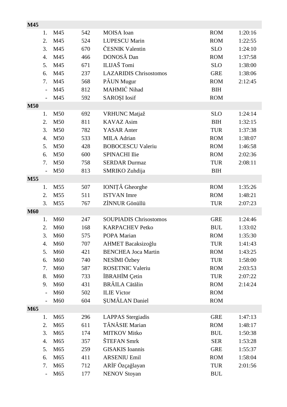| M45        |                              |                 |            |                                            |                          |                    |
|------------|------------------------------|-----------------|------------|--------------------------------------------|--------------------------|--------------------|
|            | 1.                           | M45             | 542        | <b>MOISA</b> Ioan                          | <b>ROM</b>               | 1:20:16            |
|            | 2.                           | M45             | 524        | <b>LUPESCU Marin</b>                       | <b>ROM</b>               | 1:22:55            |
|            | 3.                           | M45             | 670        | ČESNIK Valentin                            | <b>SLO</b>               | 1:24:10            |
|            | 4.                           | M45             | 466        | DONOSĂ Dan                                 | <b>ROM</b>               | 1:37:58            |
|            | 5.                           | M45             | 671        | ILIJAŠ Tomi                                | <b>SLO</b>               | 1:38:00            |
|            | 6.                           | M45             | 237        | <b>LAZARIDIS Chrisostomos</b>              | <b>GRE</b>               | 1:38:06            |
|            | 7.                           | M45             | 568        | PĂUN Mugur                                 | <b>ROM</b>               | 2:12:45            |
|            | $\overline{\phantom{0}}$     | M45             | 812        | MAHMIĆ Nihad                               | <b>BIH</b>               |                    |
|            | $\overline{\phantom{a}}$     | M45             | 592        | <b>SAROȘI</b> Iosif                        | <b>ROM</b>               |                    |
| <b>M50</b> |                              |                 |            |                                            |                          |                    |
|            | 1.                           | M50             | 692        | <b>VRHUNC</b> Matjaž                       | <b>SLO</b>               | 1:24:14            |
|            | 2.                           | M50             | 811        | <b>KAVAZ</b> Asim                          | <b>BIH</b>               | 1:32:15            |
|            | 3.                           | M50             | 782        | <b>YASAR</b> Anter                         | <b>TUR</b>               | 1:37:38            |
|            | 4.                           | M50             | 533        | <b>MILA Adrian</b>                         | <b>ROM</b>               | 1:38:07            |
|            | 5.                           | M50             | 428        | <b>BOBOCESCU Valeriu</b>                   | <b>ROM</b>               | 1:46:58            |
|            | 6.                           | M50             | 600        | <b>SPINACHI Ilie</b>                       | <b>ROM</b>               | 2:02:36            |
|            | 7.                           | M50             | 758        | <b>SERDAR Durmaz</b>                       | <b>TUR</b>               | 2:08:11            |
|            | $\overline{\phantom{a}}$     | M50             | 813        | SMRIKO Zuhdija                             | <b>BIH</b>               |                    |
| M55        |                              |                 |            |                                            |                          |                    |
|            | 1.                           | M55             | 507        | IONIȚĂ Gheorghe                            | <b>ROM</b>               | 1:35:26            |
|            | 2.                           | M55             | 511        | <b>ISTVAN</b> Imre                         | <b>ROM</b>               | 1:48:21            |
|            | 3.                           | M <sub>55</sub> | 767        | ZİNNUR Gönüllü                             | <b>TUR</b>               | 2:07:23            |
| <b>M60</b> |                              |                 |            |                                            |                          |                    |
|            | 1.                           | M60             | 247        | <b>SOUPIADIS Chrisostomos</b>              | <b>GRE</b>               | 1:24:46            |
|            | 2.                           | M60             | 168        | <b>KARPACHEV Petko</b>                     | <b>BUL</b>               | 1:33:02            |
|            | 3.                           | M <sub>60</sub> | 575        | POPA Marian                                | <b>ROM</b>               | 1:35:30            |
|            | 4.                           | M60             | 707        | AHMET Bacaksizoğlu                         | <b>TUR</b>               | 1:41:43            |
|            | 5.                           | M60             | 421        | <b>BENCHEA Joca Martin</b>                 | <b>ROM</b>               | 1:43:25            |
|            | 6.                           | M60             | 740        | NESİMI Özbey                               | <b>TUR</b>               | 1:58:00            |
|            | 7.                           | M60             | 587        | <b>ROSETNIC Valeriu</b>                    | <b>ROM</b>               | 2:03:53            |
|            | 8.                           | M60             | 733        | İBRAHİM Çetin                              | <b>TUR</b>               | 2:07:22            |
|            | 9.                           | M60             | 431        | <b>BRĂILA</b> Cătălin                      | <b>ROM</b>               | 2:14:24            |
|            |                              | M60             | 502        | <b>ILIE Victor</b>                         | <b>ROM</b>               |                    |
|            |                              | M <sub>60</sub> | 604        | ŞUMĂLAN Daniel                             | <b>ROM</b>               |                    |
| M65        |                              |                 |            |                                            |                          |                    |
|            | 1.                           | M65             | 296        | <b>LAPPAS</b> Stergiadis<br>TĂNĂSIE Marian | <b>GRE</b>               | 1:47:13            |
|            | 2.<br>3.                     | M65<br>M65      | 611<br>174 | <b>MITKOV Mitko</b>                        | <b>ROM</b><br><b>BUL</b> | 1:48:17<br>1:50:38 |
|            | 4.                           | M65             | 357        | ŠTEFAN Smrk                                | <b>SER</b>               |                    |
|            | 5.                           | M65             | 259        | <b>GISAKIS</b> Ioannis                     | <b>GRE</b>               | 1:53:28<br>1:55:37 |
|            | 6.                           | M65             | 411        | <b>ARSENIU Emil</b>                        | <b>ROM</b>               | 1:58:04            |
|            | 7.                           | M65             | 712        | ARİF Özçağlayan                            | <b>TUR</b>               | 2:01:56            |
|            | $\qquad \qquad \blacksquare$ | M65             | 177        | <b>NENOV Stoyan</b>                        | <b>BUL</b>               |                    |
|            |                              |                 |            |                                            |                          |                    |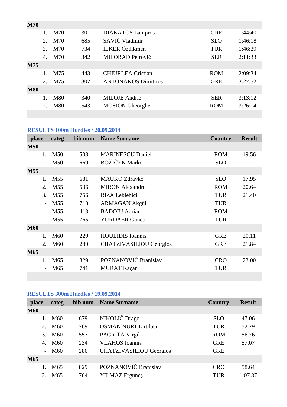| <b>M70</b> |                       |     |     |                            |            |         |
|------------|-----------------------|-----|-----|----------------------------|------------|---------|
|            | $1_{-}$               | M70 | 301 | <b>DIAKATOS</b> Lampros    | <b>GRE</b> | 1:44:40 |
|            | 2                     | M70 | 685 | SAVIĆ Vladimir             | <b>SLO</b> | 1:46:18 |
|            | 3.                    | M70 | 734 | İLKER Özdikmen             | <b>TUR</b> | 1:46:29 |
|            | $\mathcal{A}_{\cdot}$ | M70 | 342 | <b>MILORAD Petrović</b>    | <b>SER</b> | 2:11:33 |
| M75        |                       |     |     |                            |            |         |
|            | $1_{-}$               | M75 | 443 | <b>CHIURLEA Cristian</b>   | <b>ROM</b> | 2:09:34 |
|            | 2.                    | M75 | 307 | <b>ANTONAKOS Dimitrios</b> | <b>GRE</b> | 3:27:52 |
| <b>M80</b> |                       |     |     |                            |            |         |
|            |                       | M80 | 340 | <b>MILOJE</b> Andrić       | <b>SER</b> | 3:13:12 |
|            | 2.                    | M80 | 543 | <b>MOSION</b> Gheorghe     | <b>ROM</b> | 3:26:14 |
|            |                       |     |     |                            |            |         |

# **RESULTS 100m Hurdles / 20.09.2014**

| place      | categ           | bib num | <b>Name Surname</b>            | <b>Country</b> | <b>Result</b> |
|------------|-----------------|---------|--------------------------------|----------------|---------------|
| <b>M50</b> |                 |         |                                |                |               |
| 1.         | M50             | 508     | <b>MARINESCU Daniel</b>        | <b>ROM</b>     | 19.56         |
|            | M50             | 669     | <b>BOŽIČEK Marko</b>           | <b>SLO</b>     |               |
| M55        |                 |         |                                |                |               |
| 1.         | M <sub>55</sub> | 681     | <b>MAUKO Zdravko</b>           | <b>SLO</b>     | 17.95         |
| 2.         | M <sub>55</sub> | 536     | <b>MIRON</b> Alexandru         | <b>ROM</b>     | 20.64         |
| 3.         | M <sub>55</sub> | 756     | RIZA Leblebici                 | <b>TUR</b>     | 21.40         |
|            | M <sub>55</sub> | 713     | <b>ARMAGAN Akgül</b>           | <b>TUR</b>     |               |
|            | M <sub>55</sub> | 413     | <b>BĂDOIU</b> Adrian           | <b>ROM</b>     |               |
|            | M55             | 765     | YURDAER Güncü                  | <b>TUR</b>     |               |
| <b>M60</b> |                 |         |                                |                |               |
| 1.         | M <sub>60</sub> | 229     | <b>HOULIDIS</b> Ioannis        | <b>GRE</b>     | 20.11         |
| 2.         | M <sub>60</sub> | 280     | <b>CHATZIVASILIOU Georgios</b> | <b>GRE</b>     | 21.84         |
| M65        |                 |         |                                |                |               |
| 1.         | M <sub>65</sub> | 829     | POZNANOVIĆ Branislav           | <b>CRO</b>     | 23.00         |
|            | M <sub>65</sub> | 741     | <b>MURAT Kaçar</b>             | <b>TUR</b>     |               |
|            |                 |         |                                |                |               |

# **RESULTS 300m Hurdles / 19.09.2014**

| place       | categ           | bib num | <b>Name Surname</b>            | Country    | <b>Result</b> |
|-------------|-----------------|---------|--------------------------------|------------|---------------|
| <b>M60</b>  |                 |         |                                |            |               |
|             | M60             | 679     | NIKOLIČ Drago                  | <b>SLO</b> | 47.06         |
| $2^{\circ}$ | M60             | 769     | <b>OSMAN NURI Tartilaci</b>    | <b>TUR</b> | 52.79         |
| 3.          | M60             | 557     | PACRITA Virgil                 | <b>ROM</b> | 56.76         |
| 4.          | M60             | 234     | <b>VLAHOS</b> Ioannis          | <b>GRE</b> | 57.07         |
|             | M <sub>60</sub> | 280     | <b>CHATZIVASILIOU Georgios</b> | <b>GRE</b> |               |
| <b>M65</b>  |                 |         |                                |            |               |
|             | M65             | 829     | POZNANOVIĆ Branislav           | <b>CRO</b> | 58.64         |
| 2.          | M65             | 764     | <b>YILMAZ</b> Ergüneş          | <b>TUR</b> | 1:07.87       |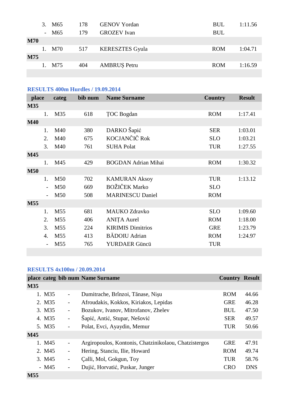|            | 3. M <sub>65</sub><br>- M65 | 178<br>179 | <b>GENOV Yordan</b><br><b>GROZEV</b> Ivan | <b>BUL</b><br><b>BUL</b> | 1:11.56 |
|------------|-----------------------------|------------|-------------------------------------------|--------------------------|---------|
| <b>M70</b> |                             |            |                                           |                          |         |
|            | M70                         | 517        | <b>KERESZTES Gyula</b>                    | <b>ROM</b>               | 1:04.71 |
| <b>M75</b> |                             |            |                                           |                          |         |
|            | M75                         | 404        | <b>AMBRUS Petru</b>                       | <b>ROM</b>               | 1:16.59 |
|            |                             |            |                                           |                          |         |

# **RESULTS 400m Hurdles / 19.09.2014**

| place      |    | categ           | bib num | <b>Name Surname</b>        | <b>Country</b> | <b>Result</b> |
|------------|----|-----------------|---------|----------------------------|----------------|---------------|
| <b>M35</b> |    |                 |         |                            |                |               |
|            | 1. | M35             | 618     | <b>TOC</b> Bogdan          | <b>ROM</b>     | 1:17.41       |
| <b>M40</b> |    |                 |         |                            |                |               |
|            | 1. | M40             | 380     | DARKO Šapić                | <b>SER</b>     | 1:03.01       |
|            | 2. | M40             | 675     | KOCJANČIČ Rok              | <b>SLO</b>     | 1:03.21       |
|            | 3. | M40             | 761     | <b>SUHA Polat</b>          | <b>TUR</b>     | 1:27.55       |
| M45        |    |                 |         |                            |                |               |
|            | 1. | M45             | 429     | <b>BOGDAN Adrian Mihai</b> | <b>ROM</b>     | 1:30.32       |
| <b>M50</b> |    |                 |         |                            |                |               |
|            | 1. | M50             | 702     | <b>KAMURAN Aksoy</b>       | <b>TUR</b>     | 1:13.12       |
|            |    | M50             | 669     | <b>BOŽIČEK Marko</b>       | <b>SLO</b>     |               |
|            |    | M50             | 508     | <b>MARINESCU Daniel</b>    | <b>ROM</b>     |               |
| <b>M55</b> |    |                 |         |                            |                |               |
|            | 1. | M <sub>55</sub> | 681     | <b>MAUKO Zdravko</b>       | <b>SLO</b>     | 1:09.60       |
|            | 2. | M <sub>55</sub> | 406     | <b>ANITA Aurel</b>         | <b>ROM</b>     | 1:18.00       |
|            | 3. | M <sub>55</sub> | 224     | <b>KIRIMIS Dimitrios</b>   | <b>GRE</b>     | 1:23.79       |
|            | 4. | M55             | 413     | <b>BĂDOIU</b> Adrian       | <b>ROM</b>     | 1:24.97       |
|            |    | M <sub>55</sub> | 765     | YURDAER Güncü              | <b>TUR</b>     |               |
|            |    |                 |         |                            |                |               |

# **RESULTS 4x100m / 20.09.2014**

|            |        |                          | place categ bib num Name Surname                      | <b>Country Result</b> |            |
|------------|--------|--------------------------|-------------------------------------------------------|-----------------------|------------|
| <b>M35</b> |        |                          |                                                       |                       |            |
|            | 1. M35 | $\overline{\phantom{a}}$ | Dumitrache, Brînzoi, Tănase, Nișu                     | <b>ROM</b>            | 44.66      |
|            | 2. M35 | $\overline{\phantom{0}}$ | Afroudakis, Kokkos, Kiriakos, Lepidas                 | <b>GRE</b>            | 46.28      |
|            | 3. M35 | $\overline{\phantom{a}}$ | Bozukov, Ivanov, Mitrofanov, Zhelev                   | <b>BUL</b>            | 47.50      |
|            | 4. M35 | $\overline{\phantom{a}}$ | Šapić, Antić, Stupar, Nešović                         | <b>SER</b>            | 49.57      |
|            | 5. M35 | $\overline{\phantom{0}}$ | Polat, Evci, Ayaydin, Memur                           | <b>TUR</b>            | 50.66      |
| M45        |        |                          |                                                       |                       |            |
|            | 1. M45 | $\qquad \qquad -$        | Argiropoulos, Kontonis, Chatzinikolaou, Chatzistergos | <b>GRE</b>            | 47.91      |
|            | 2. M45 | $\overline{\phantom{0}}$ | Hering, Stanciu, Ilie, Howard                         | <b>ROM</b>            | 49.74      |
|            | 3. M45 | $\qquad \qquad -$        | Calli, Mol, Gokgun, Toy                               | <b>TUR</b>            | 58.76      |
|            | $-M45$ | $\overline{\phantom{0}}$ | Dujić, Horvatić, Puskar, Junger                       | <b>CRO</b>            | <b>DNS</b> |
| M55        |        |                          |                                                       |                       |            |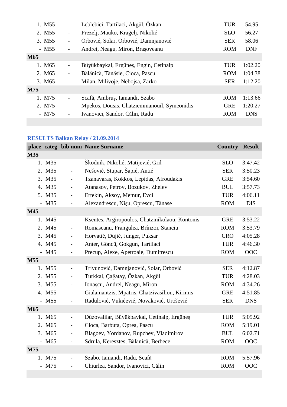|     | 1. M <sub>55</sub> |                          | Leblebici, Tartilaci, Akgül, Özkan          | <b>TUR</b> | 54.95      |
|-----|--------------------|--------------------------|---------------------------------------------|------------|------------|
|     | 2. M55             | $\overline{\phantom{0}}$ | Prezelj, Mauko, Kragelj, Nikolić            | <b>SLO</b> | 56.27      |
|     | 3. M55             | $\overline{\phantom{0}}$ | Orbović, Solar, Orbović, Damnjanović        | <b>SER</b> | 58.06      |
|     | $-M55$             | $\overline{\phantom{0}}$ | Andrei, Neagu, Miron, Brașoveanu            | <b>ROM</b> | <b>DNF</b> |
| M65 |                    |                          |                                             |            |            |
|     | 1. M <sub>65</sub> | $\overline{\phantom{0}}$ | Büyükbaykal, Ergüneş, Engin, Cetinalp       | <b>TUR</b> | 1:02.20    |
|     | 2. M <sub>65</sub> | $\overline{\phantom{0}}$ | Bălănică, Tănăsie, Cioca, Pascu             | <b>ROM</b> | 1:04.38    |
|     | 3. M <sub>65</sub> | $\overline{\phantom{0}}$ | Milan, Milivoje, Nebojsa, Zarko             | <b>SER</b> | 1:12.20    |
| M75 |                    |                          |                                             |            |            |
|     | 1. M75             | $\overline{\phantom{0}}$ | Scafă, Ambruș, Iamandi, Szabo               | <b>ROM</b> | 1:13.66    |
|     | 2. M75             | $\overline{\phantom{0}}$ | Mpekos, Dousis, Chatziemmanouil, Symeonidis | <b>GRE</b> | 1:20.27    |
|     | $-M75$             | $\overline{\phantom{0}}$ | Ivanovici, Sandor, Călin, Radu              | <b>ROM</b> | <b>DNS</b> |
|     |                    |                          |                                             |            |            |

# **RESULTS Balkan Relay / 21.09.2014**

|     |                    |                          | place categ bib num Name Surname                | <b>Country</b> | <b>Result</b> |
|-----|--------------------|--------------------------|-------------------------------------------------|----------------|---------------|
| M35 |                    |                          |                                                 |                |               |
|     | 1. M35             | $\overline{a}$           | Škodnik, Nikolić, Matijević, Gril               | <b>SLO</b>     | 3:47.42       |
|     | 2. M35             | $\overline{a}$           | Nešović, Stupar, Šapić, Antić                   | <b>SER</b>     | 3:50.23       |
|     | 3. M35             |                          | Tzanavaras, Kokkos, Lepidas, Afroudakis         | <b>GRE</b>     | 3:54.60       |
|     | 4. M35             | $\overline{\phantom{a}}$ | Atanasov, Petrov, Bozukov, Zhelev               | <b>BUL</b>     | 3:57.73       |
|     | 5. M35             | $\overline{a}$           | Ertekin, Aksoy, Memur, Evci                     | <b>TUR</b>     | 4:06.11       |
|     | $-M35$             | $\overline{\phantom{0}}$ | Alexandrescu, Nișu, Oprescu, Tănase             | <b>ROM</b>     | <b>DIS</b>    |
| M45 |                    |                          |                                                 |                |               |
|     | 1. M45             | $\overline{a}$           | Ksentes, Argiropoulos, Chatzinikolaou, Kontonis | <b>GRE</b>     | 3:53.22       |
|     | 2. M45             | $\overline{a}$           | Romașcanu, Frangulea, Brînzoi, Stanciu          | <b>ROM</b>     | 3:53.79       |
|     | 3. M45             | $\overline{\phantom{a}}$ | Horvatić, Dujić, Junger, Puksar                 | <b>CRO</b>     | 4:05.28       |
|     | 4. M45             | $\overline{\phantom{0}}$ | Anter, Göncü, Gokgun, Tartilaci                 | <b>TUR</b>     | 4:46.30       |
|     | $-M45$             | $\overline{a}$           | Precup, Alexe, Apetroaie, Dumitrescu            | <b>ROM</b>     | OOC           |
| M55 |                    |                          |                                                 |                |               |
|     | 1. M55             | $\overline{a}$           | Trivunović, Damnjanović, Solar, Orbović         | <b>SER</b>     | 4:12.87       |
|     | 2. M55             | $\overline{a}$           | Turkkal, Çağatay, Özkan, Akgül                  | <b>TUR</b>     | 4:28.03       |
|     | 3. M55             | $\overline{\phantom{a}}$ | Ionașcu, Andrei, Neagu, Miron                   | <b>ROM</b>     | 4:34.26       |
|     | 4. M55             | $\overline{\phantom{0}}$ | Gialamantzis, Mpatris, Chatzivasiliou, Kirimis  | <b>GRE</b>     | 4:51.85       |
|     | $-M55$             | $\overline{a}$           | Radulović, Vukićević, Novaković, Urošević       | <b>SER</b>     | <b>DNS</b>    |
| M65 |                    |                          |                                                 |                |               |
|     | 1. M65             | $\overline{a}$           | Düzovalilar, Büyükbaykal, Cetinalp, Ergüneş     | <b>TUR</b>     | 5:05.92       |
|     | 2. M65             | $\overline{\phantom{0}}$ | Cioca, Barbuta, Oprea, Pascu                    | <b>ROM</b>     | 5:19.01       |
|     | 3. M <sub>65</sub> | $\overline{a}$           | Blagoev, Yordanov, Rupchev, Vladimirov          | <b>BUL</b>     | 6:02.71       |
|     | - M65              | $\overline{\phantom{0}}$ | Sdrula, Keresztes, Bălănică, Berbece            | <b>ROM</b>     | OOC           |
| M75 |                    |                          |                                                 |                |               |
|     | 1. M75             | $\overline{\phantom{0}}$ | Szabo, Iamandi, Radu, Scafă                     | <b>ROM</b>     | 5:57.96       |
|     | $-M75$             |                          | Chiurlea, Sandor, Ivanovici, Călin              | <b>ROM</b>     | OOC           |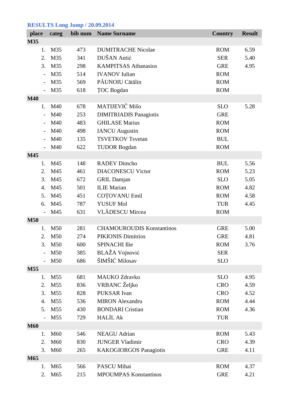# **RESULTS Long Jump / 20.09.2014**

| place      |                          | categ           |     | bib num Name Surname             | <b>Country</b> | <b>Result</b> |
|------------|--------------------------|-----------------|-----|----------------------------------|----------------|---------------|
| M35        |                          |                 |     |                                  |                |               |
|            | 1.                       | M35             | 473 | <b>DUMITRACHE Nicolae</b>        | <b>ROM</b>     | 6.59          |
|            | 2.                       | M35             | 341 | DUŠAN Antić                      | <b>SER</b>     | 5.40          |
|            | 3.                       | M35             | 298 | <b>KAMPITSAS Athanasios</b>      | <b>GRE</b>     | 4.95          |
|            | $\overline{\phantom{a}}$ | M35             | 514 | <b>IVANOV</b> Iulian             | <b>ROM</b>     |               |
|            |                          | M35             | 569 | PĂUNOIU Cătălin                  | <b>ROM</b>     |               |
|            |                          | M35             | 618 | <b>TOC</b> Bogdan                | <b>ROM</b>     |               |
| <b>M40</b> |                          |                 |     |                                  |                |               |
|            | 1.                       | M40             | 678 | MATIJEVIČ Mišo                   | <b>SLO</b>     | 5.28          |
|            | $\overline{\phantom{0}}$ | M40             | 253 | <b>DIMITRIADIS Panagiotis</b>    | <b>GRE</b>     |               |
|            |                          | M40             | 483 | <b>GHILASE Marius</b>            | <b>ROM</b>     |               |
|            |                          | M40             | 498 | <b>IANCU</b> Augustin            | <b>ROM</b>     |               |
|            |                          | M40             | 135 | <b>TSVETKOV Tsvetan</b>          | <b>BUL</b>     |               |
|            |                          | M40             | 622 | <b>TUDOR Bogdan</b>              | <b>ROM</b>     |               |
| M45        |                          |                 |     |                                  |                |               |
|            | 1.                       | M45             | 148 | <b>RADEV Dimcho</b>              | <b>BUL</b>     | 5.56          |
|            | 2.                       | M45             | 461 | <b>DIACONESCU Victor</b>         | <b>ROM</b>     | 5.23          |
|            | 3.                       | M45             | 672 | <b>GRIL Damjan</b>               | <b>SLO</b>     | 5.05          |
|            | 4.                       | M45             | 501 | <b>ILIE</b> Marian               | <b>ROM</b>     | 4.82          |
|            | 5.                       | M45             | 451 | <b>COTOVANU Emil</b>             | <b>ROM</b>     | 4.58          |
|            | 6.                       | M45             | 787 | <b>YUSUF Mol</b>                 | <b>TUR</b>     | 4.45          |
|            |                          | M45             | 631 | <b>VLĂDESCU</b> Mircea           | <b>ROM</b>     |               |
| <b>M50</b> |                          |                 |     |                                  |                |               |
|            | 1.                       | M50             | 281 | <b>CHAMOUROUDIS Konstantinos</b> | <b>GRE</b>     | 5.00          |
|            | 2.                       | M50             | 274 | PIKIONIS Dimitrios               | <b>GRE</b>     | 4.81          |
|            | 3.                       | M50             | 600 | <b>SPINACHI Ilie</b>             | <b>ROM</b>     | 3.76          |
|            |                          | M50             | 385 | <b>BLAŽA Vojnović</b>            | <b>SER</b>     |               |
|            |                          | M50             | 686 | ŠIMŠIĆ Milosav                   | <b>SLO</b>     |               |
| M55        |                          |                 |     |                                  |                |               |
|            | 1.                       | M <sub>55</sub> | 681 | <b>MAUKO Zdravko</b>             | <b>SLO</b>     | 4.95          |
|            | 2.                       | M <sub>55</sub> | 836 | VRBANC Željko                    | <b>CRO</b>     | 4.59          |
|            | 3.                       | M <sub>55</sub> | 828 | <b>PUKSAR</b> Ivan               | <b>CRO</b>     | 4.52          |
|            | 4.                       | M <sub>55</sub> | 536 | <b>MIRON</b> Alexandru           | <b>ROM</b>     | 4.44          |
|            | 5.                       | M <sub>55</sub> | 430 | <b>BONDARI</b> Cristian          | <b>ROM</b>     | 4.36          |
|            |                          | M <sub>55</sub> | 729 | <b>HALİL Ak</b>                  | <b>TUR</b>     |               |
| <b>M60</b> |                          |                 |     |                                  |                |               |
|            | 1.                       | M60             | 546 | <b>NEAGU</b> Adrian              | <b>ROM</b>     | 5.43          |
|            | 2.                       | M60             | 830 | <b>JUNGER Vladimir</b>           | <b>CRO</b>     | 4.39          |
|            | 3.                       | M60             | 265 | <b>KAKOGIORGOS Panagiotis</b>    | <b>GRE</b>     | 4.11          |
| M65        |                          |                 |     |                                  |                |               |
|            | 1.                       | M <sub>65</sub> | 566 | PASCU Mihai                      | <b>ROM</b>     | 4.37          |
|            | 2.                       | M65             | 215 | <b>MPOUMPAS Konstantinos</b>     | <b>GRE</b>     | 4.21          |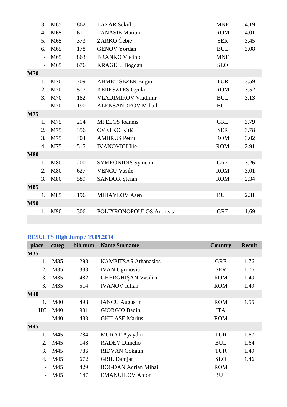|            | 3.               | M65             | 862 | <b>LAZAR Sekulic</b>       | <b>MNE</b> | 4.19 |
|------------|------------------|-----------------|-----|----------------------------|------------|------|
|            | $\overline{4}$ . | M65             | 611 | TĂNĂSIE Marian             | <b>ROM</b> | 4.01 |
|            | 5.               | M <sub>65</sub> | 373 | ŽARKO Ćebić                | <b>SER</b> | 3.45 |
|            | 6.               | M <sub>65</sub> | 178 | <b>GENOV Yordan</b>        | <b>BUL</b> | 3.08 |
|            |                  | M65             | 863 | <b>BRANKO Vucinic</b>      | <b>MNE</b> |      |
|            |                  | M65             | 676 | <b>KRAGELJ</b> Bogdan      | <b>SLO</b> |      |
| <b>M70</b> |                  |                 |     |                            |            |      |
|            | 1.               | M70             | 709 | <b>AHMET SEZER Engin</b>   | <b>TUR</b> | 3.59 |
|            | $\overline{2}$ . | M70             | 517 | <b>KERESZTES Gyula</b>     | <b>ROM</b> | 3.52 |
|            | 3.               | M70             | 182 | <b>VLADIMIROV Vladimir</b> | <b>BUL</b> | 3.13 |
|            |                  | M70             | 190 | <b>ALEKSANDROV Mihail</b>  | <b>BUL</b> |      |
| M75        |                  |                 |     |                            |            |      |
|            | 1.               | M75             | 214 | <b>MPELOS</b> Ioannis      | <b>GRE</b> | 3.79 |
|            | 2.               | M75             | 356 | <b>CVETKO Kitić</b>        | <b>SER</b> | 3.78 |
|            | 3.               | M75             | 404 | AMBRUȘ Petru               | <b>ROM</b> | 3.02 |
|            | 4.               | M75             | 515 | <b>IVANOVICI Ilie</b>      | <b>ROM</b> | 2.91 |
| <b>M80</b> |                  |                 |     |                            |            |      |
|            | 1.               | M80             | 200 | <b>SYMEONIDIS Symeon</b>   | <b>GRE</b> | 3.26 |
|            | 2.               | M80             | 627 | <b>VENCU Vasile</b>        | <b>ROM</b> | 3.01 |
|            | 3.               | M80             | 589 | <b>SANDOR</b> Ştefan       | <b>ROM</b> | 2.34 |
| <b>M85</b> |                  |                 |     |                            |            |      |
|            | 1.               | M85             | 196 | <b>MIHAYLOV</b> Asen       | <b>BUL</b> | 2.31 |
| <b>M90</b> |                  |                 |     |                            |            |      |
|            | 1.               | M90             | 306 | POLIXRONOPOULOS Andreas    | <b>GRE</b> | 1.69 |
|            |                  |                 |     |                            |            |      |

# **RESULTS High Jump / 19.09.2014**

| place      | categ | bib num | <b>Name Surname</b>         | <b>Country</b> | <b>Result</b> |
|------------|-------|---------|-----------------------------|----------------|---------------|
| <b>M35</b> |       |         |                             |                |               |
| 1.         | M35   | 298     | <b>KAMPITSAS Athanasios</b> | <b>GRE</b>     | 1.76          |
| 2.         | M35   | 383     | <b>IVAN Ugrinović</b>       | <b>SER</b>     | 1.76          |
| 3.         | M35   | 482     | GHERGHIŞAN Vasilică         | <b>ROM</b>     | 1.49          |
| 3.         | M35   | 514     | <b>IVANOV</b> Iulian        | <b>ROM</b>     | 1.49          |
| <b>M40</b> |       |         |                             |                |               |
| 1.         | M40   | 498     | <b>IANCU</b> Augustin       | <b>ROM</b>     | 1.55          |
| HC         | M40   | 901     | <b>GIORGIO Badin</b>        | <b>ITA</b>     |               |
|            | M40   | 483     | <b>GHILASE Marius</b>       | <b>ROM</b>     |               |
| M45        |       |         |                             |                |               |
| 1.         | M45   | 784     | MURAT Ayaydin               | <b>TUR</b>     | 1.67          |
| 2.         | M45   | 148     | <b>RADEV</b> Dimcho         | <b>BUL</b>     | 1.64          |
| 3.         | M45   | 786     | <b>RIDVAN</b> Gokgun        | <b>TUR</b>     | 1.49          |
| 4.         | M45   | 672     | <b>GRIL Damjan</b>          | <b>SLO</b>     | 1.46          |
|            | M45   | 429     | <b>BOGDAN Adrian Mihai</b>  | <b>ROM</b>     |               |
|            | M45   | 147     | <b>EMANUILOV</b> Anton      | <b>BUL</b>     |               |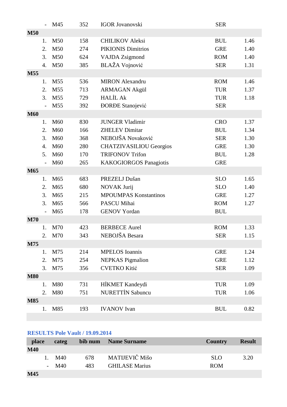|            |                | M45             | 352 | <b>IGOR Jovanovski</b>         | <b>SER</b> |      |
|------------|----------------|-----------------|-----|--------------------------------|------------|------|
| <b>M50</b> |                |                 |     |                                |            |      |
|            | 1.             | M50             | 158 | <b>CHILIKOV Aleksi</b>         | <b>BUL</b> | 1.46 |
|            | 2.             | M50             | 274 | <b>PIKIONIS Dimitrios</b>      | <b>GRE</b> | 1.40 |
|            | 3.             | M50             | 624 | <b>VAJDA</b> Zsigmond          | <b>ROM</b> | 1.40 |
|            | 4.             | M50             | 385 | <b>BLAŽA</b> Vojnović          | <b>SER</b> | 1.31 |
| M55        |                |                 |     |                                |            |      |
|            | 1.             | M <sub>55</sub> | 536 | <b>MIRON</b> Alexandru         | <b>ROM</b> | 1.46 |
|            | 2.             | M <sub>55</sub> | 713 | <b>ARMAGAN Akgül</b>           | <b>TUR</b> | 1.37 |
|            | 3.             | M <sub>55</sub> | 729 | <b>HALİL Ak</b>                | <b>TUR</b> | 1.18 |
|            | $\frac{1}{2}$  | M <sub>55</sub> | 392 | <b>DORDE</b> Stanojević        | <b>SER</b> |      |
| <b>M60</b> |                |                 |     |                                |            |      |
|            | 1.             | M60             | 830 | <b>JUNGER Vladimir</b>         | <b>CRO</b> | 1.37 |
|            | 2.             | M60             | 166 | <b>ZHELEV Dimitar</b>          | <b>BUL</b> | 1.34 |
|            | 3.             | M60             | 368 | NEBOJŠA Novaković              | <b>SER</b> | 1.30 |
|            | 4.             | M60             | 280 | <b>CHATZIVASILIOU Georgios</b> | <b>GRE</b> | 1.30 |
|            | 5.             | M60             | 170 | <b>TRIFONOV Trifon</b>         | <b>BUL</b> | 1.28 |
|            | $\frac{1}{2}$  | M <sub>60</sub> | 265 | <b>KAKOGIORGOS Panagiotis</b>  | <b>GRE</b> |      |
| M65        |                |                 |     |                                |            |      |
|            | 1.             | M65             | 683 | PREZELJ Dušan                  | <b>SLO</b> | 1.65 |
|            | 2.             | M65             | 680 | NOVAK Jurij                    | <b>SLO</b> | 1.40 |
|            | 3.             | M65             | 215 | <b>MPOUMPAS Konstantinos</b>   | <b>GRE</b> | 1.27 |
|            | 3.             | M65             | 566 | PASCU Mihai                    | <b>ROM</b> | 1.27 |
|            |                | M65             | 178 | <b>GENOV Yordan</b>            | <b>BUL</b> |      |
| <b>M70</b> |                |                 |     |                                |            |      |
|            | 1.             | M70             | 423 | <b>BERBECE Aurel</b>           | <b>ROM</b> | 1.33 |
|            | $\overline{2}$ | M70             | 343 | NEBOJŠA Besara                 | <b>SER</b> | 1.15 |
| M75        |                |                 |     |                                |            |      |
|            | 1.             | M75             | 214 | <b>MPELOS</b> Ioannis          | <b>GRE</b> | 1.24 |
|            | 2.             | M75             | 254 | <b>NEPKAS</b> Pigmalion        | <b>GRE</b> | 1.12 |
|            | 3.             | M75             | 356 | <b>CVETKO Kitić</b>            | <b>SER</b> | 1.09 |
| <b>M80</b> |                |                 |     |                                |            |      |
|            | 1.             | M80             | 731 | HİKMET Kandeydi                | <b>TUR</b> | 1.09 |
|            | 2.             | M80             | 751 | <b>NURETTİN Sabuncu</b>        | <b>TUR</b> | 1.06 |
| <b>M85</b> |                |                 |     |                                |            |      |
|            | 1.             | M85             | 193 | <b>IVANOV</b> Ivan             | <b>BUL</b> | 0.82 |
|            |                |                 |     |                                |            |      |

# **RESULTS Pole Vault / 19.09.2014**

| place      |    | categ  | bib num | <b>Name Surname</b>   | Country    | <b>Result</b> |
|------------|----|--------|---------|-----------------------|------------|---------------|
| <b>M40</b> |    |        |         |                       |            |               |
|            | 1. | M40    | 678     | MATIJEVIČ Mišo        | <b>SLO</b> | 3.20          |
|            |    | $-M40$ | 483     | <b>GHILASE Marius</b> | <b>ROM</b> |               |
| M45        |    |        |         |                       |            |               |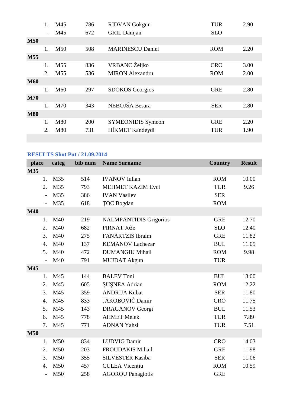|            | 1.                       | M45             | 786 | <b>RIDVAN</b> Gokgun     | <b>TUR</b> | 2.90 |
|------------|--------------------------|-----------------|-----|--------------------------|------------|------|
|            | $\overline{\phantom{0}}$ | M45             | 672 | <b>GRIL Damjan</b>       | <b>SLO</b> |      |
| <b>M50</b> |                          |                 |     |                          |            |      |
|            | 1.                       | M <sub>50</sub> | 508 | <b>MARINESCU Daniel</b>  | <b>ROM</b> | 2.20 |
| <b>M55</b> |                          |                 |     |                          |            |      |
|            | 1.                       | M <sub>55</sub> | 836 | VRBANC Željko            | <b>CRO</b> | 3.00 |
|            | 2.                       | M <sub>55</sub> | 536 | <b>MIRON</b> Alexandru   | <b>ROM</b> | 2.00 |
| <b>M60</b> |                          |                 |     |                          |            |      |
|            | 1.                       | M <sub>60</sub> | 297 | <b>SDOKOS</b> Georgios   | <b>GRE</b> | 2.80 |
| <b>M70</b> |                          |                 |     |                          |            |      |
|            | 1.                       | M70             | 343 | NEBOJŠA Besara           | <b>SER</b> | 2.80 |
| <b>M80</b> |                          |                 |     |                          |            |      |
|            | 1.                       | M80             | 200 | <b>SYMEONIDIS Symeon</b> | <b>GRE</b> | 2.20 |
|            | 2.                       | M80             | 731 | HİKMET Kandeydi          | <b>TUR</b> | 1.90 |
|            |                          |                 |     |                          |            |      |

# **RESULTS Shot Put / 21.09.2014**

| place            | categ | bib num | <b>Name Surname</b>           | <b>Country</b> | <b>Result</b> |
|------------------|-------|---------|-------------------------------|----------------|---------------|
| M35              |       |         |                               |                |               |
| 1.               | M35   | 514     | <b>IVANOV</b> Iulian          | <b>ROM</b>     | 10.00         |
| 2.               | M35   | 793     | MEHMET KAZIM Evci             | <b>TUR</b>     | 9.26          |
| $\overline{a}$   | M35   | 386     | <b>IVAN Vasilev</b>           | <b>SER</b>     |               |
| $\overline{a}$   | M35   | 618     | <b>TOC</b> Bogdan             | <b>ROM</b>     |               |
| <b>M40</b>       |       |         |                               |                |               |
| 1.               | M40   | 219     | <b>NALMPANTIDIS Grigorios</b> | <b>GRE</b>     | 12.70         |
| 2.               | M40   | 682     | PIRNAT Jože                   | <b>SLO</b>     | 12.40         |
| 3.               | M40   | 275     | <b>FANARTZIS</b> Ibraim       | <b>GRE</b>     | 11.82         |
| $\overline{4}$ . | M40   | 137     | <b>KEMANOV Lachezar</b>       | <b>BUL</b>     | 11.05         |
| 5.               | M40   | 472     | <b>DUMANGIU Mihail</b>        | <b>ROM</b>     | 9.98          |
| $\overline{a}$   | M40   | 791     | <b>MUJDAT</b> Akgun           | <b>TUR</b>     |               |
| M45              |       |         |                               |                |               |
| 1.               | M45   | 144     | <b>BALEV Toni</b>             | <b>BUL</b>     | 13.00         |
| 2.               | M45   | 605     | <b>SUSNEA Adrian</b>          | <b>ROM</b>     | 12.22         |
| 3.               | M45   | 359     | <b>ANDRIJA Kubat</b>          | <b>SER</b>     | 11.80         |
| $\overline{4}$ . | M45   | 833     | JAKOBOVIĆ Damir               | <b>CRO</b>     | 11.75         |
| 5.               | M45   | 143     | <b>DRAGANOV Georgi</b>        | <b>BUL</b>     | 11.53         |
| 6.               | M45   | 778     | <b>AHMET Melek</b>            | <b>TUR</b>     | 7.89          |
| 7.               | M45   | 771     | <b>ADNAN Yahsi</b>            | <b>TUR</b>     | 7.51          |
| <b>M50</b>       |       |         |                               |                |               |
| 1.               | M50   | 834     | <b>LUDVIG Damir</b>           | <b>CRO</b>     | 14.03         |
| 2.               | M50   | 203     | FROUDAKIS Mihail              | <b>GRE</b>     | 11.98         |
| 3.               | M50   | 355     | <b>SILVESTER Kasiba</b>       | <b>SER</b>     | 11.06         |
| $\overline{4}$ . | M50   | 457     | <b>CULEA Vicențiu</b>         | <b>ROM</b>     | 10.59         |
| $\overline{a}$   | M50   | 258     | <b>AGOROU Panagiotis</b>      | <b>GRE</b>     |               |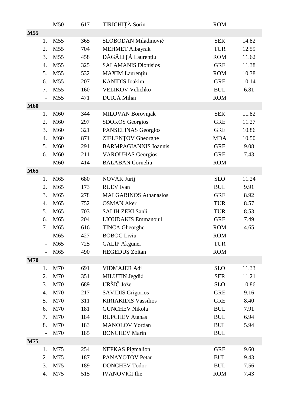|            |               | M50             | 617 | TIRICHIȚĂ Sorin              | <b>ROM</b> |       |
|------------|---------------|-----------------|-----|------------------------------|------------|-------|
| M55        |               |                 |     |                              |            |       |
|            | 1.            | M55             | 365 | SLOBODAN Miladinović         | <b>SER</b> | 14.82 |
|            | 2.            | M55             | 704 | <b>MEHMET Albayrak</b>       | <b>TUR</b> | 12.59 |
|            | 3.            | M55             | 458 | DĂGĂLIȚĂ Laurențiu           | <b>ROM</b> | 11.62 |
|            | 4.            | M55             | 325 | <b>SALAMANIS Dionisios</b>   | <b>GRE</b> | 11.38 |
|            | 5.            | M55             | 532 | <b>MAXIM</b> Laurențiu       | <b>ROM</b> | 10.38 |
|            | 6.            | M55             | 207 | <b>KANIDIS</b> Ioakim        | <b>GRE</b> | 10.14 |
|            | 7.            | M55             | 160 | <b>VELIKOV Velichko</b>      | <b>BUL</b> | 6.81  |
|            |               | M55             | 471 | DUICĂ Mihai                  | <b>ROM</b> |       |
| <b>M60</b> |               |                 |     |                              |            |       |
|            | 1.            | M <sub>60</sub> | 344 | <b>MILOVAN Borovnjak</b>     | <b>SER</b> | 11.82 |
|            | 2.            | M60             | 297 | <b>SDOKOS</b> Georgios       | <b>GRE</b> | 11.27 |
|            | 3.            | M60             | 321 | PANSELINAS Georgios          | <b>GRE</b> | 10.86 |
|            | 4.            | M60             | 871 | <b>ZIELENȚOV</b> Gheorghe    | <b>MDA</b> | 10.50 |
|            | 5.            | M60             | 291 | <b>BARMPAGIANNIS Ioannis</b> | <b>GRE</b> | 9.08  |
|            | 6.            | M60             | 211 | <b>VAROUHAS Georgios</b>     | <b>GRE</b> | 7.43  |
|            | $\frac{1}{2}$ | M <sub>60</sub> | 414 | <b>BALABAN</b> Corneliu      | <b>ROM</b> |       |
| M65        |               |                 |     |                              |            |       |
|            | 1.            | M65             | 680 | NOVAK Jurij                  | <b>SLO</b> | 11.24 |
|            | 2.            | M65             | 173 | <b>RUEV</b> Ivan             | <b>BUL</b> | 9.91  |
|            | 3.            | M <sub>65</sub> | 278 | <b>MALGARINOS Athanasios</b> | <b>GRE</b> | 8.92  |
|            | 4.            | M65             | 752 | <b>OSMAN Aker</b>            | <b>TUR</b> | 8.57  |
|            | 5.            | M65             | 703 | <b>SALIH ZEKI Sanli</b>      | <b>TUR</b> | 8.53  |
|            | 6.            | M65             | 204 | LIOUDAKIS Emmanouil          | <b>GRE</b> | 7.49  |
|            | 7.            | M65             | 616 | <b>TINCA Gheorghe</b>        | <b>ROM</b> | 4.65  |
|            |               | M <sub>65</sub> | 427 | <b>BOBOC Liviu</b>           | <b>ROM</b> |       |
|            |               | M65             | 725 | GALIP Akgüner                | <b>TUR</b> |       |
|            |               | M65             | 490 | HEGEDUȘ Zoltan               | <b>ROM</b> |       |
| <b>M70</b> |               |                 |     |                              |            |       |
|            | 1.            | M70             | 691 | <b>VIDMAJER Adi</b>          | <b>SLO</b> | 11.33 |
|            | 2.            | M70             | 351 | MILUTIN Jegdić               | <b>SER</b> | 11.21 |
|            | 3.            | M70             | 689 | URŠIČ Jože                   | <b>SLO</b> | 10.86 |
|            | 4.            | M70             | 217 | <b>SAVIDIS Grigorios</b>     | <b>GRE</b> | 9.16  |
|            | 5.            | M70             | 311 | <b>KIRIAKIDIS Vassilios</b>  | <b>GRE</b> | 8.40  |
|            | 6.            | M70             | 181 | <b>GUNCHEV Nikola</b>        | <b>BUL</b> | 7.91  |
|            | 7.            | M70             | 184 | <b>RUPCHEV Atanas</b>        | <b>BUL</b> | 6.94  |
|            | 8.            | M70             | 183 | <b>MANOLOV</b> Yordan        | <b>BUL</b> | 5.94  |
|            |               | M70             | 185 | <b>BONCHEV Marin</b>         | <b>BUL</b> |       |
| M75        |               |                 |     |                              |            |       |
|            | 1.            | M75             | 254 | <b>NEPKAS</b> Pigmalion      | <b>GRE</b> | 9.60  |
|            | 2.            | M75             | 187 | PANAYOTOV Petar              | <b>BUL</b> | 9.43  |
|            | 3.            | M75             | 189 | <b>DONCHEV Todor</b>         | <b>BUL</b> | 7.56  |
|            | 4.            | M75             | 515 | <b>IVANOVICI Ilie</b>        | <b>ROM</b> | 7.43  |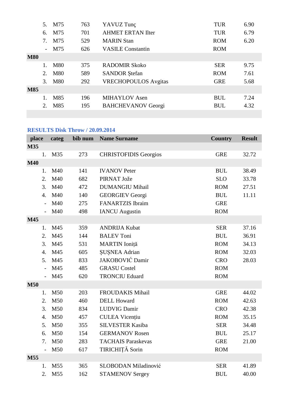|            | $5_{-}$                          | M75        | 763 | YAVUZ Tunç                  | <b>TUR</b> | 6.90 |
|------------|----------------------------------|------------|-----|-----------------------------|------------|------|
|            | 6.                               | M75        | 701 | <b>AHMET ERTAN Ilter</b>    | <b>TUR</b> | 6.79 |
|            | $7_{\scriptscriptstyle{\ddots}}$ | M75        | 529 | <b>MARIN Stan</b>           | <b>ROM</b> | 6.20 |
|            | $\overline{\phantom{0}}$         | M75        | 626 | <b>VASILE Constantin</b>    | <b>ROM</b> |      |
| <b>M80</b> |                                  |            |     |                             |            |      |
|            |                                  | M80        | 375 | RADOMIR Skoko               | <b>SER</b> | 9.75 |
|            | 2.                               | <b>M80</b> | 589 | <b>SANDOR</b> Ştefan        | <b>ROM</b> | 7.61 |
|            | 3.                               | <b>M80</b> | 292 | <b>VRECHOPOULOS Avgitas</b> | <b>GRE</b> | 5.68 |
| <b>M85</b> |                                  |            |     |                             |            |      |
|            |                                  | M85        | 196 | <b>MIHAYLOV</b> Asen        | <b>BUL</b> | 7.24 |
|            | 2.                               | M85        | 195 | <b>BAHCHEVANOV Georgi</b>   | <b>BUL</b> | 4.32 |
|            |                                  |            |     |                             |            |      |

# **RESULTS Disk Throw / 20.09.2014**

| place            | categ                 | bib num | <b>Name Surname</b><br><b>Country</b><br><b>Result</b> |            |       |  |  |  |  |
|------------------|-----------------------|---------|--------------------------------------------------------|------------|-------|--|--|--|--|
| M35              |                       |         |                                                        |            |       |  |  |  |  |
| 1.               | M35                   | 273     | <b>CHRISTOFIDIS Georgios</b>                           | <b>GRE</b> | 32.72 |  |  |  |  |
| <b>M40</b>       |                       |         |                                                        |            |       |  |  |  |  |
| 1.               | M40                   | 141     | <b>IVANOV Peter</b>                                    | <b>BUL</b> | 38.49 |  |  |  |  |
| 2.               | M40                   | 682     | PIRNAT Jože                                            | <b>SLO</b> | 33.78 |  |  |  |  |
| 3.               | M40                   | 472     | <b>DUMANGIU Mihail</b>                                 | <b>ROM</b> | 27.51 |  |  |  |  |
| $\overline{4}$ . | M40                   | 140     | <b>GEORGIEV Georgi</b>                                 | <b>BUL</b> | 11.11 |  |  |  |  |
|                  | M40                   | 275     | <b>FANARTZIS</b> Ibraim                                | <b>GRE</b> |       |  |  |  |  |
|                  | M40<br>$\overline{a}$ | 498     | <b>IANCU</b> Augustin                                  | <b>ROM</b> |       |  |  |  |  |
| M45              |                       |         |                                                        |            |       |  |  |  |  |
| 1.               | M45                   | 359     | <b>ANDRIJA Kubat</b>                                   | <b>SER</b> | 37.16 |  |  |  |  |
| 2.               | M45                   | 144     | <b>BALEV Toni</b>                                      | <b>BUL</b> | 36.91 |  |  |  |  |
| 3.               | M45                   | 531     | MARTIN Ioniță                                          | <b>ROM</b> | 34.13 |  |  |  |  |
| $\overline{4}$ . | M45                   | 605     | <b>ŞUŞNEA Adrian</b>                                   | <b>ROM</b> | 32.03 |  |  |  |  |
| 5.               | M45                   | 833     | JAKOBOVIĆ Damir                                        | <b>CRO</b> | 28.03 |  |  |  |  |
|                  | M45                   | 485     | <b>GRASU</b> Costel                                    | <b>ROM</b> |       |  |  |  |  |
|                  | M45                   | 620     | <b>TRONCIU Eduard</b>                                  | <b>ROM</b> |       |  |  |  |  |
| <b>M50</b>       |                       |         |                                                        |            |       |  |  |  |  |
| 1.               | M50                   | 203     | <b>FROUDAKIS Mihail</b>                                | <b>GRE</b> | 44.02 |  |  |  |  |
| 2.               | M50                   | 460     | <b>DELL Howard</b>                                     | <b>ROM</b> | 42.63 |  |  |  |  |
| 3.               | M50                   | 834     | <b>LUDVIG Damir</b>                                    | <b>CRO</b> | 42.38 |  |  |  |  |
| 4.               | M50                   | 457     | <b>CULEA Vicențiu</b>                                  | <b>ROM</b> | 35.15 |  |  |  |  |
| 5.               | M50                   | 355     | <b>SILVESTER Kasiba</b>                                | <b>SER</b> | 34.48 |  |  |  |  |
| 6.               | M50                   | 154     | <b>GERMANOV Rosen</b>                                  | <b>BUL</b> | 25.17 |  |  |  |  |
| 7.               | M50                   | 283     | <b>TACHAIS Paraskevas</b>                              | <b>GRE</b> | 21.00 |  |  |  |  |
|                  | M50<br>$\overline{a}$ | 617     | TIRICHIȚĂ Sorin                                        | <b>ROM</b> |       |  |  |  |  |
| M55              |                       |         |                                                        |            |       |  |  |  |  |
| 1.               | M <sub>55</sub>       | 365     | SLOBODAN Miladinović                                   | <b>SER</b> | 41.89 |  |  |  |  |
| 2.               | M55                   | 162     | <b>STAMENOV Sergey</b>                                 | <b>BUL</b> | 40.00 |  |  |  |  |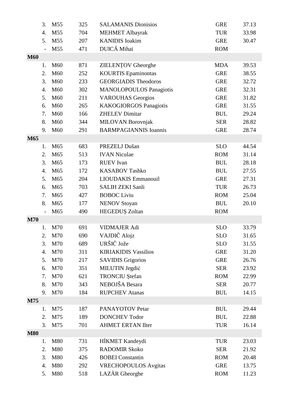|            | 3.               | M55             | 325 | <b>SALAMANIS Dionisios</b>     | <b>GRE</b> | 37.13 |
|------------|------------------|-----------------|-----|--------------------------------|------------|-------|
|            | $\overline{4}$ . | M55             | 704 | <b>MEHMET Albayrak</b>         | <b>TUR</b> | 33.98 |
|            | 5.               | M <sub>55</sub> | 207 | <b>KANIDIS</b> Ioakim          | <b>GRE</b> | 30.47 |
|            |                  | M55             | 471 | DUICĂ Mihai                    | <b>ROM</b> |       |
| <b>M60</b> |                  |                 |     |                                |            |       |
|            | 1.               | M60             | 871 | <b>ZIELENȚOV</b> Gheorghe      | <b>MDA</b> | 39.53 |
|            | 2.               | M60             | 252 | <b>KOURTIS</b> Epaminontas     | <b>GRE</b> | 38.55 |
|            | 3.               | M <sub>60</sub> | 233 | <b>GEORGIADIS Theodoros</b>    | <b>GRE</b> | 32.72 |
|            | $\overline{4}$ . | M60             | 302 | <b>MANOLOPOULOS Panagiotis</b> | <b>GRE</b> | 32.31 |
|            | 5.               | M60             | 211 | <b>VAROUHAS Georgios</b>       | <b>GRE</b> | 31.82 |
|            | 6.               | M <sub>60</sub> | 265 | <b>KAKOGIORGOS Panagiotis</b>  | <b>GRE</b> | 31.55 |
|            | 7.               | M60             | 166 | <b>ZHELEV Dimitar</b>          | <b>BUL</b> | 29.24 |
|            | 8.               | M60             | 344 | <b>MILOVAN Borovnjak</b>       | <b>SER</b> | 28.82 |
|            | 9.               | M60             | 291 | <b>BARMPAGIANNIS Ioannis</b>   | <b>GRE</b> | 28.74 |
| M65        |                  |                 |     |                                |            |       |
|            | 1.               | M65             | 683 | PREZELJ Dušan                  | <b>SLO</b> | 44.54 |
|            | 2.               | M65             | 513 | <b>IVAN Niculae</b>            | <b>ROM</b> | 31.14 |
|            | 3.               | M65             | 173 | <b>RUEV</b> Ivan               | <b>BUL</b> | 28.18 |
|            | 4.               | M65             | 172 | <b>KASABOV Tashko</b>          | <b>BUL</b> | 27.55 |
|            | 5.               | M65             | 204 | LIOUDAKIS Emmanouil            | <b>GRE</b> | 27.31 |
|            | 6.               | M65             | 703 | <b>SALIH ZEKI Sanli</b>        | <b>TUR</b> | 26.73 |
|            | 7.               | M65             | 427 | <b>BOBOC</b> Liviu             | <b>ROM</b> | 25.04 |
|            | 8.               | M65             | 177 | <b>NENOV Stoyan</b>            | <b>BUL</b> | 20.10 |
|            |                  | M65             | 490 | <b>HEGEDUŞ Zoltan</b>          | <b>ROM</b> |       |
| <b>M70</b> |                  |                 |     |                                |            |       |
|            | 1.               | M70             | 691 | <b>VIDMAJER Adi</b>            | <b>SLO</b> | 33.79 |
|            | 2.               | M70             | 690 | VAJDIČ Alojz                   | <b>SLO</b> | 31.65 |
|            | 3.               | M70             | 689 | URŠIČ Jože                     | <b>SLO</b> | 31.55 |
|            | 4.               | M70             | 311 | <b>KIRIAKIDIS Vassilios</b>    | <b>GRE</b> | 31.20 |
|            | 5.               | M70             | 217 | <b>SAVIDIS Grigorios</b>       | <b>GRE</b> | 26.76 |
|            | 6.               | M70             | 351 | MILUTIN Jegdić                 | <b>SER</b> | 23.92 |
|            | 7.               | M70             | 621 | <b>TRONCIU</b> Ştefan          | <b>ROM</b> | 22.99 |
|            | 8.               | M70             | 343 | NEBOJŠA Besara                 | <b>SER</b> | 20.77 |
|            | 9.               | M70             | 184 | <b>RUPCHEV Atanas</b>          | <b>BUL</b> | 14.15 |
| M75        |                  |                 |     |                                |            |       |
|            | 1.               | M75             | 187 | PANAYOTOV Petar                | <b>BUL</b> | 29.44 |
|            | 2.               | M75             | 189 | <b>DONCHEV Todor</b>           | <b>BUL</b> | 22.88 |
|            | 3.               | M75             | 701 | <b>AHMET ERTAN Ilter</b>       | <b>TUR</b> | 16.14 |
| <b>M80</b> |                  |                 |     |                                |            |       |
|            | 1.               | M80             | 731 | HİKMET Kandeydi                | <b>TUR</b> | 23.03 |
|            | 2.               | M80             | 375 | <b>RADOMIR Skoko</b>           | <b>SER</b> | 21.92 |
|            | 3.               | M80             | 426 | <b>BOBEI</b> Constantin        | <b>ROM</b> | 20.48 |
|            | 4.               | M80             | 292 | <b>VRECHOPOULOS</b> Avgitas    | <b>GRE</b> | 13.75 |
|            | 5.               | M80             | 518 | LAZĂR Gheorghe                 | <b>ROM</b> | 11.23 |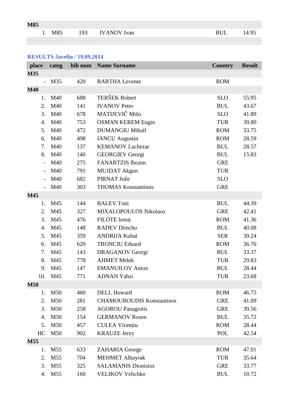| <b>M85</b> |                   |                 |            |  |
|------------|-------------------|-----------------|------------|--|
|            | 1 M <sub>85</sub> | 193 IVANOV Ivan | <b>RHI</b> |  |

### **RESULTS Javelin / 19.09.2014**

| place                    | categ           |     | bib num Name Surname             | <b>Country</b> | <b>Result</b> |
|--------------------------|-----------------|-----|----------------------------------|----------------|---------------|
| <b>M35</b>               |                 |     |                                  |                |               |
| $\overline{\phantom{0}}$ | M35             | 420 | <b>BARTHA Levente</b>            | <b>ROM</b>     |               |
| <b>M40</b>               |                 |     |                                  |                |               |
| 1.                       | M40             | 688 | <b>TERŠEK Robert</b>             | <b>SLO</b>     | 55.95         |
| 2.                       | M40             | 141 | <b>IVANOV Peter</b>              | <b>BUL</b>     | 43.67         |
| 3.                       | M40             | 678 | MATIJEVIČ Mišo                   | <b>SLO</b>     | 41.89         |
| 4.                       | M40             | 753 | <b>OSMAN KEREM Engin</b>         | <b>TUR</b>     | 39.80         |
| 5.                       | M40             | 472 | <b>DUMANGIU Mihail</b>           | <b>ROM</b>     | 33.75         |
| 6.                       | M40             | 498 | <b>IANCU</b> Augustin            | <b>ROM</b>     | 28.59         |
| 7.                       | M40             | 137 | <b>KEMANOV Lachezar</b>          | <b>BUL</b>     | 28.57         |
| 8.                       | M40             | 140 | <b>GEORGIEV Georgi</b>           | <b>BUL</b>     | 15.83         |
| $\overline{\phantom{a}}$ | M40             | 275 | <b>FANARTZIS</b> Ibraim          | <b>GRE</b>     |               |
|                          | M40             | 791 | <b>MUJDAT Akgun</b>              | <b>TUR</b>     |               |
|                          | M40             | 682 | PIRNAT Jože                      | <b>SLO</b>     |               |
|                          | M40             | 303 | <b>THOMAS Konstantinos</b>       | <b>GRE</b>     |               |
| M45                      |                 |     |                                  |                |               |
| 1.                       | M45             | 144 | <b>BALEV Toni</b>                | <b>BUL</b>     | 44.39         |
| 2.                       | M45             | 327 | MIXALOPOULOS Nikolaos            | <b>GRE</b>     | 42.41         |
| 3.                       | M45             | 476 | <b>FILOTE</b> Ionuț              | <b>ROM</b>     | 41.36         |
| 4.                       | M45             | 148 | <b>RADEV Dimcho</b>              | <b>BUL</b>     | 40.08         |
| 5.                       | M45             | 359 | <b>ANDRIJA Kubat</b>             | <b>SER</b>     | 39.24         |
| 6.                       | M45             | 620 | <b>TRONCIU Eduard</b>            | <b>ROM</b>     | 36.76         |
| 7.                       | M45             | 143 | <b>DRAGANOV Georgi</b>           | <b>BUL</b>     | 33.37         |
| 8.                       | M45             | 778 | <b>AHMET Melek</b>               | <b>TUR</b>     | 29.83         |
| 9.                       | M45             | 147 | <b>EMANUILOV</b> Anton           | <b>BUL</b>     | 28.44         |
| 10.                      | M45             | 771 | <b>ADNAN Yahsi</b>               | <b>TUR</b>     | 23.68         |
| <b>M50</b>               |                 |     |                                  |                |               |
| 1.                       | M50             | 460 | <b>DELL Howard</b>               | <b>ROM</b>     | 46.75         |
| 2.                       | M50             | 281 | <b>CHAMOUROUDIS Konstantinos</b> | <b>GRE</b>     | 41.09         |
| 3.                       | M50             | 258 | <b>AGOROU Panagiotis</b>         | <b>GRE</b>     | 39.56         |
| 4.                       | M50             | 154 | <b>GERMANOV Rosen</b>            | <b>BUL</b>     | 35.72         |
| 5.                       | M50             | 457 | <b>CULEA Vicențiu</b>            | <b>ROM</b>     | 28.44         |
| HC                       | M50             | 902 | <b>KRAUZE Jerzy</b>              | POL            | 42.54         |
| M55                      |                 |     |                                  |                |               |
| 1.                       | M <sub>55</sub> | 633 | ZAHARIA George                   | <b>ROM</b>     | 47.01         |
| 2.                       | M55             | 704 | <b>MEHMET Albayrak</b>           | <b>TUR</b>     | 35.64         |
| 3.                       | M55             | 325 | <b>SALAMANIS Dionisios</b>       | <b>GRE</b>     | 33.77         |
| 4.                       | M <sub>55</sub> | 160 | VELIKOV Velichko                 | <b>BUL</b>     | 10.72         |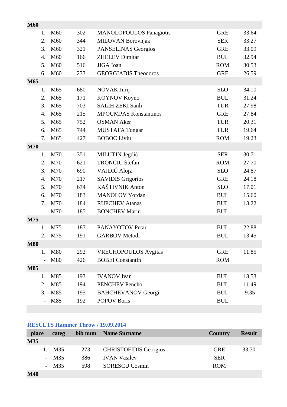| <b>M60</b> |                  |                 |     |                                |            |       |
|------------|------------------|-----------------|-----|--------------------------------|------------|-------|
|            | 1.               | M60             | 302 | <b>MANOLOPOULOS Panagiotis</b> | <b>GRE</b> | 33.64 |
|            | 2.               | M60             | 344 | <b>MILOVAN Borovnjak</b>       | <b>SER</b> | 33.27 |
|            | 3.               | M60             | 321 | PANSELINAS Georgios            | <b>GRE</b> | 33.09 |
|            | $\mathbf{4}$ .   | M60             | 166 | <b>ZHELEV Dimitar</b>          | <b>BUL</b> | 32.94 |
|            | 5.               | M60             | 516 | JIGA Ioan                      | <b>ROM</b> | 30.53 |
|            | 6.               | M60             | 233 | <b>GEORGIADIS Theodoros</b>    | <b>GRE</b> | 26.59 |
| M65        |                  |                 |     |                                |            |       |
|            | 1.               | M <sub>65</sub> | 680 | NOVAK Jurij                    | <b>SLO</b> | 34.10 |
|            | 2.               | M65             | 171 | <b>KOYNOV Koyno</b>            | <b>BUL</b> | 31.24 |
|            | 3.               | M65             | 703 | <b>SALIH ZEKI Sanli</b>        | <b>TUR</b> | 27.98 |
|            | 4.               | M65             | 215 | <b>MPOUMPAS Konstantinos</b>   | <b>GRE</b> | 27.84 |
|            | 5.               | M65             | 752 | <b>OSMAN Aker</b>              | <b>TUR</b> | 20.31 |
|            | 6.               | M <sub>65</sub> | 744 | <b>MUSTAFA Tongar</b>          | <b>TUR</b> | 19.64 |
|            | 7.               | M65             | 427 | <b>BOBOC</b> Liviu             | <b>ROM</b> | 19.23 |
| <b>M70</b> |                  |                 |     |                                |            |       |
|            | 1.               | M70             | 351 | MILUTIN Jegdić                 | <b>SER</b> | 30.71 |
|            | 2.               | M70             | 621 | <b>TRONCIU</b> Ştefan          | <b>ROM</b> | 27.70 |
|            | 3.               | M70             | 690 | VAJDIČ Alojz                   | <b>SLO</b> | 24.87 |
|            | $\overline{4}$ . | M70             | 217 | <b>SAVIDIS Grigorios</b>       | <b>GRE</b> | 24.18 |
|            | 5.               | M70             | 674 | KAŠTIVNIK Anton                | <b>SLO</b> | 17.01 |
|            | 6.               | M70             | 183 | <b>MANOLOV Yordan</b>          | <b>BUL</b> | 15.60 |
|            | 7.               | M70             | 184 | <b>RUPCHEV Atanas</b>          | <b>BUL</b> | 13.22 |
|            | $\overline{a}$   | M70             | 185 | <b>BONCHEV Marin</b>           | <b>BUL</b> |       |
| M75        |                  |                 |     |                                |            |       |
|            | 1.               | M75             | 187 | PANAYOTOV Petar                | <b>BUL</b> | 22.88 |
|            | 2.               | M75             | 191 | <b>GARBOV</b> Metodi           | <b>BUL</b> | 13.45 |
| <b>M80</b> |                  |                 |     |                                |            |       |
|            | 1.               | M80             | 292 | <b>VRECHOPOULOS</b> Avgitas    | <b>GRE</b> | 11.85 |
|            |                  | M80             | 426 | <b>BOBEI</b> Constantin        | <b>ROM</b> |       |
| <b>M85</b> |                  |                 |     |                                |            |       |
|            | 1.               | M85             | 193 | <b>IVANOV</b> Ivan             | <b>BUL</b> | 13.53 |
|            | 2.               | M85             | 194 | <b>PENCHEV</b> Pencho          | <b>BUL</b> | 11.49 |
|            | 3.               | M85             | 195 | <b>BAHCHEVANOV Georgi</b>      | <b>BUL</b> | 9.35  |
|            |                  | M85             | 192 | <b>POPOV Boris</b>             | <b>BUL</b> |       |
|            |                  |                 |     |                                |            |       |

# **RESULTS Hammer Throw / 19.09.2014**

| place      |    | categ  |     | bib num Name Surname         | Country    | <b>Result</b> |
|------------|----|--------|-----|------------------------------|------------|---------------|
| <b>M35</b> |    |        |     |                              |            |               |
|            | Ι. | M35    | 273 | <b>CHRISTOFIDIS Georgios</b> | <b>GRE</b> | 33.70         |
|            |    | $-M35$ | 386 | <b>IVAN Vasilev</b>          | <b>SER</b> |               |
|            |    | $-M35$ | 598 | <b>SORESCU Cosmin</b>        | <b>ROM</b> |               |
| <b>M40</b> |    |        |     |                              |            |               |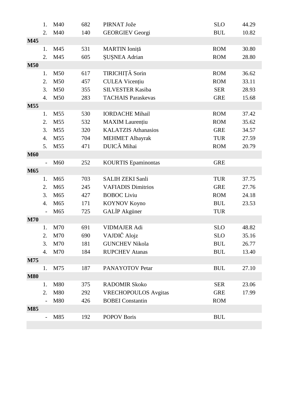|            | 1.             | M40             | 682 | PIRNAT Jože                 | <b>SLO</b> | 44.29 |
|------------|----------------|-----------------|-----|-----------------------------|------------|-------|
|            | 2.             | M40             | 140 | <b>GEORGIEV Georgi</b>      | <b>BUL</b> | 10.82 |
| M45        |                |                 |     |                             |            |       |
|            | 1.             | M45             | 531 | MARTIN Ioniță               | <b>ROM</b> | 30.80 |
|            | 2.             | M45             | 605 | <b>SUSNEA Adrian</b>        | <b>ROM</b> | 28.80 |
| <b>M50</b> |                |                 |     |                             |            |       |
|            | 1.             | M50             | 617 | TIRICHIȚĂ Sorin             | <b>ROM</b> | 36.62 |
|            | 2.             | M50             | 457 | <b>CULEA Vicențiu</b>       | <b>ROM</b> | 33.11 |
|            | 3.             | M50             | 355 | <b>SILVESTER Kasiba</b>     | <b>SER</b> | 28.93 |
|            | 4.             | M50             | 283 | <b>TACHAIS Paraskevas</b>   | <b>GRE</b> | 15.68 |
| M55        |                |                 |     |                             |            |       |
|            | 1.             | M55             | 530 | <b>IORDACHE Mihail</b>      | <b>ROM</b> | 37.42 |
|            | 2.             | M55             | 532 | <b>MAXIM</b> Laurențiu      | <b>ROM</b> | 35.62 |
|            | 3.             | M55             | 320 | <b>KALATZIS Athanasios</b>  | <b>GRE</b> | 34.57 |
|            | 4.             | M <sub>55</sub> | 704 | <b>MEHMET Albayrak</b>      | <b>TUR</b> | 27.59 |
|            | 5.             | M <sub>55</sub> | 471 | DUICĂ Mihai                 | <b>ROM</b> | 20.79 |
| <b>M60</b> |                |                 |     |                             |            |       |
|            | $\frac{1}{2}$  | M60             | 252 | <b>KOURTIS</b> Epaminontas  | <b>GRE</b> |       |
| M65        |                |                 |     |                             |            |       |
|            | 1.             | M65             | 703 | <b>SALIH ZEKI Sanli</b>     | <b>TUR</b> | 37.75 |
|            | 2.             | M65             | 245 | <b>VAFIADIS Dimitrios</b>   | <b>GRE</b> | 27.76 |
|            | 3.             | M65             | 427 | <b>BOBOC</b> Liviu          | <b>ROM</b> | 24.18 |
|            | 4.             | M65             | 171 | <b>KOYNOV Koyno</b>         | <b>BUL</b> | 23.53 |
|            | $\overline{a}$ | M65             | 725 | GALIP Akgüner               | <b>TUR</b> |       |
| <b>M70</b> |                |                 |     |                             |            |       |
|            | 1.             | M70             | 691 | <b>VIDMAJER Adi</b>         | <b>SLO</b> | 48.82 |
|            | $\overline{2}$ | M70             | 690 | VAJDIČ Alojz                | <b>SLO</b> | 35.16 |
|            | 3.             | M70             | 181 | <b>GUNCHEV Nikola</b>       | <b>BUL</b> | 26.77 |
|            | 4.             | M70             | 184 | <b>RUPCHEV Atanas</b>       | <b>BUL</b> | 13.40 |
| M75        |                |                 |     |                             |            |       |
|            | 1.             | M75             | 187 | PANAYOTOV Petar             | <b>BUL</b> | 27.10 |
| <b>M80</b> |                |                 |     |                             |            |       |
|            | 1.             | M80             | 375 | <b>RADOMIR Skoko</b>        | <b>SER</b> | 23.06 |
|            | 2.             | M80             | 292 | <b>VRECHOPOULOS</b> Avgitas | <b>GRE</b> | 17.99 |
|            |                | M80             | 426 | <b>BOBEI</b> Constantin     | <b>ROM</b> |       |
| <b>M85</b> |                |                 |     |                             |            |       |
|            | $\sim$         | M85             | 192 | <b>POPOV Boris</b>          | <b>BUL</b> |       |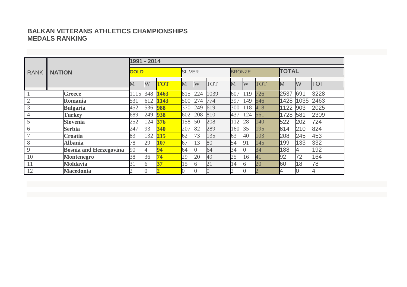# **BALKAN VETERANS ATHLETICS CHAMPIONSHIPSMEDALS RANKING**

|             |                               |         | 1991 - 2014 |            |                    |               |                 |                 |               |            |      |              |            |  |  |
|-------------|-------------------------------|---------|-------------|------------|--------------------|---------------|-----------------|-----------------|---------------|------------|------|--------------|------------|--|--|
| <b>RANK</b> | <b>NATION</b>                 |         | <b>GOLD</b> |            |                    | <b>SILVER</b> |                 |                 | <b>BRONZE</b> |            |      | <b>TOTAL</b> |            |  |  |
|             |                               | $\bf M$ | W           | <b>TOT</b> | $\overline{\rm M}$ | W             | <b>TOT</b>      | M               | W             | <b>TOT</b> | M    | W            | <b>TOT</b> |  |  |
|             | Greece                        | 1115    | 348         | 1463       | 815                | 224           | 1039            | 607             | 119           | 726        | 2537 | 691          | 3228       |  |  |
|             | Romania                       | 531     | 612         | 1143       | 500                | 274           | 774             | 397             | 149           | 546        | 1428 | 1035         | 2463       |  |  |
| 3           | <b>Bulgaria</b>               | 452     | 536         | 988        | 370                | 249           | 619             | 300             | 118           | 418        | 1122 | 903          | 2025       |  |  |
| 4           | <b>Turkey</b>                 | 689     | 249         | 938        | 602                | 208           | 810             | 437             | 124           | 561        | 1728 | 581          | 2309       |  |  |
|             | Slovenia                      | 252     | 124         | 376        | 158                | 50            | 208             | 112             | 28            | 140        | 522  | 202          | 724        |  |  |
| 6           | <b>Serbia</b>                 | 247     | 93          | 340        | 207                | 82            | 289             | 160             | 35            | 195        | 614  | 210          | 824        |  |  |
|             | <b>Croatia</b>                | 83      | 132         | 215        | 62                 | 73            | 135             | 63              | 40            | 103        | 208  | 245          | 453        |  |  |
| 8           | <b>Albania</b>                | 78      | 29          | 107        | 67                 | 13            | 80              | 54              | 91            | 145        | 199  | 133          | 332        |  |  |
| 9           | <b>Bosnia and Herzegovina</b> | 90      | 4           | 94         | 64                 |               | 64              | 34              |               | 34         | 188  | 4            | 192        |  |  |
| 10          | <b>Montenegro</b>             | 38      | 36          | 74         | 29                 | 20            | 49              | 25              | 16            | 41         | 92   | 72           | 164        |  |  |
| 11          | <b>Moldavia</b>               | 31      | 6           | 37         | 15                 |               | $\overline{21}$ | $\overline{14}$ |               | 20         | 60   | 18           | 78         |  |  |
| 12          | <b>Macedonia</b>              |         |             |            |                    |               |                 |                 |               |            | 4    |              |            |  |  |